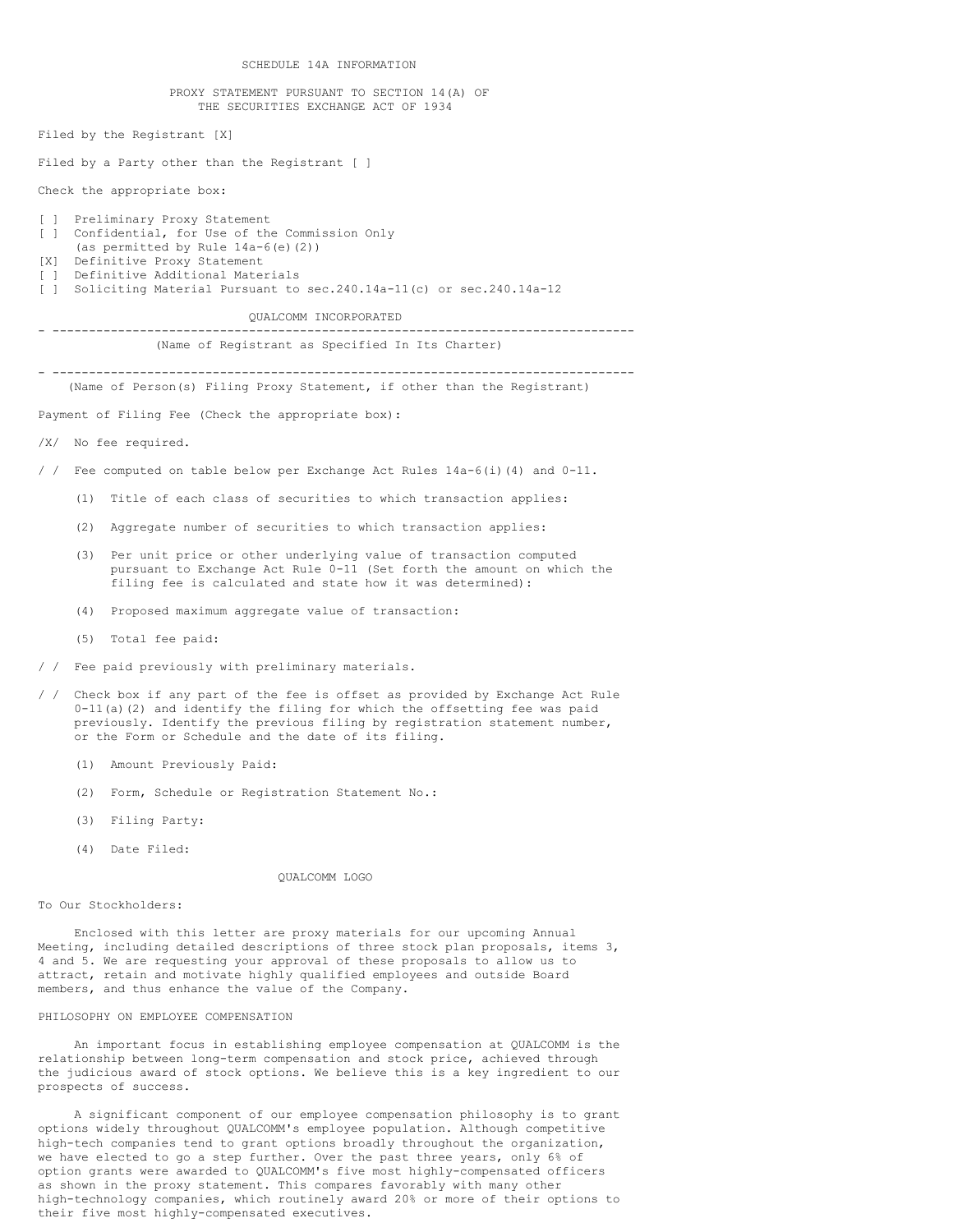SCHEDULE 14A INFORMATION

#### PROXY STATEMENT PURSUANT TO SECTION 14(A) OF THE SECURITIES EXCHANGE ACT OF 1934

Filed by the Registrant [X]

Filed by a Party other than the Registrant [ ]

Check the appropriate box:

## [ ] Preliminary Proxy Statement [ ] Confidential, for Use of the Commission Only (as permitted by Rule 14a-6(e)(2)) [X] Definitive Proxy Statement [ ] Definitive Additional Materials [ ] Soliciting Material Pursuant to sec.240.14a-11(c) or sec.240.14a-12

QUALCOMM INCORPORATED

## - --------------------------------------------------------------------------------

(Name of Registrant as Specified In Its Charter)

- -------------------------------------------------------------------------------- (Name of Person(s) Filing Proxy Statement, if other than the Registrant)

Payment of Filing Fee (Check the appropriate box):

/X/ No fee required.

/ / Fee computed on table below per Exchange Act Rules 14a-6(i)(4) and 0-11.

- (1) Title of each class of securities to which transaction applies:
- (2) Aggregate number of securities to which transaction applies:
- (3) Per unit price or other underlying value of transaction computed pursuant to Exchange Act Rule 0-11 (Set forth the amount on which the filing fee is calculated and state how it was determined):
- (4) Proposed maximum aggregate value of transaction:
- (5) Total fee paid:
- / / Fee paid previously with preliminary materials.
- / / Check box if any part of the fee is offset as provided by Exchange Act Rule 0-11(a)(2) and identify the filing for which the offsetting fee was paid previously. Identify the previous filing by registration statement number, or the Form or Schedule and the date of its filing.
	- (1) Amount Previously Paid:
	- (2) Form, Schedule or Registration Statement No.:
	- (3) Filing Party:
	- (4) Date Filed:

QUALCOMM LOGO

## To Our Stockholders:

Enclosed with this letter are proxy materials for our upcoming Annual Meeting, including detailed descriptions of three stock plan proposals, items 3, 4 and 5. We are requesting your approval of these proposals to allow us to attract, retain and motivate highly qualified employees and outside Board members, and thus enhance the value of the Company.

### PHILOSOPHY ON EMPLOYEE COMPENSATION

An important focus in establishing employee compensation at QUALCOMM is the relationship between long-term compensation and stock price, achieved through the judicious award of stock options. We believe this is a key ingredient to our prospects of success.

A significant component of our employee compensation philosophy is to grant options widely throughout QUALCOMM's employee population. Although competitive high-tech companies tend to grant options broadly throughout the organization, we have elected to go a step further. Over the past three years, only 6% of option grants were awarded to QUALCOMM's five most highly-compensated officers as shown in the proxy statement. This compares favorably with many other high-technology companies, which routinely award 20% or more of their options to their five most highly-compensated executives.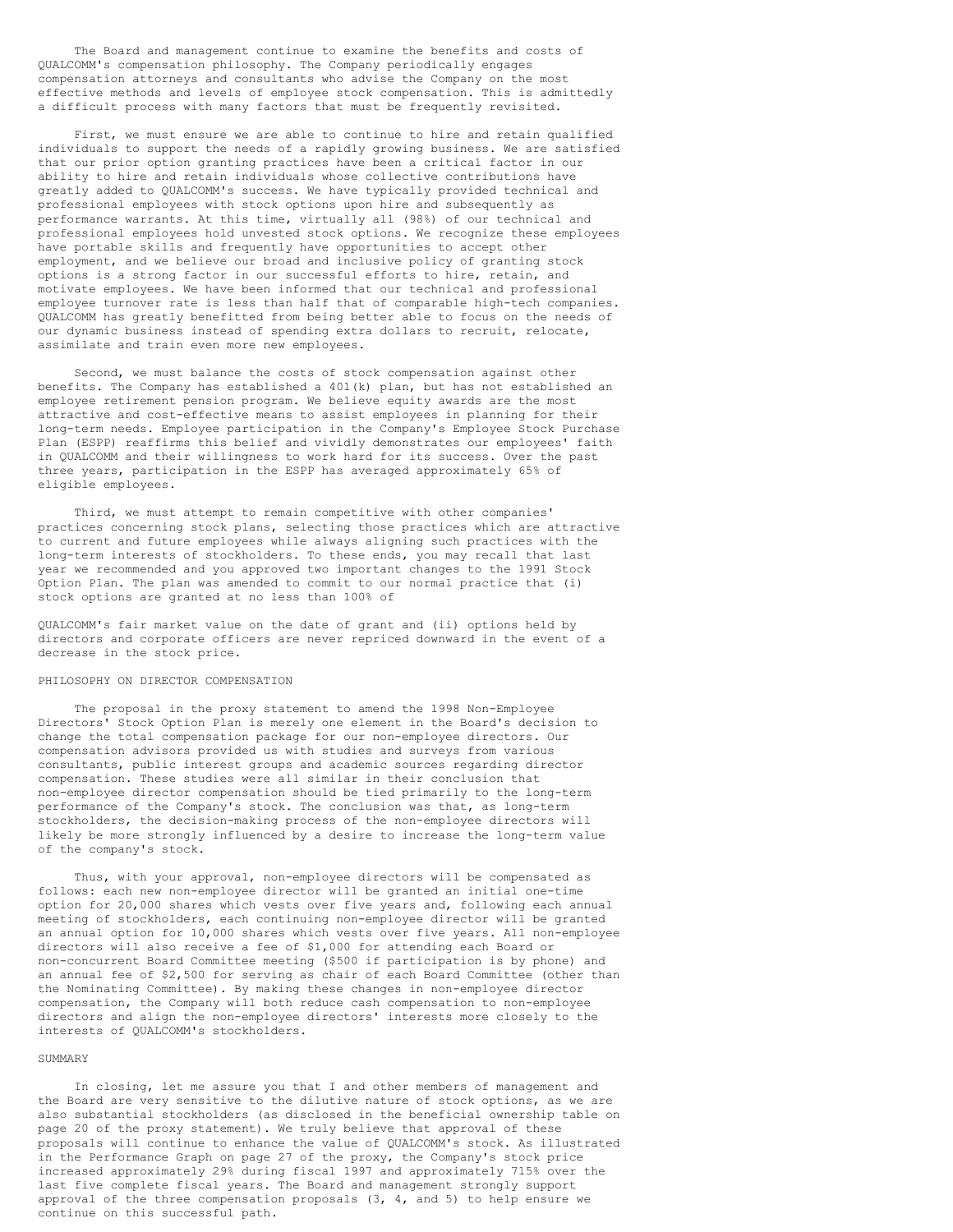The Board and management continue to examine the benefits and costs of QUALCOMM's compensation philosophy. The Company periodically engages compensation attorneys and consultants who advise the Company on the most effective methods and levels of employee stock compensation. This is admittedly a difficult process with many factors that must be frequently revisited.

First, we must ensure we are able to continue to hire and retain qualified individuals to support the needs of a rapidly growing business. We are satisfied that our prior option granting practices have been a critical factor in our ability to hire and retain individuals whose collective contributions have greatly added to QUALCOMM's success. We have typically provided technical and professional employees with stock options upon hire and subsequently as performance warrants. At this time, virtually all (98%) of our technical and professional employees hold unvested stock options. We recognize these employees have portable skills and frequently have opportunities to accept other employment, and we believe our broad and inclusive policy of granting stock options is a strong factor in our successful efforts to hire, retain, and motivate employees. We have been informed that our technical and professional employee turnover rate is less than half that of comparable high-tech companies. QUALCOMM has greatly benefitted from being better able to focus on the needs of our dynamic business instead of spending extra dollars to recruit, relocate, assimilate and train even more new employees.

Second, we must balance the costs of stock compensation against other benefits. The Company has established a 401(k) plan, but has not established an employee retirement pension program. We believe equity awards are the most attractive and cost-effective means to assist employees in planning for their long-term needs. Employee participation in the Company's Employee Stock Purchase Plan (ESPP) reaffirms this belief and vividly demonstrates our employees' faith in QUALCOMM and their willingness to work hard for its success. Over the past three years, participation in the ESPP has averaged approximately 65% of eligible employees.

Third, we must attempt to remain competitive with other companies' practices concerning stock plans, selecting those practices which are attractive to current and future employees while always aligning such practices with the long-term interests of stockholders. To these ends, you may recall that last year we recommended and you approved two important changes to the 1991 Stock Option Plan. The plan was amended to commit to our normal practice that (i) stock options are granted at no less than 100% of

QUALCOMM's fair market value on the date of grant and (ii) options held by directors and corporate officers are never repriced downward in the event of a decrease in the stock price.

### PHILOSOPHY ON DIRECTOR COMPENSATION

The proposal in the proxy statement to amend the 1998 Non-Employee Directors' Stock Option Plan is merely one element in the Board's decision to change the total compensation package for our non-employee directors. Our compensation advisors provided us with studies and surveys from various consultants, public interest groups and academic sources regarding director compensation. These studies were all similar in their conclusion that non-employee director compensation should be tied primarily to the long-term performance of the Company's stock. The conclusion was that, as long-term stockholders, the decision-making process of the non-employee directors will likely be more strongly influenced by a desire to increase the long-term value of the company's stock.

Thus, with your approval, non-employee directors will be compensated as follows: each new non-employee director will be granted an initial one-time option for 20,000 shares which vests over five years and, following each annual meeting of stockholders, each continuing non-employee director will be granted an annual option for 10,000 shares which vests over five years. All non-employee directors will also receive a fee of \$1,000 for attending each Board or non-concurrent Board Committee meeting (\$500 if participation is by phone) and an annual fee of \$2,500 for serving as chair of each Board Committee (other than the Nominating Committee). By making these changes in non-employee director compensation, the Company will both reduce cash compensation to non-employee directors and align the non-employee directors' interests more closely to the interests of QUALCOMM's stockholders.

## SUMMARY

In closing, let me assure you that I and other members of management and the Board are very sensitive to the dilutive nature of stock options, as we are also substantial stockholders (as disclosed in the beneficial ownership table on page 20 of the proxy statement). We truly believe that approval of these proposals will continue to enhance the value of QUALCOMM's stock. As illustrated in the Performance Graph on page 27 of the proxy, the Company's stock price increased approximately 29% during fiscal 1997 and approximately 715% over the last five complete fiscal years. The Board and management strongly support approval of the three compensation proposals (3, 4, and 5) to help ensure we continue on this successful path.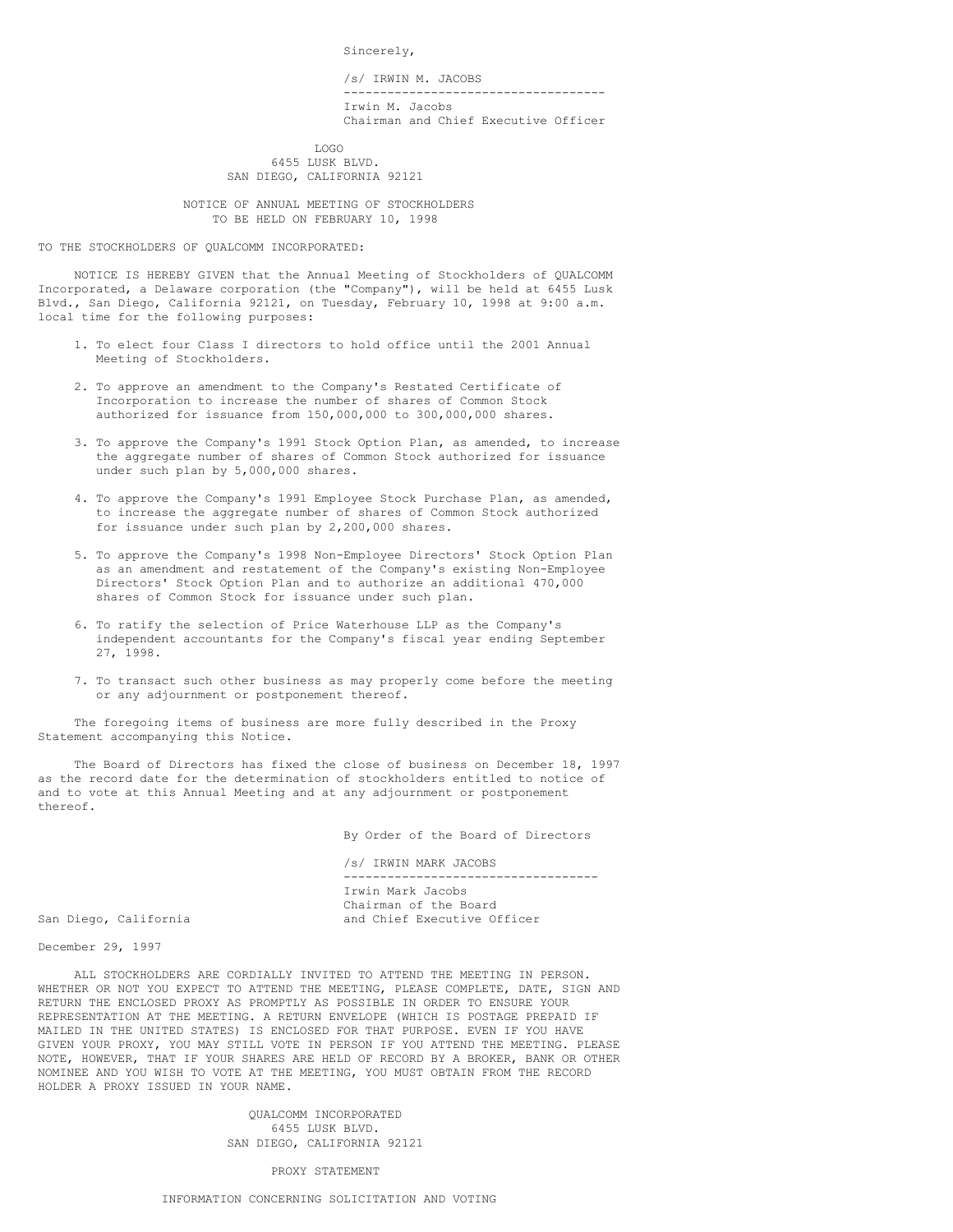Sincerely,

/s/ IRWIN M. JACOBS ------------------------------------ Irwin M. Jacobs Chairman and Chief Executive Officer

LOGO 6455 LUSK BLVD. SAN DIEGO, CALIFORNIA 92121

NOTICE OF ANNUAL MEETING OF STOCKHOLDERS TO BE HELD ON FEBRUARY 10, 1998

TO THE STOCKHOLDERS OF QUALCOMM INCORPORATED:

NOTICE IS HEREBY GIVEN that the Annual Meeting of Stockholders of QUALCOMM Incorporated, a Delaware corporation (the "Company"), will be held at 6455 Lusk Blvd., San Diego, California 92121, on Tuesday, February 10, 1998 at 9:00 a.m. local time for the following purposes:

- 1. To elect four Class I directors to hold office until the 2001 Annual Meeting of Stockholders.
- 2. To approve an amendment to the Company's Restated Certificate of Incorporation to increase the number of shares of Common Stock authorized for issuance from 150,000,000 to 300,000,000 shares.
- 3. To approve the Company's 1991 Stock Option Plan, as amended, to increase the aggregate number of shares of Common Stock authorized for issuance under such plan by 5,000,000 shares.
- 4. To approve the Company's 1991 Employee Stock Purchase Plan, as amended, to increase the aggregate number of shares of Common Stock authorized for issuance under such plan by 2,200,000 shares.
- 5. To approve the Company's 1998 Non-Employee Directors' Stock Option Plan as an amendment and restatement of the Company's existing Non-Employee Directors' Stock Option Plan and to authorize an additional 470,000 shares of Common Stock for issuance under such plan.
- 6. To ratify the selection of Price Waterhouse LLP as the Company's independent accountants for the Company's fiscal year ending September 27, 1998.
- 7. To transact such other business as may properly come before the meeting or any adjournment or postponement thereof.

The foregoing items of business are more fully described in the Proxy Statement accompanying this Notice.

The Board of Directors has fixed the close of business on December 18, 1997 as the record date for the determination of stockholders entitled to notice of and to vote at this Annual Meeting and at any adjournment or postponement thereof.

By Order of the Board of Directors

/s/ IRWIN MARK JACOBS ----------------------------------- Irwin Mark Jacobs Chairman of the Board San Diego, California and Chief Executive Officer

December 29, 1997

ALL STOCKHOLDERS ARE CORDIALLY INVITED TO ATTEND THE MEETING IN PERSON. WHETHER OR NOT YOU EXPECT TO ATTEND THE MEETING, PLEASE COMPLETE, DATE, SIGN AND RETURN THE ENCLOSED PROXY AS PROMPTLY AS POSSIBLE IN ORDER TO ENSURE YOUR REPRESENTATION AT THE MEETING. A RETURN ENVELOPE (WHICH IS POSTAGE PREPAID IF MAILED IN THE UNITED STATES) IS ENCLOSED FOR THAT PURPOSE. EVEN IF YOU HAVE GIVEN YOUR PROXY, YOU MAY STILL VOTE IN PERSON IF YOU ATTEND THE MEETING. PLEASE NOTE, HOWEVER, THAT IF YOUR SHARES ARE HELD OF RECORD BY A BROKER, BANK OR OTHER NOMINEE AND YOU WISH TO VOTE AT THE MEETING, YOU MUST OBTAIN FROM THE RECORD HOLDER A PROXY ISSUED IN YOUR NAME.

> QUALCOMM INCORPORATED 6455 LUSK BLVD. SAN DIEGO, CALIFORNIA 92121

> > PROXY STATEMENT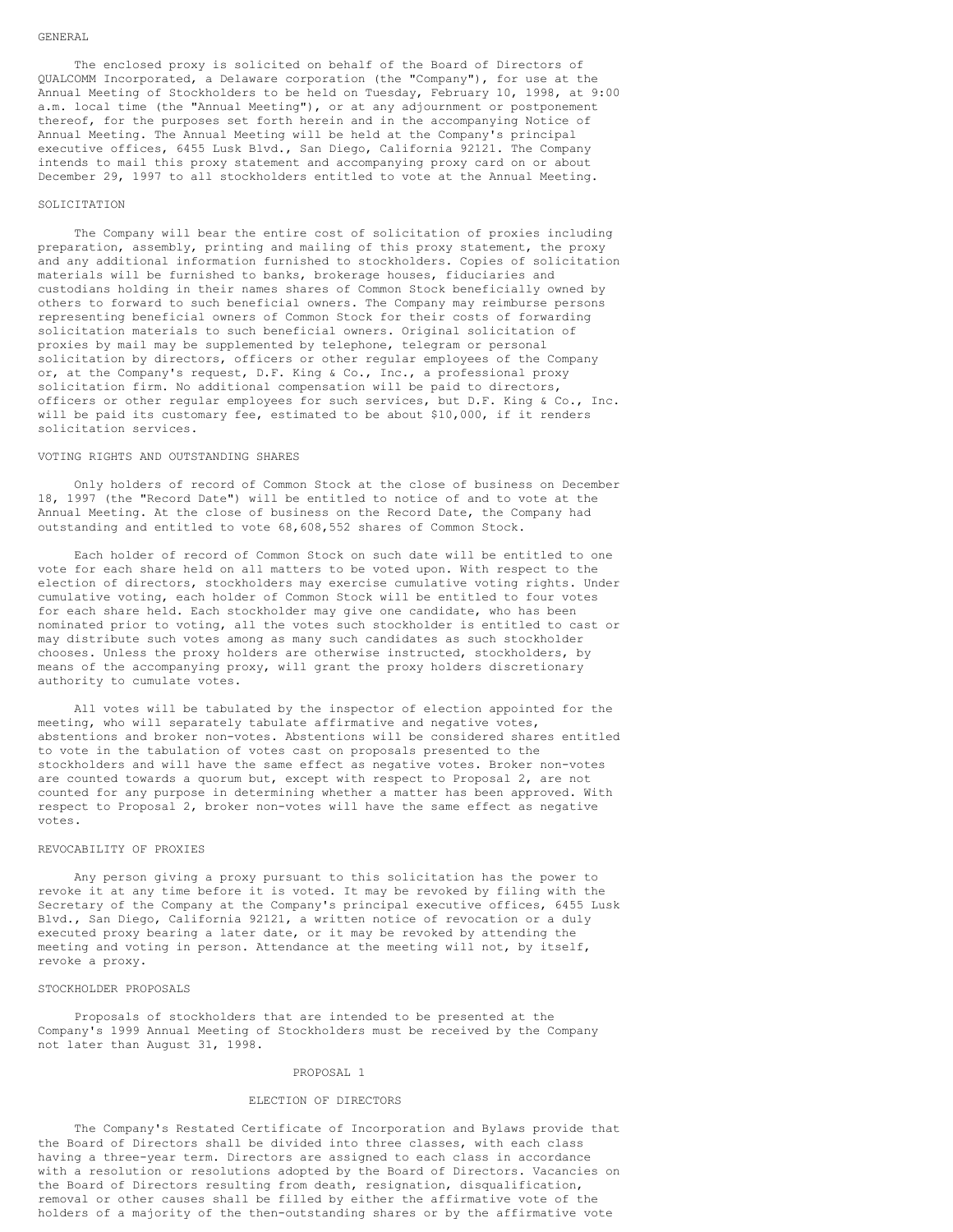The enclosed proxy is solicited on behalf of the Board of Directors of QUALCOMM Incorporated, a Delaware corporation (the "Company"), for use at the Annual Meeting of Stockholders to be held on Tuesday, February 10, 1998, at 9:00 a.m. local time (the "Annual Meeting"), or at any adjournment or postponement thereof, for the purposes set forth herein and in the accompanying Notice of Annual Meeting. The Annual Meeting will be held at the Company's principal executive offices, 6455 Lusk Blvd., San Diego, California 92121. The Company intends to mail this proxy statement and accompanying proxy card on or about December 29, 1997 to all stockholders entitled to vote at the Annual Meeting.

## SOLICITATION

The Company will bear the entire cost of solicitation of proxies including preparation, assembly, printing and mailing of this proxy statement, the proxy and any additional information furnished to stockholders. Copies of solicitation materials will be furnished to banks, brokerage houses, fiduciaries and custodians holding in their names shares of Common Stock beneficially owned by others to forward to such beneficial owners. The Company may reimburse persons representing beneficial owners of Common Stock for their costs of forwarding solicitation materials to such beneficial owners. Original solicitation of proxies by mail may be supplemented by telephone, telegram or personal solicitation by directors, officers or other regular employees of the Company or, at the Company's request, D.F. King & Co., Inc., a professional proxy solicitation firm. No additional compensation will be paid to directors, officers or other regular employees for such services, but D.F. King & Co., Inc. will be paid its customary fee, estimated to be about \$10,000, if it renders solicitation services.

### VOTING RIGHTS AND OUTSTANDING SHARES

Only holders of record of Common Stock at the close of business on December 18, 1997 (the "Record Date") will be entitled to notice of and to vote at the Annual Meeting. At the close of business on the Record Date, the Company had outstanding and entitled to vote 68,608,552 shares of Common Stock.

Each holder of record of Common Stock on such date will be entitled to one vote for each share held on all matters to be voted upon. With respect to the election of directors, stockholders may exercise cumulative voting rights. Under cumulative voting, each holder of Common Stock will be entitled to four votes for each share held. Each stockholder may give one candidate, who has been nominated prior to voting, all the votes such stockholder is entitled to cast or may distribute such votes among as many such candidates as such stockholder chooses. Unless the proxy holders are otherwise instructed, stockholders, by means of the accompanying proxy, will grant the proxy holders discretionary authority to cumulate votes.

All votes will be tabulated by the inspector of election appointed for the meeting, who will separately tabulate affirmative and negative votes, abstentions and broker non-votes. Abstentions will be considered shares entitled to vote in the tabulation of votes cast on proposals presented to the stockholders and will have the same effect as negative votes. Broker non-votes are counted towards a quorum but, except with respect to Proposal 2, are not counted for any purpose in determining whether a matter has been approved. With respect to Proposal 2, broker non-votes will have the same effect as negative votes.

### REVOCABILITY OF PROXIES

Any person giving a proxy pursuant to this solicitation has the power to revoke it at any time before it is voted. It may be revoked by filing with the Secretary of the Company at the Company's principal executive offices, 6455 Lusk Blvd., San Diego, California 92121, a written notice of revocation or a duly executed proxy bearing a later date, or it may be revoked by attending the meeting and voting in person. Attendance at the meeting will not, by itself, revoke a proxy.

#### STOCKHOLDER PROPOSALS

Proposals of stockholders that are intended to be presented at the Company's 1999 Annual Meeting of Stockholders must be received by the Company not later than August 31, 1998.

#### PROPOSAL 1

## ELECTION OF DIRECTORS

The Company's Restated Certificate of Incorporation and Bylaws provide that the Board of Directors shall be divided into three classes, with each class having a three-year term. Directors are assigned to each class in accordance with a resolution or resolutions adopted by the Board of Directors. Vacancies on the Board of Directors resulting from death, resignation, disqualification, removal or other causes shall be filled by either the affirmative vote of the holders of a majority of the then-outstanding shares or by the affirmative vote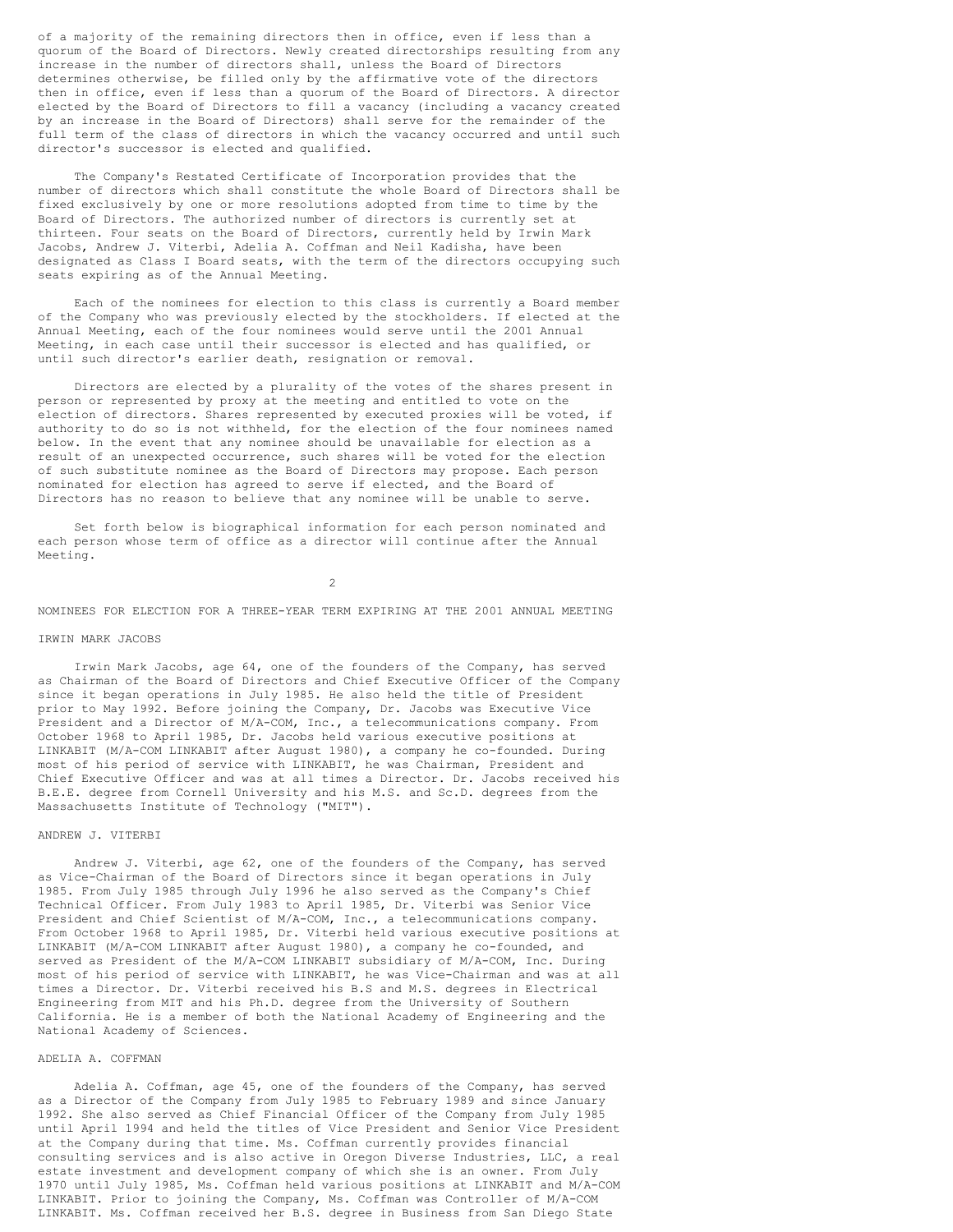of a majority of the remaining directors then in office, even if less than a quorum of the Board of Directors. Newly created directorships resulting from any increase in the number of directors shall, unless the Board of Directors determines otherwise, be filled only by the affirmative vote of the directors then in office, even if less than a quorum of the Board of Directors. A director elected by the Board of Directors to fill a vacancy (including a vacancy created by an increase in the Board of Directors) shall serve for the remainder of the full term of the class of directors in which the vacancy occurred and until such director's successor is elected and qualified.

The Company's Restated Certificate of Incorporation provides that the number of directors which shall constitute the whole Board of Directors shall be fixed exclusively by one or more resolutions adopted from time to time by the Board of Directors. The authorized number of directors is currently set at thirteen. Four seats on the Board of Directors, currently held by Irwin Mark Jacobs, Andrew J. Viterbi, Adelia A. Coffman and Neil Kadisha, have been designated as Class I Board seats, with the term of the directors occupying such seats expiring as of the Annual Meeting.

Each of the nominees for election to this class is currently a Board member of the Company who was previously elected by the stockholders. If elected at the Annual Meeting, each of the four nominees would serve until the 2001 Annual Meeting, in each case until their successor is elected and has qualified, or until such director's earlier death, resignation or removal.

Directors are elected by a plurality of the votes of the shares present in person or represented by proxy at the meeting and entitled to vote on the election of directors. Shares represented by executed proxies will be voted, if authority to do so is not withheld, for the election of the four nominees named below. In the event that any nominee should be unavailable for election as a result of an unexpected occurrence, such shares will be voted for the election of such substitute nominee as the Board of Directors may propose. Each person nominated for election has agreed to serve if elected, and the Board of Directors has no reason to believe that any nominee will be unable to serve.

Set forth below is biographical information for each person nominated and each person whose term of office as a director will continue after the Annual Meeting.

 $\mathfrak{D}$ 

NOMINEES FOR ELECTION FOR A THREE-YEAR TERM EXPIRING AT THE 2001 ANNUAL MEETING

### IRWIN MARK JACOBS

Irwin Mark Jacobs, age 64, one of the founders of the Company, has served as Chairman of the Board of Directors and Chief Executive Officer of the Company since it began operations in July 1985. He also held the title of President prior to May 1992. Before joining the Company, Dr. Jacobs was Executive Vice President and a Director of M/A-COM, Inc., a telecommunications company. From October 1968 to April 1985, Dr. Jacobs held various executive positions at LINKABIT (M/A-COM LINKABIT after August 1980), a company he co-founded. During most of his period of service with LINKABIT, he was Chairman, President and Chief Executive Officer and was at all times a Director. Dr. Jacobs received his B.E.E. degree from Cornell University and his M.S. and Sc.D. degrees from the Massachusetts Institute of Technology ("MIT").

#### ANDREW J. VITERBI

Andrew J. Viterbi, age 62, one of the founders of the Company, has served as Vice-Chairman of the Board of Directors since it began operations in July 1985. From July 1985 through July 1996 he also served as the Company's Chief Technical Officer. From July 1983 to April 1985, Dr. Viterbi was Senior Vice President and Chief Scientist of M/A-COM, Inc., a telecommunications company. From October 1968 to April 1985, Dr. Viterbi held various executive positions at LINKABIT (M/A-COM LINKABIT after August 1980), a company he co-founded, and served as President of the M/A-COM LINKABIT subsidiary of M/A-COM, Inc. During most of his period of service with LINKABIT, he was Vice-Chairman and was at all times a Director. Dr. Viterbi received his B.S and M.S. degrees in Electrical Engineering from MIT and his Ph.D. degree from the University of Southern California. He is a member of both the National Academy of Engineering and the National Academy of Sciences.

## ADELIA A. COFFMAN

Adelia A. Coffman, age 45, one of the founders of the Company, has served as a Director of the Company from July 1985 to February 1989 and since January 1992. She also served as Chief Financial Officer of the Company from July 1985 until April 1994 and held the titles of Vice President and Senior Vice President at the Company during that time. Ms. Coffman currently provides financial consulting services and is also active in Oregon Diverse Industries, LLC, a real estate investment and development company of which she is an owner. From July 1970 until July 1985, Ms. Coffman held various positions at LINKABIT and M/A-COM LINKABIT. Prior to joining the Company, Ms. Coffman was Controller of M/A-COM LINKABIT. Ms. Coffman received her B.S. degree in Business from San Diego State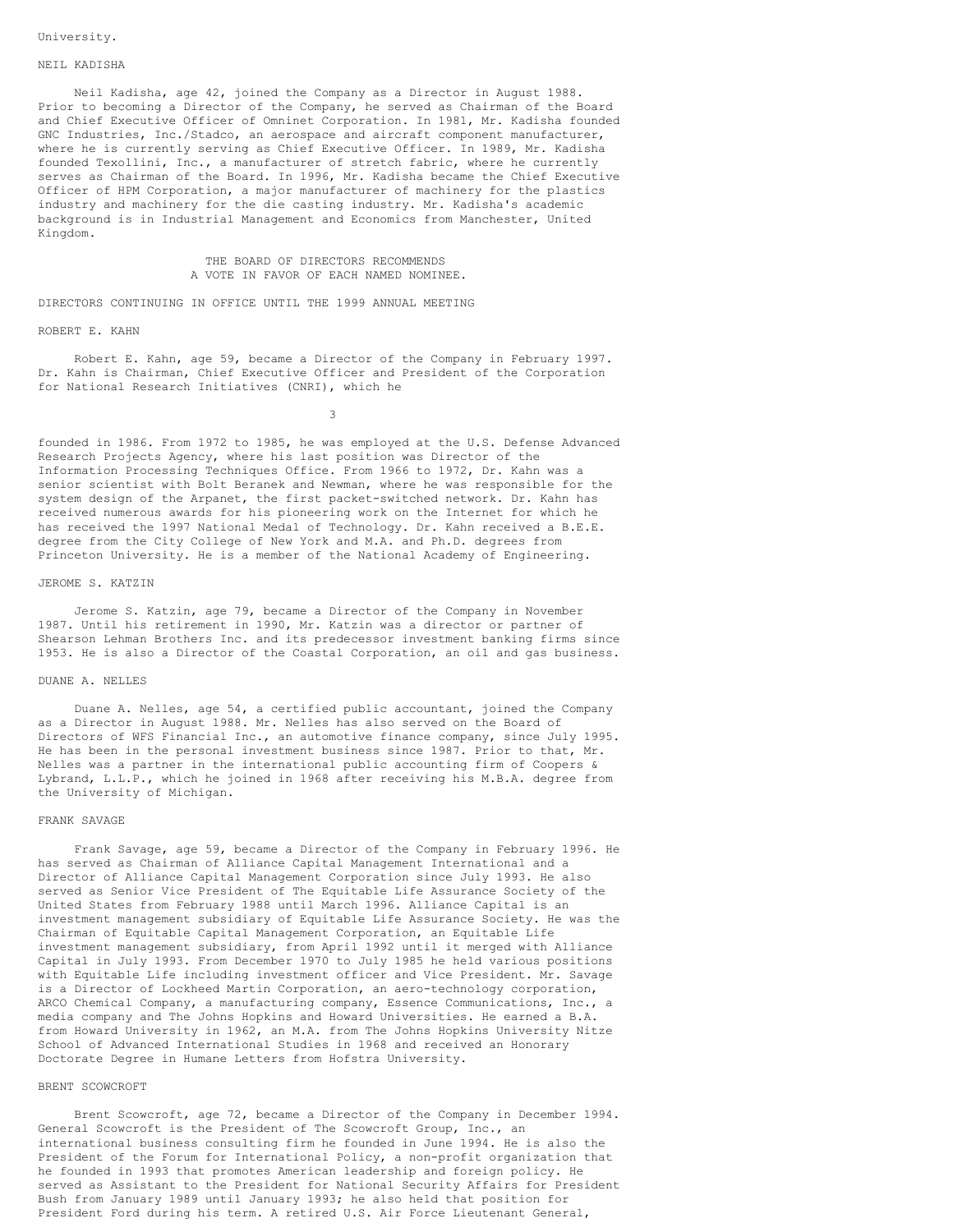### NEIL KADISHA

Neil Kadisha, age 42, joined the Company as a Director in August 1988. Prior to becoming a Director of the Company, he served as Chairman of the Board and Chief Executive Officer of Omninet Corporation. In 1981, Mr. Kadisha founded GNC Industries, Inc./Stadco, an aerospace and aircraft component manufacturer, where he is currently serving as Chief Executive Officer. In 1989, Mr. Kadisha founded Texollini, Inc., a manufacturer of stretch fabric, where he currently serves as Chairman of the Board. In 1996, Mr. Kadisha became the Chief Executive Officer of HPM Corporation, a major manufacturer of machinery for the plastics industry and machinery for the die casting industry. Mr. Kadisha's academic background is in Industrial Management and Economics from Manchester, United Kingdom.

> THE BOARD OF DIRECTORS RECOMMENDS A VOTE IN FAVOR OF EACH NAMED NOMINEE.

DIRECTORS CONTINUING IN OFFICE UNTIL THE 1999 ANNUAL MEETING

#### ROBERT E. KAHN

Robert E. Kahn, age 59, became a Director of the Company in February 1997. Dr. Kahn is Chairman, Chief Executive Officer and President of the Corporation for National Research Initiatives (CNRI), which he

3

founded in 1986. From 1972 to 1985, he was employed at the U.S. Defense Advanced Research Projects Agency, where his last position was Director of the Information Processing Techniques Office. From 1966 to 1972, Dr. Kahn was a senior scientist with Bolt Beranek and Newman, where he was responsible for the system design of the Arpanet, the first packet-switched network. Dr. Kahn has received numerous awards for his pioneering work on the Internet for which he has received the 1997 National Medal of Technology. Dr. Kahn received a B.E.E. degree from the City College of New York and M.A. and Ph.D. degrees from Princeton University. He is a member of the National Academy of Engineering.

#### JEROME S. KATZIN

Jerome S. Katzin, age 79, became a Director of the Company in November 1987. Until his retirement in 1990, Mr. Katzin was a director or partner of Shearson Lehman Brothers Inc. and its predecessor investment banking firms since 1953. He is also a Director of the Coastal Corporation, an oil and gas business.

### DUANE A. NELLES

Duane A. Nelles, age 54, a certified public accountant, joined the Company as a Director in August 1988. Mr. Nelles has also served on the Board of Directors of WFS Financial Inc., an automotive finance company, since July 1995. He has been in the personal investment business since 1987. Prior to that, Mr. Nelles was a partner in the international public accounting firm of Coopers & Lybrand, L.L.P., which he joined in 1968 after receiving his M.B.A. degree from the University of Michigan.

## FRANK SAVAGE

Frank Savage, age 59, became a Director of the Company in February 1996. He has served as Chairman of Alliance Capital Management International and a Director of Alliance Capital Management Corporation since July 1993. He also served as Senior Vice President of The Equitable Life Assurance Society of the United States from February 1988 until March 1996. Alliance Capital is an investment management subsidiary of Equitable Life Assurance Society. He was the Chairman of Equitable Capital Management Corporation, an Equitable Life investment management subsidiary, from April 1992 until it merged with Alliance Capital in July 1993. From December 1970 to July 1985 he held various positions with Equitable Life including investment officer and Vice President. Mr. Savage is a Director of Lockheed Martin Corporation, an aero-technology corporation, ARCO Chemical Company, a manufacturing company, Essence Communications, Inc., a media company and The Johns Hopkins and Howard Universities. He earned a B.A. from Howard University in 1962, an M.A. from The Johns Hopkins University Nitze School of Advanced International Studies in 1968 and received an Honorary Doctorate Degree in Humane Letters from Hofstra University.

#### BRENT SCOWCROFT

Brent Scowcroft, age 72, became a Director of the Company in December 1994. General Scowcroft is the President of The Scowcroft Group, Inc., an international business consulting firm he founded in June 1994. He is also the President of the Forum for International Policy, a non-profit organization that he founded in 1993 that promotes American leadership and foreign policy. He served as Assistant to the President for National Security Affairs for President Bush from January 1989 until January 1993; he also held that position for President Ford during his term. A retired U.S. Air Force Lieutenant General,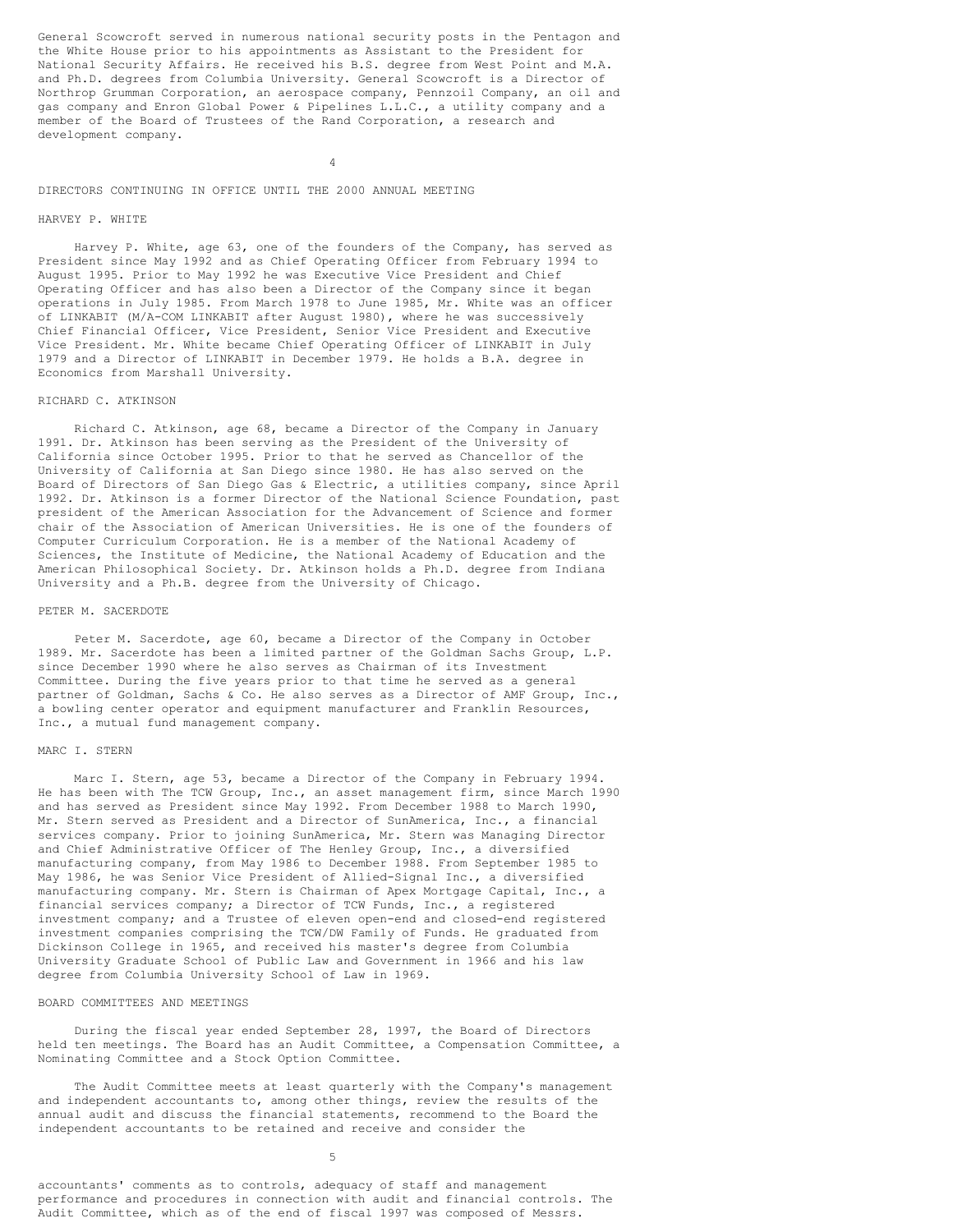General Scowcroft served in numerous national security posts in the Pentagon and the White House prior to his appointments as Assistant to the President for National Security Affairs. He received his B.S. degree from West Point and M.A. and Ph.D. degrees from Columbia University. General Scowcroft is a Director of Northrop Grumman Corporation, an aerospace company, Pennzoil Company, an oil and gas company and Enron Global Power & Pipelines L.L.C., a utility company and a member of the Board of Trustees of the Rand Corporation, a research and development company.

4

## DIRECTORS CONTINUING IN OFFICE UNTIL THE 2000 ANNUAL MEETING

#### HARVEY P. WHITE

Harvey P. White, age 63, one of the founders of the Company, has served as President since May 1992 and as Chief Operating Officer from February 1994 to August 1995. Prior to May 1992 he was Executive Vice President and Chief Operating Officer and has also been a Director of the Company since it began operations in July 1985. From March 1978 to June 1985, Mr. White was an officer of LINKABIT (M/A-COM LINKABIT after August 1980), where he was successively Chief Financial Officer, Vice President, Senior Vice President and Executive Vice President. Mr. White became Chief Operating Officer of LINKABIT in July 1979 and a Director of LINKABIT in December 1979. He holds a B.A. degree in Economics from Marshall University.

# RICHARD C. ATKINSON

Richard C. Atkinson, age 68, became a Director of the Company in January 1991. Dr. Atkinson has been serving as the President of the University of California since October 1995. Prior to that he served as Chancellor of the University of California at San Diego since 1980. He has also served on the Board of Directors of San Diego Gas & Electric, a utilities company, since April 1992. Dr. Atkinson is a former Director of the National Science Foundation, past president of the American Association for the Advancement of Science and former chair of the Association of American Universities. He is one of the founders of Computer Curriculum Corporation. He is a member of the National Academy of Sciences, the Institute of Medicine, the National Academy of Education and the American Philosophical Society. Dr. Atkinson holds a Ph.D. degree from Indiana University and a Ph.B. degree from the University of Chicago.

#### PETER M. SACERDOTE

Peter M. Sacerdote, age 60, became a Director of the Company in October 1989. Mr. Sacerdote has been a limited partner of the Goldman Sachs Group, L.P. since December 1990 where he also serves as Chairman of its Investment Committee. During the five years prior to that time he served as a general partner of Goldman, Sachs & Co. He also serves as a Director of AMF Group, Inc., a bowling center operator and equipment manufacturer and Franklin Resources, Inc., a mutual fund management company.

## MARC I. STERN

Marc I. Stern, age 53, became a Director of the Company in February 1994. He has been with The TCW Group, Inc., an asset management firm, since March 1990 and has served as President since May 1992. From December 1988 to March 1990, Mr. Stern served as President and a Director of SunAmerica, Inc., a financial services company. Prior to joining SunAmerica, Mr. Stern was Managing Director and Chief Administrative Officer of The Henley Group, Inc., a diversified manufacturing company, from May 1986 to December 1988. From September 1985 to May 1986, he was Senior Vice President of Allied-Signal Inc., a diversified manufacturing company. Mr. Stern is Chairman of Apex Mortgage Capital, Inc., a financial services company; a Director of TCW Funds, Inc., a registered investment company; and a Trustee of eleven open-end and closed-end registered investment companies comprising the TCW/DW Family of Funds. He graduated from Dickinson College in 1965, and received his master's degree from Columbia University Graduate School of Public Law and Government in 1966 and his law degree from Columbia University School of Law in 1969.

## BOARD COMMITTEES AND MEETINGS

During the fiscal year ended September 28, 1997, the Board of Directors held ten meetings. The Board has an Audit Committee, a Compensation Committee, a Nominating Committee and a Stock Option Committee.

The Audit Committee meets at least quarterly with the Company's management and independent accountants to, among other things, review the results of the annual audit and discuss the financial statements, recommend to the Board the independent accountants to be retained and receive and consider the

5

accountants' comments as to controls, adequacy of staff and management performance and procedures in connection with audit and financial controls. The Audit Committee, which as of the end of fiscal 1997 was composed of Messrs.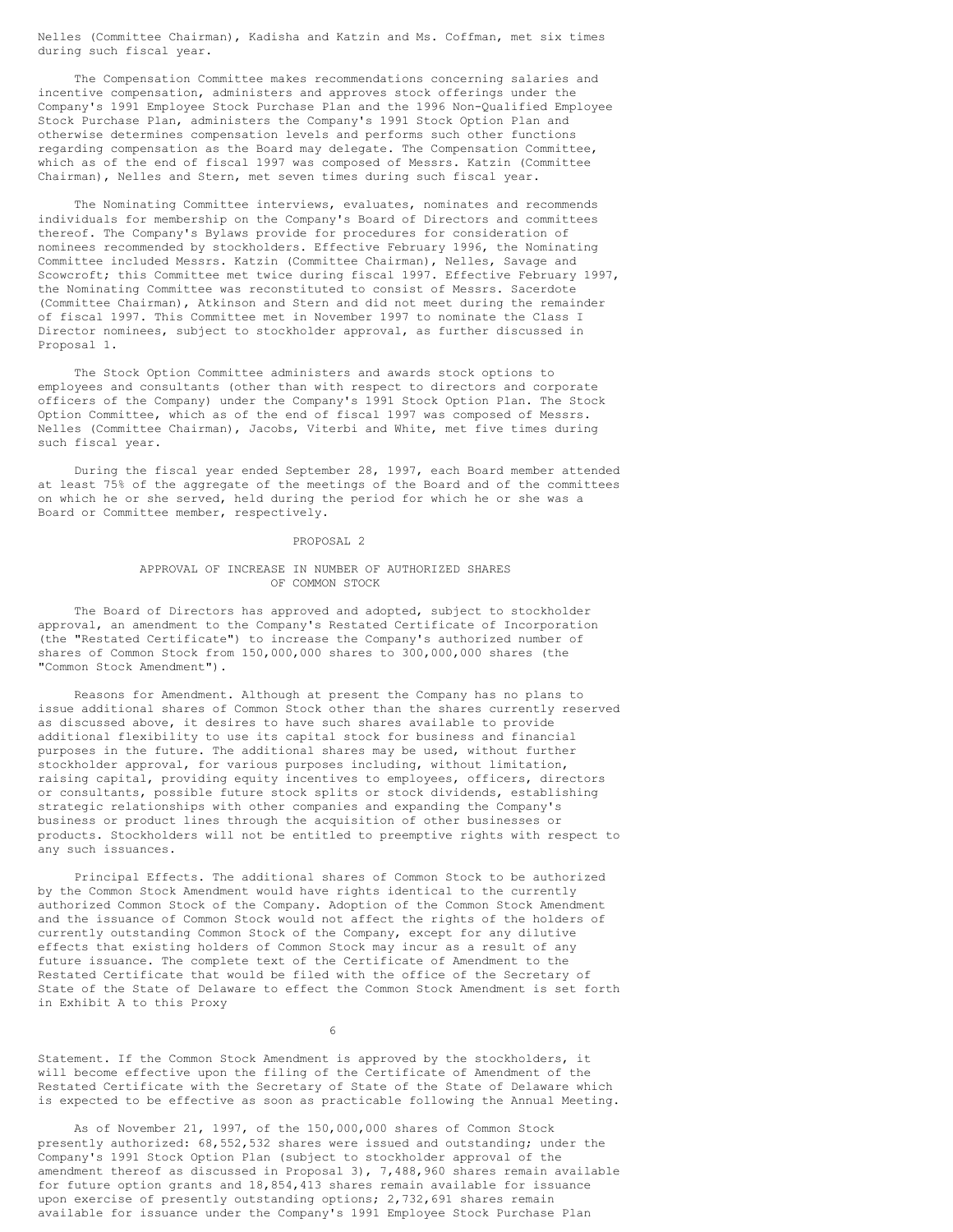Nelles (Committee Chairman), Kadisha and Katzin and Ms. Coffman, met six times during such fiscal year.

The Compensation Committee makes recommendations concerning salaries and incentive compensation, administers and approves stock offerings under the Company's 1991 Employee Stock Purchase Plan and the 1996 Non-Qualified Employee Stock Purchase Plan, administers the Company's 1991 Stock Option Plan and otherwise determines compensation levels and performs such other functions regarding compensation as the Board may delegate. The Compensation Committee, which as of the end of fiscal 1997 was composed of Messrs. Katzin (Committee Chairman), Nelles and Stern, met seven times during such fiscal year.

The Nominating Committee interviews, evaluates, nominates and recommends individuals for membership on the Company's Board of Directors and committees thereof. The Company's Bylaws provide for procedures for consideration of nominees recommended by stockholders. Effective February 1996, the Nominating Committee included Messrs. Katzin (Committee Chairman), Nelles, Savage and Scowcroft; this Committee met twice during fiscal 1997. Effective February 1997, the Nominating Committee was reconstituted to consist of Messrs. Sacerdote (Committee Chairman), Atkinson and Stern and did not meet during the remainder of fiscal 1997. This Committee met in November 1997 to nominate the Class I Director nominees, subject to stockholder approval, as further discussed in Proposal 1.

The Stock Option Committee administers and awards stock options to employees and consultants (other than with respect to directors and corporate officers of the Company) under the Company's 1991 Stock Option Plan. The Stock Option Committee, which as of the end of fiscal 1997 was composed of Messrs. Nelles (Committee Chairman), Jacobs, Viterbi and White, met five times during such fiscal year.

During the fiscal year ended September 28, 1997, each Board member attended at least 75% of the aggregate of the meetings of the Board and of the committees on which he or she served, held during the period for which he or she was a Board or Committee member, respectively.

### PROPOSAL 2

## APPROVAL OF INCREASE IN NUMBER OF AUTHORIZED SHARES OF COMMON STOCK

The Board of Directors has approved and adopted, subject to stockholder approval, an amendment to the Company's Restated Certificate of Incorporation (the "Restated Certificate") to increase the Company's authorized number of shares of Common Stock from 150,000,000 shares to 300,000,000 shares (the "Common Stock Amendment").

Reasons for Amendment. Although at present the Company has no plans to issue additional shares of Common Stock other than the shares currently reserved as discussed above, it desires to have such shares available to provide additional flexibility to use its capital stock for business and financial purposes in the future. The additional shares may be used, without further stockholder approval, for various purposes including, without limitation, raising capital, providing equity incentives to employees, officers, directors or consultants, possible future stock splits or stock dividends, establishing strategic relationships with other companies and expanding the Company's business or product lines through the acquisition of other businesses or products. Stockholders will not be entitled to preemptive rights with respect to any such issuances.

Principal Effects. The additional shares of Common Stock to be authorized by the Common Stock Amendment would have rights identical to the currently authorized Common Stock of the Company. Adoption of the Common Stock Amendment and the issuance of Common Stock would not affect the rights of the holders of currently outstanding Common Stock of the Company, except for any dilutive effects that existing holders of Common Stock may incur as a result of any future issuance. The complete text of the Certificate of Amendment to the Restated Certificate that would be filed with the office of the Secretary of State of the State of Delaware to effect the Common Stock Amendment is set forth in Exhibit A to this Proxy

6

Statement. If the Common Stock Amendment is approved by the stockholders, it will become effective upon the filing of the Certificate of Amendment of the Restated Certificate with the Secretary of State of the State of Delaware which is expected to be effective as soon as practicable following the Annual Meeting.

As of November 21, 1997, of the 150,000,000 shares of Common Stock presently authorized: 68,552,532 shares were issued and outstanding; under the Company's 1991 Stock Option Plan (subject to stockholder approval of the amendment thereof as discussed in Proposal 3), 7,488,960 shares remain available for future option grants and 18,854,413 shares remain available for issuance upon exercise of presently outstanding options; 2,732,691 shares remain available for issuance under the Company's 1991 Employee Stock Purchase Plan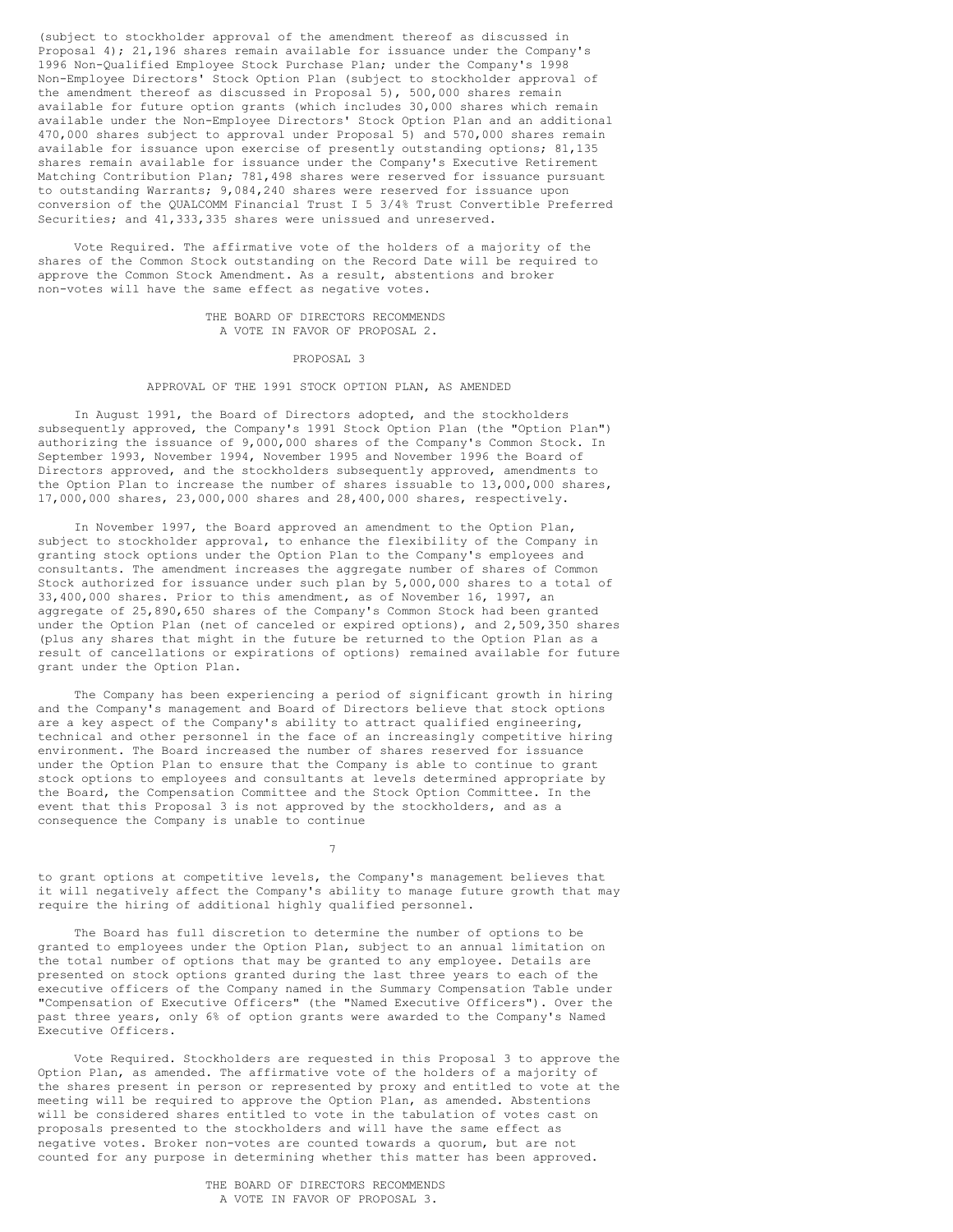(subject to stockholder approval of the amendment thereof as discussed in Proposal 4); 21,196 shares remain available for issuance under the Company's 1996 Non-Qualified Employee Stock Purchase Plan; under the Company's 1998 Non-Employee Directors' Stock Option Plan (subject to stockholder approval of the amendment thereof as discussed in Proposal 5), 500,000 shares remain available for future option grants (which includes 30,000 shares which remain available under the Non-Employee Directors' Stock Option Plan and an additional 470,000 shares subject to approval under Proposal 5) and 570,000 shares remain available for issuance upon exercise of presently outstanding options; 81,135 shares remain available for issuance under the Company's Executive Retirement Matching Contribution Plan; 781,498 shares were reserved for issuance pursuant to outstanding Warrants; 9,084,240 shares were reserved for issuance upon conversion of the QUALCOMM Financial Trust I 5 3/4% Trust Convertible Preferred Securities; and 41,333,335 shares were unissued and unreserved.

Vote Required. The affirmative vote of the holders of a majority of the shares of the Common Stock outstanding on the Record Date will be required to approve the Common Stock Amendment. As a result, abstentions and broker non-votes will have the same effect as negative votes.

> THE BOARD OF DIRECTORS RECOMMENDS A VOTE IN FAVOR OF PROPOSAL 2.

> > PROPOSAL 3

## APPROVAL OF THE 1991 STOCK OPTION PLAN, AS AMENDED

In August 1991, the Board of Directors adopted, and the stockholders subsequently approved, the Company's 1991 Stock Option Plan (the "Option Plan") authorizing the issuance of 9,000,000 shares of the Company's Common Stock. In September 1993, November 1994, November 1995 and November 1996 the Board of Directors approved, and the stockholders subsequently approved, amendments to the Option Plan to increase the number of shares issuable to 13,000,000 shares, 17,000,000 shares, 23,000,000 shares and 28,400,000 shares, respectively.

In November 1997, the Board approved an amendment to the Option Plan, subject to stockholder approval, to enhance the flexibility of the Company in granting stock options under the Option Plan to the Company's employees and consultants. The amendment increases the aggregate number of shares of Common Stock authorized for issuance under such plan by 5,000,000 shares to a total of 33,400,000 shares. Prior to this amendment, as of November 16, 1997, an aggregate of 25,890,650 shares of the Company's Common Stock had been granted under the Option Plan (net of canceled or expired options), and 2,509,350 shares (plus any shares that might in the future be returned to the Option Plan as a result of cancellations or expirations of options) remained available for future grant under the Option Plan.

The Company has been experiencing a period of significant growth in hiring and the Company's management and Board of Directors believe that stock options are a key aspect of the Company's ability to attract qualified engineering, technical and other personnel in the face of an increasingly competitive hiring environment. The Board increased the number of shares reserved for issuance under the Option Plan to ensure that the Company is able to continue to grant stock options to employees and consultants at levels determined appropriate by the Board, the Compensation Committee and the Stock Option Committee. In the event that this Proposal 3 is not approved by the stockholders, and as a consequence the Company is unable to continue

7

to grant options at competitive levels, the Company's management believes that it will negatively affect the Company's ability to manage future growth that may require the hiring of additional highly qualified personnel.

The Board has full discretion to determine the number of options to be granted to employees under the Option Plan, subject to an annual limitation on the total number of options that may be granted to any employee. Details are presented on stock options granted during the last three years to each of the executive officers of the Company named in the Summary Compensation Table under "Compensation of Executive Officers" (the "Named Executive Officers"). Over the past three years, only 6% of option grants were awarded to the Company's Named Executive Officers.

Vote Required. Stockholders are requested in this Proposal 3 to approve the Option Plan, as amended. The affirmative vote of the holders of a majority of the shares present in person or represented by proxy and entitled to vote at the meeting will be required to approve the Option Plan, as amended. Abstentions will be considered shares entitled to vote in the tabulation of votes cast on proposals presented to the stockholders and will have the same effect as negative votes. Broker non-votes are counted towards a quorum, but are not counted for any purpose in determining whether this matter has been approved.

> THE BOARD OF DIRECTORS RECOMMENDS A VOTE IN FAVOR OF PROPOSAL 3.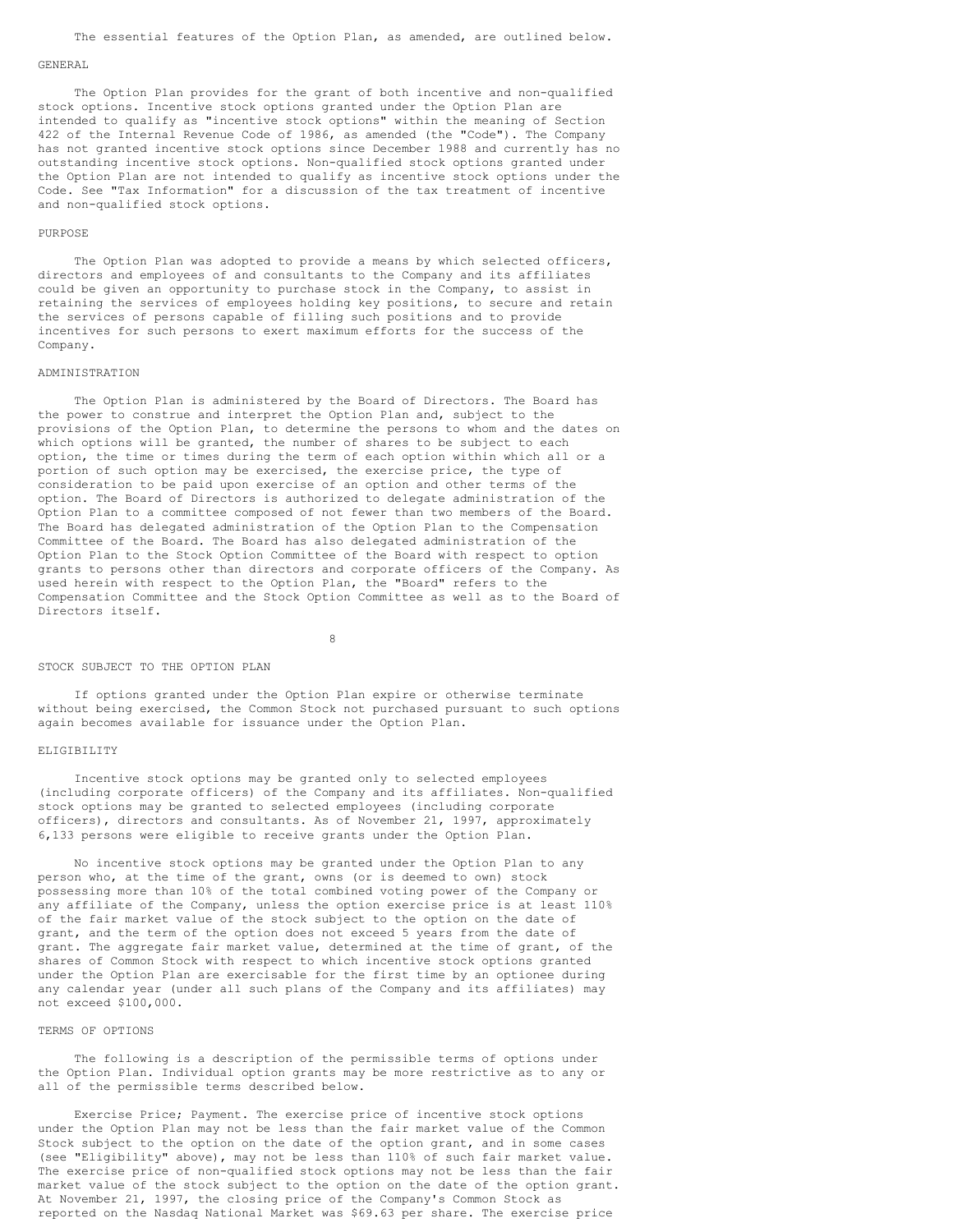#### GENERAL

The Option Plan provides for the grant of both incentive and non-qualified stock options. Incentive stock options granted under the Option Plan are intended to qualify as "incentive stock options" within the meaning of Section 422 of the Internal Revenue Code of 1986, as amended (the "Code"). The Company has not granted incentive stock options since December 1988 and currently has no outstanding incentive stock options. Non-qualified stock options granted under the Option Plan are not intended to qualify as incentive stock options under the Code. See "Tax Information" for a discussion of the tax treatment of incentive and non-qualified stock options.

### PURPOSE

The Option Plan was adopted to provide a means by which selected officers, directors and employees of and consultants to the Company and its affiliates could be given an opportunity to purchase stock in the Company, to assist in retaining the services of employees holding key positions, to secure and retain the services of persons capable of filling such positions and to provide incentives for such persons to exert maximum efforts for the success of the Company.

#### ADMINISTRATION

The Option Plan is administered by the Board of Directors. The Board has the power to construe and interpret the Option Plan and, subject to the provisions of the Option Plan, to determine the persons to whom and the dates on which options will be granted, the number of shares to be subject to each option, the time or times during the term of each option within which all or a portion of such option may be exercised, the exercise price, the type of consideration to be paid upon exercise of an option and other terms of the option. The Board of Directors is authorized to delegate administration of the Option Plan to a committee composed of not fewer than two members of the Board. The Board has delegated administration of the Option Plan to the Compensation Committee of the Board. The Board has also delegated administration of the Option Plan to the Stock Option Committee of the Board with respect to option grants to persons other than directors and corporate officers of the Company. As used herein with respect to the Option Plan, the "Board" refers to the Compensation Committee and the Stock Option Committee as well as to the Board of Directors itself.

8

## STOCK SUBJECT TO THE OPTION PLAN

If options granted under the Option Plan expire or otherwise terminate without being exercised, the Common Stock not purchased pursuant to such options again becomes available for issuance under the Option Plan.

## ELIGIBILITY

Incentive stock options may be granted only to selected employees (including corporate officers) of the Company and its affiliates. Non-qualified stock options may be granted to selected employees (including corporate officers), directors and consultants. As of November 21, 1997, approximately 6,133 persons were eligible to receive grants under the Option Plan.

No incentive stock options may be granted under the Option Plan to any person who, at the time of the grant, owns (or is deemed to own) stock possessing more than 10% of the total combined voting power of the Company or any affiliate of the Company, unless the option exercise price is at least 110% of the fair market value of the stock subject to the option on the date of grant, and the term of the option does not exceed 5 years from the date of grant. The aggregate fair market value, determined at the time of grant, of the shares of Common Stock with respect to which incentive stock options granted under the Option Plan are exercisable for the first time by an optionee during any calendar year (under all such plans of the Company and its affiliates) may not exceed \$100,000.

### TERMS OF OPTIONS

The following is a description of the permissible terms of options under the Option Plan. Individual option grants may be more restrictive as to any or all of the permissible terms described below.

Exercise Price; Payment. The exercise price of incentive stock options under the Option Plan may not be less than the fair market value of the Common Stock subject to the option on the date of the option grant, and in some cases (see "Eligibility" above), may not be less than 110% of such fair market value. The exercise price of non-qualified stock options may not be less than the fair market value of the stock subject to the option on the date of the option grant. At November 21, 1997, the closing price of the Company's Common Stock as reported on the Nasdaq National Market was \$69.63 per share. The exercise price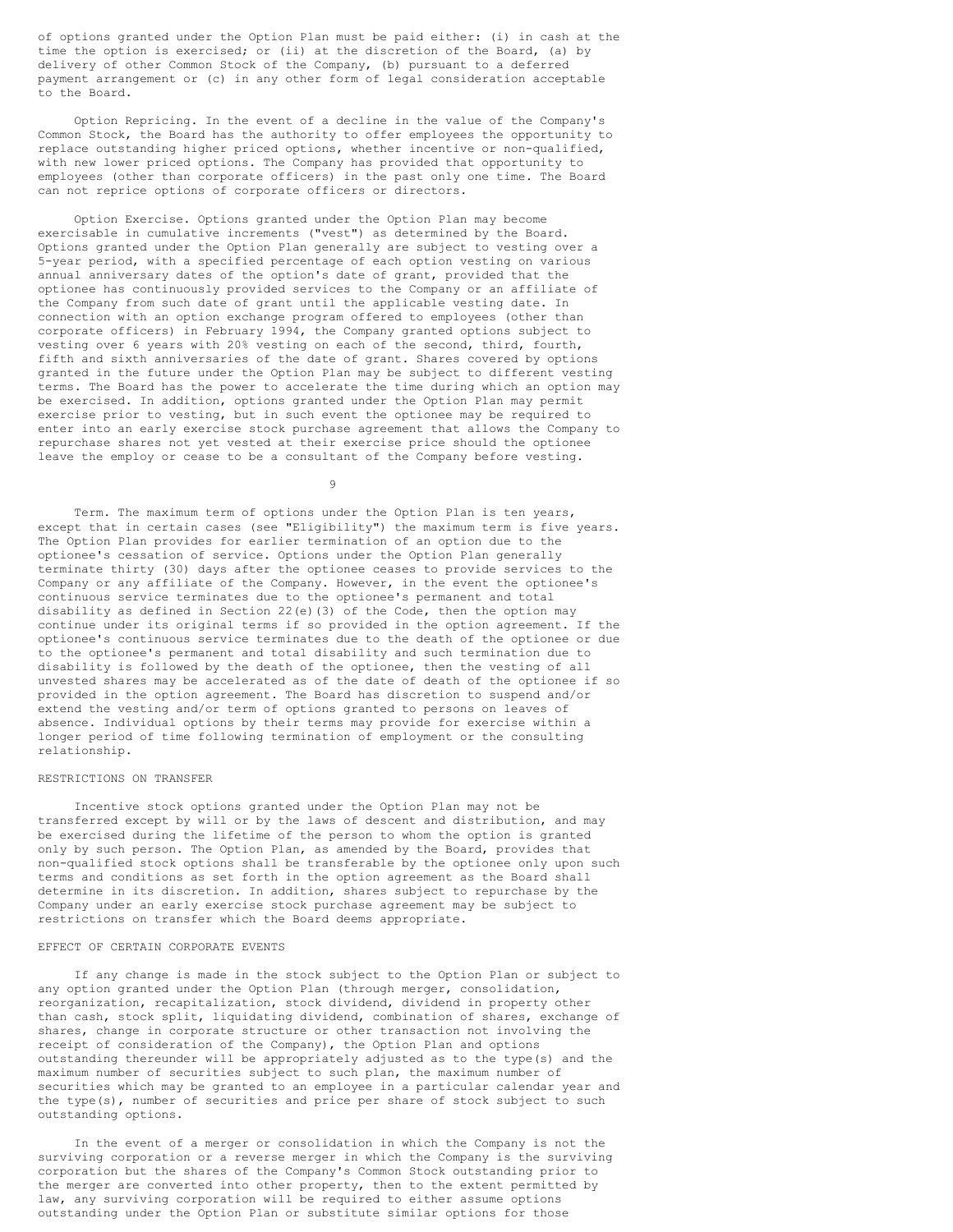of options granted under the Option Plan must be paid either: (i) in cash at the time the option is exercised; or (ii) at the discretion of the Board, (a) by delivery of other Common Stock of the Company, (b) pursuant to a deferred payment arrangement or (c) in any other form of legal consideration acceptable to the Board.

Option Repricing. In the event of a decline in the value of the Company's Common Stock, the Board has the authority to offer employees the opportunity to replace outstanding higher priced options, whether incentive or non-qualified, with new lower priced options. The Company has provided that opportunity to employees (other than corporate officers) in the past only one time. The Board can not reprice options of corporate officers or directors.

Option Exercise. Options granted under the Option Plan may become exercisable in cumulative increments ("vest") as determined by the Board. Options granted under the Option Plan generally are subject to vesting over a 5-year period, with a specified percentage of each option vesting on various annual anniversary dates of the option's date of grant, provided that the optionee has continuously provided services to the Company or an affiliate of the Company from such date of grant until the applicable vesting date. In connection with an option exchange program offered to employees (other than corporate officers) in February 1994, the Company granted options subject to vesting over 6 years with 20% vesting on each of the second, third, fourth, fifth and sixth anniversaries of the date of grant. Shares covered by options granted in the future under the Option Plan may be subject to different vesting terms. The Board has the power to accelerate the time during which an option may be exercised. In addition, options granted under the Option Plan may permit exercise prior to vesting, but in such event the optionee may be required to enter into an early exercise stock purchase agreement that allows the Company to repurchase shares not yet vested at their exercise price should the optionee leave the employ or cease to be a consultant of the Company before vesting.

9

Term. The maximum term of options under the Option Plan is ten years, except that in certain cases (see "Eligibility") the maximum term is five years. The Option Plan provides for earlier termination of an option due to the optionee's cessation of service. Options under the Option Plan generally terminate thirty (30) days after the optionee ceases to provide services to the Company or any affiliate of the Company. However, in the event the optionee's continuous service terminates due to the optionee's permanent and total disability as defined in Section 22(e)(3) of the Code, then the option may continue under its original terms if so provided in the option agreement. If the optionee's continuous service terminates due to the death of the optionee or due to the optionee's permanent and total disability and such termination due to disability is followed by the death of the optionee, then the vesting of all unvested shares may be accelerated as of the date of death of the optionee if so provided in the option agreement. The Board has discretion to suspend and/or extend the vesting and/or term of options granted to persons on leaves of absence. Individual options by their terms may provide for exercise within a longer period of time following termination of employment or the consulting relationship.

### RESTRICTIONS ON TRANSFER

Incentive stock options granted under the Option Plan may not be transferred except by will or by the laws of descent and distribution, and may be exercised during the lifetime of the person to whom the option is granted only by such person. The Option Plan, as amended by the Board, provides that non-qualified stock options shall be transferable by the optionee only upon such terms and conditions as set forth in the option agreement as the Board shall determine in its discretion. In addition, shares subject to repurchase by the Company under an early exercise stock purchase agreement may be subject to restrictions on transfer which the Board deems appropriate.

## EFFECT OF CERTAIN CORPORATE EVENTS

If any change is made in the stock subject to the Option Plan or subject to any option granted under the Option Plan (through merger, consolidation, reorganization, recapitalization, stock dividend, dividend in property other than cash, stock split, liquidating dividend, combination of shares, exchange of shares, change in corporate structure or other transaction not involving the receipt of consideration of the Company), the Option Plan and options outstanding thereunder will be appropriately adjusted as to the type(s) and the maximum number of securities subject to such plan, the maximum number of securities which may be granted to an employee in a particular calendar year and the type(s), number of securities and price per share of stock subject to such outstanding options.

In the event of a merger or consolidation in which the Company is not the surviving corporation or a reverse merger in which the Company is the surviving corporation but the shares of the Company's Common Stock outstanding prior to the merger are converted into other property, then to the extent permitted by law, any surviving corporation will be required to either assume options outstanding under the Option Plan or substitute similar options for those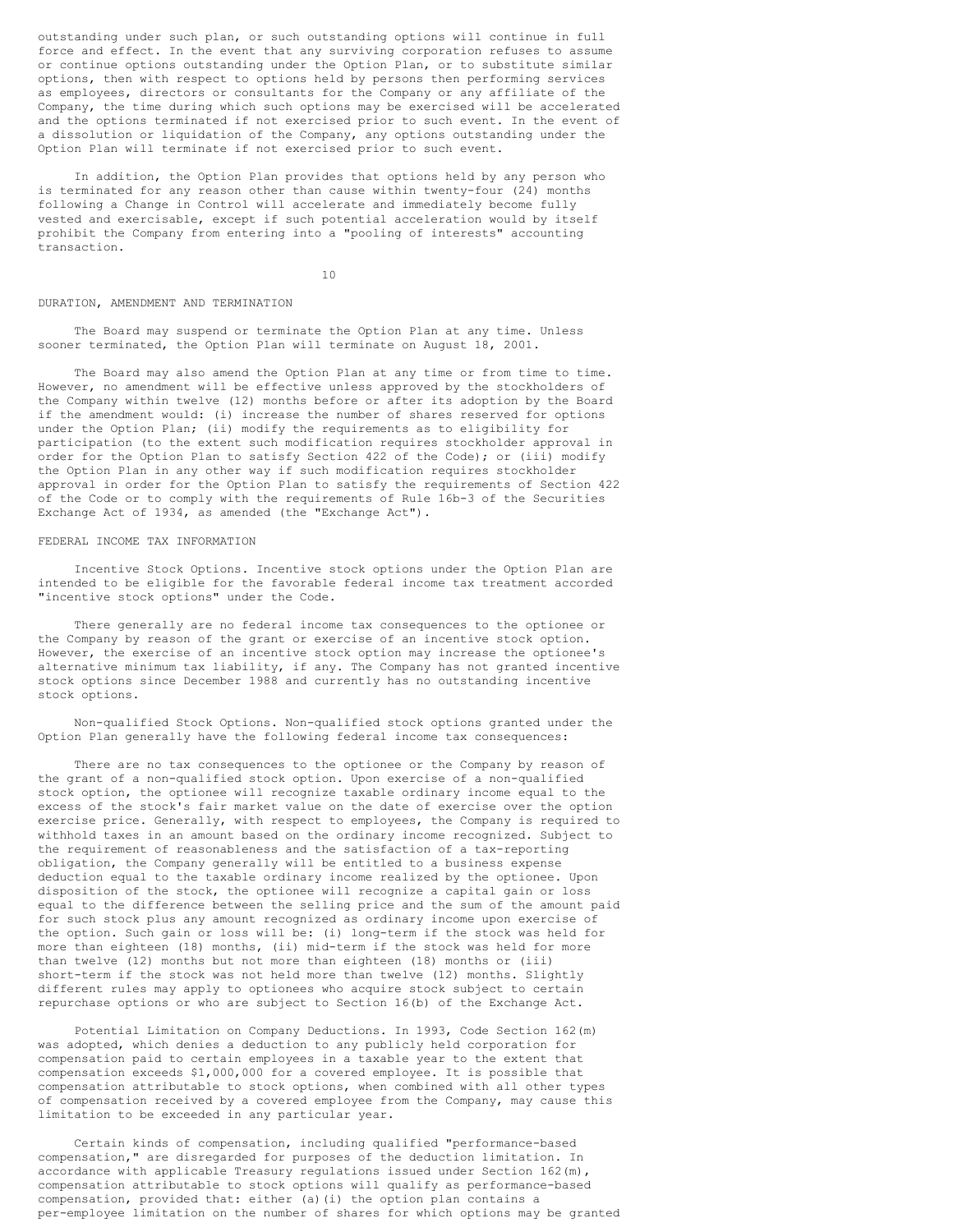outstanding under such plan, or such outstanding options will continue in full force and effect. In the event that any surviving corporation refuses to assume or continue options outstanding under the Option Plan, or to substitute similar options, then with respect to options held by persons then performing services as employees, directors or consultants for the Company or any affiliate of the Company, the time during which such options may be exercised will be accelerated and the options terminated if not exercised prior to such event. In the event of a dissolution or liquidation of the Company, any options outstanding under the Option Plan will terminate if not exercised prior to such event.

In addition, the Option Plan provides that options held by any person who is terminated for any reason other than cause within twenty-four (24) months following a Change in Control will accelerate and immediately become fully vested and exercisable, except if such potential acceleration would by itself prohibit the Company from entering into a "pooling of interests" accounting transaction.

10

### DURATION, AMENDMENT AND TERMINATION

The Board may suspend or terminate the Option Plan at any time. Unless sooner terminated, the Option Plan will terminate on August 18, 2001.

The Board may also amend the Option Plan at any time or from time to time. However, no amendment will be effective unless approved by the stockholders of the Company within twelve (12) months before or after its adoption by the Board if the amendment would: (i) increase the number of shares reserved for options under the Option Plan; (ii) modify the requirements as to eligibility for participation (to the extent such modification requires stockholder approval in order for the Option Plan to satisfy Section 422 of the Code); or (iii) modify the Option Plan in any other way if such modification requires stockholder approval in order for the Option Plan to satisfy the requirements of Section 422 of the Code or to comply with the requirements of Rule 16b-3 of the Securities Exchange Act of 1934, as amended (the "Exchange Act").

### FEDERAL INCOME TAX INFORMATION

Incentive Stock Options. Incentive stock options under the Option Plan are intended to be eligible for the favorable federal income tax treatment accorded "incentive stock options" under the Code.

There generally are no federal income tax consequences to the optionee or the Company by reason of the grant or exercise of an incentive stock option. However, the exercise of an incentive stock option may increase the optionee's alternative minimum tax liability, if any. The Company has not granted incentive stock options since December 1988 and currently has no outstanding incentive stock options.

Non-qualified Stock Options. Non-qualified stock options granted under the Option Plan generally have the following federal income tax consequences:

There are no tax consequences to the optionee or the Company by reason of the grant of a non-qualified stock option. Upon exercise of a non-qualified stock option, the optionee will recognize taxable ordinary income equal to the excess of the stock's fair market value on the date of exercise over the option exercise price. Generally, with respect to employees, the Company is required to withhold taxes in an amount based on the ordinary income recognized. Subject to the requirement of reasonableness and the satisfaction of a tax-reporting obligation, the Company generally will be entitled to a business expense deduction equal to the taxable ordinary income realized by the optionee. Upon disposition of the stock, the optionee will recognize a capital gain or loss equal to the difference between the selling price and the sum of the amount paid for such stock plus any amount recognized as ordinary income upon exercise of the option. Such gain or loss will be: (i) long-term if the stock was held for more than eighteen (18) months, (ii) mid-term if the stock was held for more than twelve (12) months but not more than eighteen (18) months or (iii) short-term if the stock was not held more than twelve (12) months. Slightly different rules may apply to optionees who acquire stock subject to certain repurchase options or who are subject to Section 16(b) of the Exchange Act.

Potential Limitation on Company Deductions. In 1993, Code Section 162(m) was adopted, which denies a deduction to any publicly held corporation for compensation paid to certain employees in a taxable year to the extent that compensation exceeds \$1,000,000 for a covered employee. It is possible that compensation attributable to stock options, when combined with all other types of compensation received by a covered employee from the Company, may cause this limitation to be exceeded in any particular year.

Certain kinds of compensation, including qualified "performance-based compensation," are disregarded for purposes of the deduction limitation. In accordance with applicable Treasury regulations issued under Section  $162(m)$ , compensation attributable to stock options will qualify as performance-based compensation, provided that: either (a)(i) the option plan contains a per-employee limitation on the number of shares for which options may be granted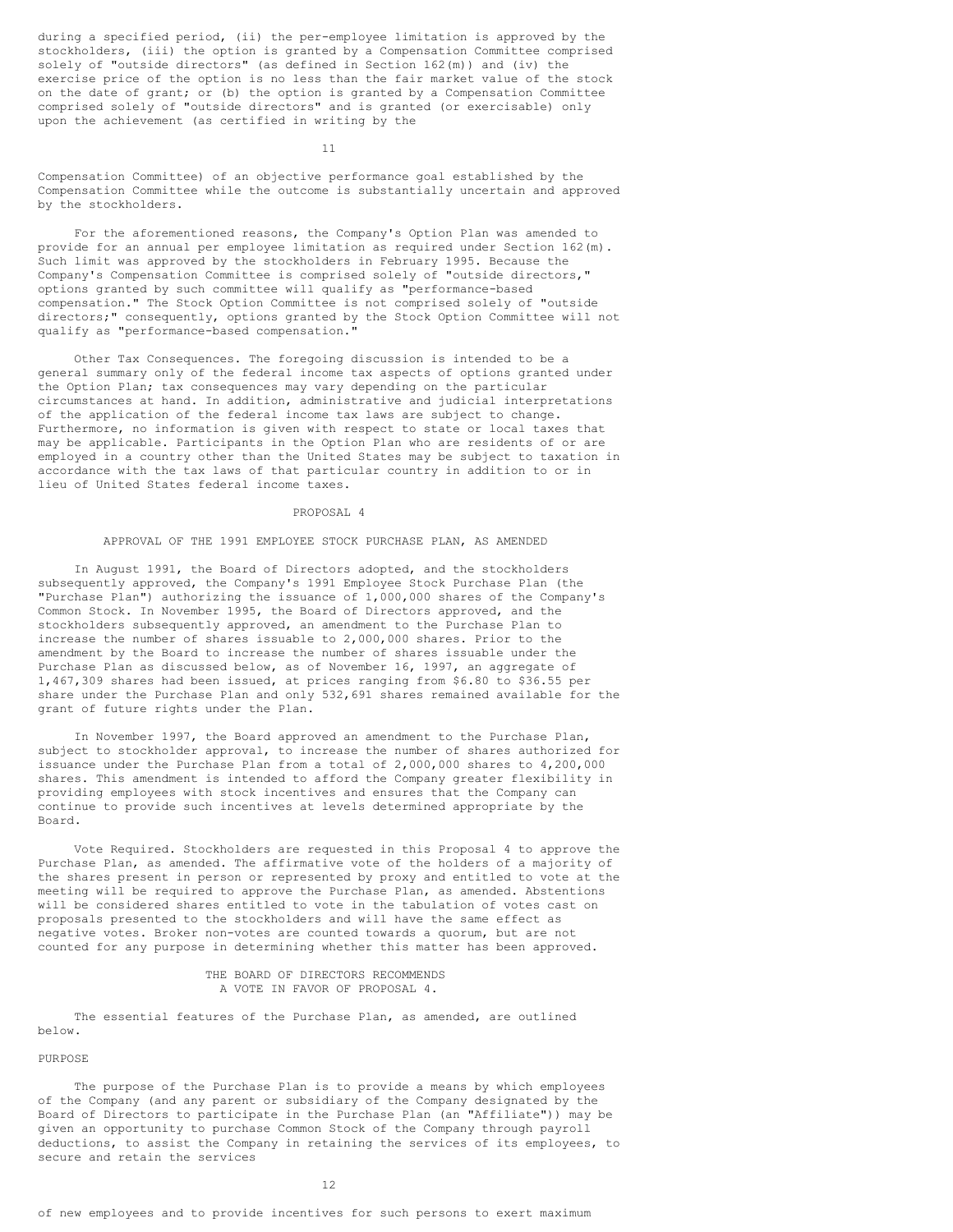during a specified period, (ii) the per-employee limitation is approved by the stockholders, (iii) the option is granted by a Compensation Committee comprised solely of "outside directors" (as defined in Section 162(m)) and (iv) the exercise price of the option is no less than the fair market value of the stock on the date of grant; or (b) the option is granted by a Compensation Committee comprised solely of "outside directors" and is granted (or exercisable) only upon the achievement (as certified in writing by the

11

Compensation Committee) of an objective performance goal established by the Compensation Committee while the outcome is substantially uncertain and approved by the stockholders.

For the aforementioned reasons, the Company's Option Plan was amended to provide for an annual per employee limitation as required under Section 162(m). Such limit was approved by the stockholders in February 1995. Because the Company's Compensation Committee is comprised solely of "outside directors," options granted by such committee will qualify as "performance-based compensation." The Stock Option Committee is not comprised solely of "outside directors;" consequently, options granted by the Stock Option Committee will not qualify as "performance-based compensation."

Other Tax Consequences. The foregoing discussion is intended to be a general summary only of the federal income tax aspects of options granted under the Option Plan; tax consequences may vary depending on the particular circumstances at hand. In addition, administrative and judicial interpretations of the application of the federal income tax laws are subject to change. Furthermore, no information is given with respect to state or local taxes that may be applicable. Participants in the Option Plan who are residents of or are employed in a country other than the United States may be subject to taxation in accordance with the tax laws of that particular country in addition to or in lieu of United States federal income taxes.

PROPOSAL 4

### APPROVAL OF THE 1991 EMPLOYEE STOCK PURCHASE PLAN, AS AMENDED

In August 1991, the Board of Directors adopted, and the stockholders subsequently approved, the Company's 1991 Employee Stock Purchase Plan (the "Purchase Plan") authorizing the issuance of 1,000,000 shares of the Company's Common Stock. In November 1995, the Board of Directors approved, and the stockholders subsequently approved, an amendment to the Purchase Plan to increase the number of shares issuable to 2,000,000 shares. Prior to the amendment by the Board to increase the number of shares issuable under the Purchase Plan as discussed below, as of November 16, 1997, an aggregate of 1,467,309 shares had been issued, at prices ranging from \$6.80 to \$36.55 per share under the Purchase Plan and only 532,691 shares remained available for the grant of future rights under the Plan.

In November 1997, the Board approved an amendment to the Purchase Plan, subject to stockholder approval, to increase the number of shares authorized for issuance under the Purchase Plan from a total of 2,000,000 shares to 4,200,000 shares. This amendment is intended to afford the Company greater flexibility in providing employees with stock incentives and ensures that the Company can continue to provide such incentives at levels determined appropriate by the Board.

Vote Required. Stockholders are requested in this Proposal 4 to approve the Purchase Plan, as amended. The affirmative vote of the holders of a majority of the shares present in person or represented by proxy and entitled to vote at the meeting will be required to approve the Purchase Plan, as amended. Abstentions will be considered shares entitled to vote in the tabulation of votes cast on proposals presented to the stockholders and will have the same effect as negative votes. Broker non-votes are counted towards a quorum, but are not counted for any purpose in determining whether this matter has been approved.

> THE BOARD OF DIRECTORS RECOMMENDS A VOTE IN FAVOR OF PROPOSAL 4.

The essential features of the Purchase Plan, as amended, are outlined below.

## PURPOSE

The purpose of the Purchase Plan is to provide a means by which employees of the Company (and any parent or subsidiary of the Company designated by the Board of Directors to participate in the Purchase Plan (an "Affiliate")) may be given an opportunity to purchase Common Stock of the Company through payroll deductions, to assist the Company in retaining the services of its employees, to secure and retain the services

12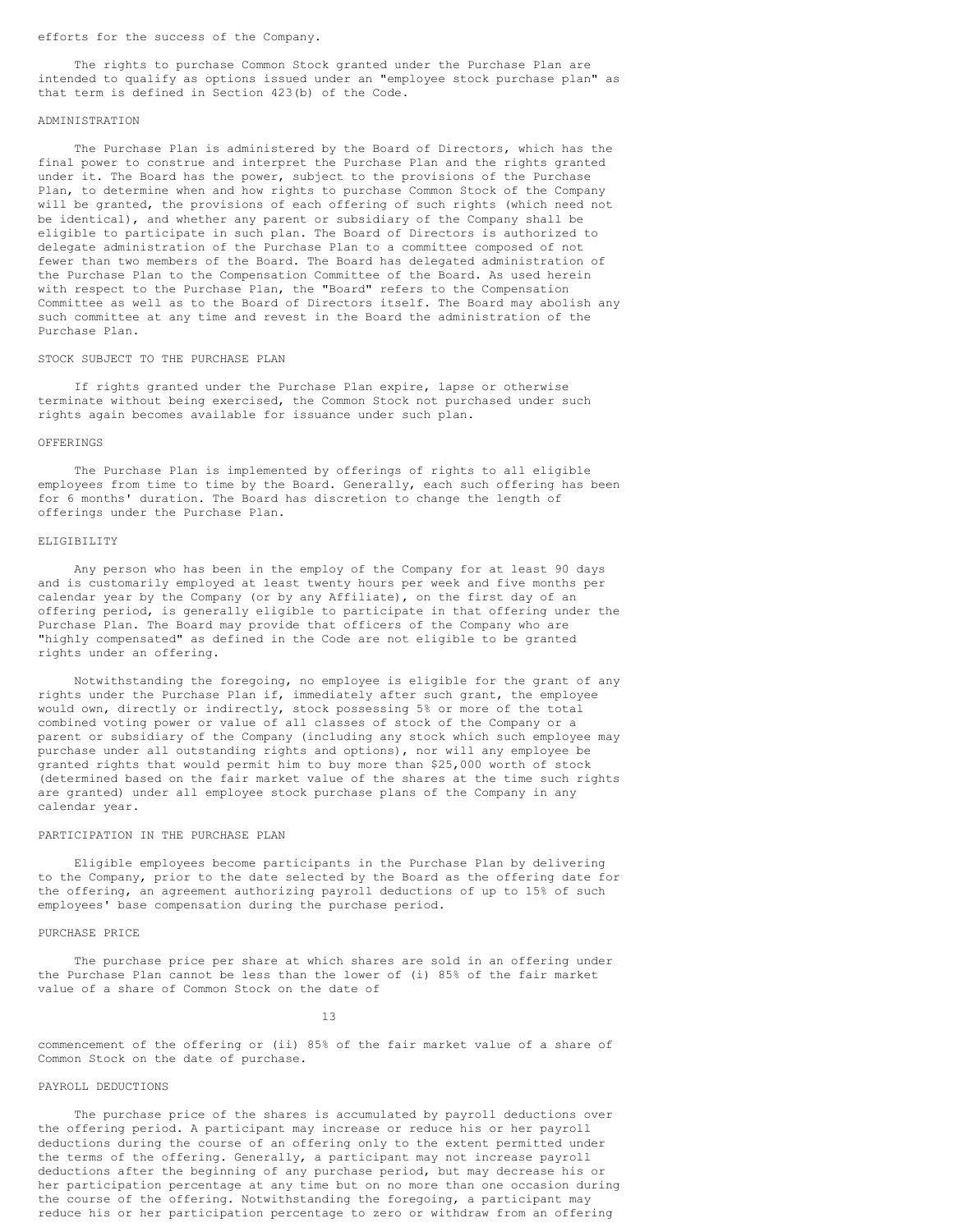### efforts for the success of the Company.

The rights to purchase Common Stock granted under the Purchase Plan are intended to qualify as options issued under an "employee stock purchase plan" as that term is defined in Section 423(b) of the Code.

#### ADMINISTRATION

The Purchase Plan is administered by the Board of Directors, which has the final power to construe and interpret the Purchase Plan and the rights granted under it. The Board has the power, subject to the provisions of the Purchase Plan, to determine when and how rights to purchase Common Stock of the Company will be granted, the provisions of each offering of such rights (which need not be identical), and whether any parent or subsidiary of the Company shall be eligible to participate in such plan. The Board of Directors is authorized to delegate administration of the Purchase Plan to a committee composed of not fewer than two members of the Board. The Board has delegated administration of the Purchase Plan to the Compensation Committee of the Board. As used herein with respect to the Purchase Plan, the "Board" refers to the Compensation Committee as well as to the Board of Directors itself. The Board may abolish any such committee at any time and revest in the Board the administration of the Purchase Plan.

### STOCK SUBJECT TO THE PURCHASE PLAN

If rights granted under the Purchase Plan expire, lapse or otherwise terminate without being exercised, the Common Stock not purchased under such rights again becomes available for issuance under such plan.

### **OFFERINGS**

The Purchase Plan is implemented by offerings of rights to all eligible employees from time to time by the Board. Generally, each such offering has been for 6 months' duration. The Board has discretion to change the length of offerings under the Purchase Plan.

### ELIGIBILITY

Any person who has been in the employ of the Company for at least 90 days and is customarily employed at least twenty hours per week and five months per calendar year by the Company (or by any Affiliate), on the first day of an offering period, is generally eligible to participate in that offering under the Purchase Plan. The Board may provide that officers of the Company who are "highly compensated" as defined in the Code are not eligible to be granted rights under an offering.

Notwithstanding the foregoing, no employee is eligible for the grant of any rights under the Purchase Plan if, immediately after such grant, the employee would own, directly or indirectly, stock possessing 5% or more of the total combined voting power or value of all classes of stock of the Company or a parent or subsidiary of the Company (including any stock which such employee may purchase under all outstanding rights and options), nor will any employee be granted rights that would permit him to buy more than \$25,000 worth of stock (determined based on the fair market value of the shares at the time such rights are granted) under all employee stock purchase plans of the Company in any calendar year.

## PARTICIPATION IN THE PURCHASE PLAN

Eligible employees become participants in the Purchase Plan by delivering to the Company, prior to the date selected by the Board as the offering date for the offering, an agreement authorizing payroll deductions of up to 15% of such employees' base compensation during the purchase period.

## PURCHASE PRICE

The purchase price per share at which shares are sold in an offering under the Purchase Plan cannot be less than the lower of (i) 85% of the fair market value of a share of Common Stock on the date of

13

commencement of the offering or (ii) 85% of the fair market value of a share of Common Stock on the date of purchase.

#### PAYROLL DEDUCTIONS

The purchase price of the shares is accumulated by payroll deductions over the offering period. A participant may increase or reduce his or her payroll deductions during the course of an offering only to the extent permitted under the terms of the offering. Generally, a participant may not increase payroll deductions after the beginning of any purchase period, but may decrease his or her participation percentage at any time but on no more than one occasion during the course of the offering. Notwithstanding the foregoing, a participant may reduce his or her participation percentage to zero or withdraw from an offering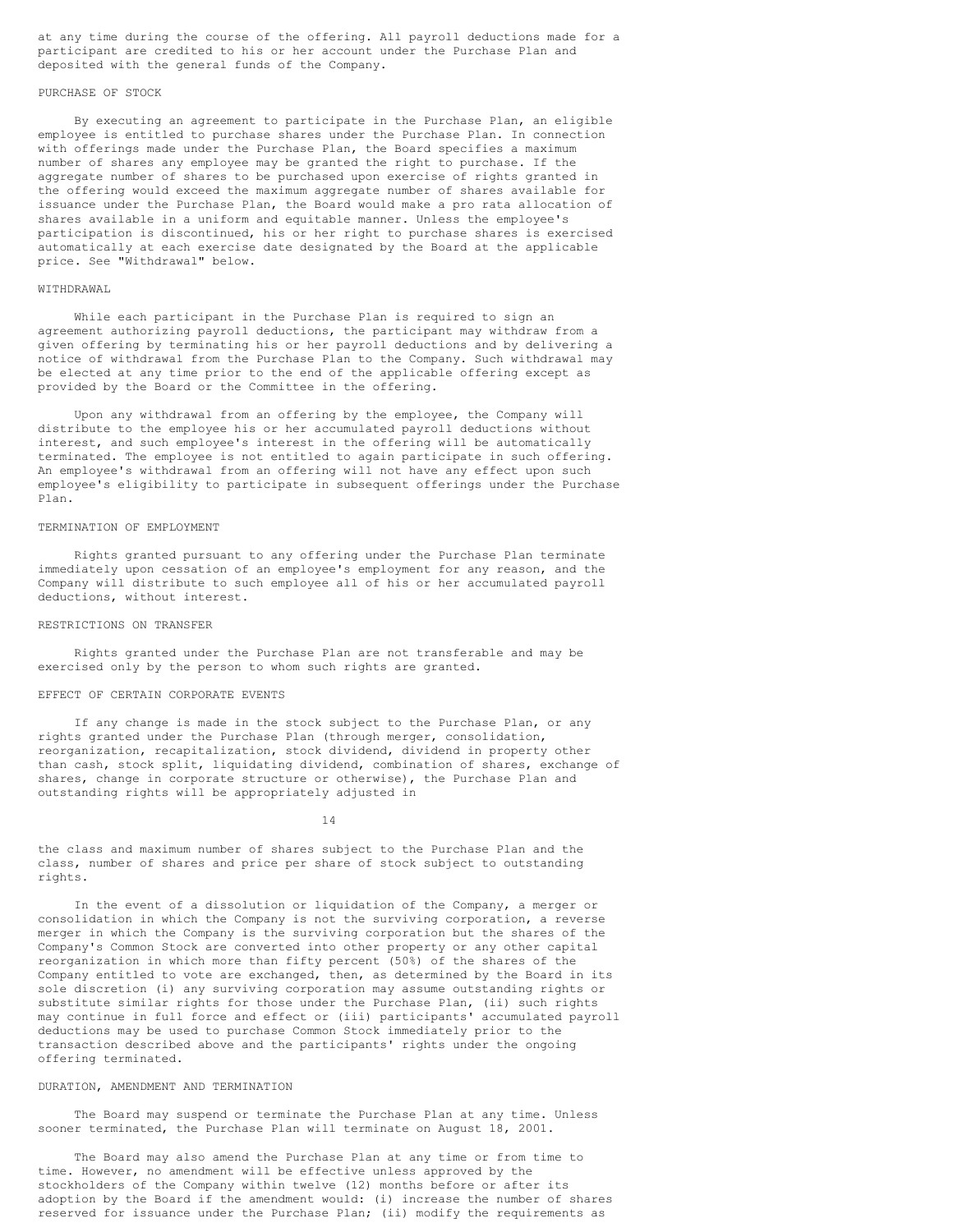at any time during the course of the offering. All payroll deductions made for a participant are credited to his or her account under the Purchase Plan and deposited with the general funds of the Company.

## PURCHASE OF STOCK

By executing an agreement to participate in the Purchase Plan, an eligible employee is entitled to purchase shares under the Purchase Plan. In connection with offerings made under the Purchase Plan, the Board specifies a maximum number of shares any employee may be granted the right to purchase. If the aggregate number of shares to be purchased upon exercise of rights granted in the offering would exceed the maximum aggregate number of shares available for issuance under the Purchase Plan, the Board would make a pro rata allocation of shares available in a uniform and equitable manner. Unless the employee's participation is discontinued, his or her right to purchase shares is exercised automatically at each exercise date designated by the Board at the applicable price. See "Withdrawal" below.

## WITHDRAWAL

While each participant in the Purchase Plan is required to sign an agreement authorizing payroll deductions, the participant may withdraw from a given offering by terminating his or her payroll deductions and by delivering a notice of withdrawal from the Purchase Plan to the Company. Such withdrawal may be elected at any time prior to the end of the applicable offering except as provided by the Board or the Committee in the offering.

Upon any withdrawal from an offering by the employee, the Company will distribute to the employee his or her accumulated payroll deductions without interest, and such employee's interest in the offering will be automatically terminated. The employee is not entitled to again participate in such offering. An employee's withdrawal from an offering will not have any effect upon such employee's eligibility to participate in subsequent offerings under the Purchase Plan.

### TERMINATION OF EMPLOYMENT

Rights granted pursuant to any offering under the Purchase Plan terminate immediately upon cessation of an employee's employment for any reason, and the Company will distribute to such employee all of his or her accumulated payroll deductions, without interest.

### RESTRICTIONS ON TRANSFER

Rights granted under the Purchase Plan are not transferable and may be exercised only by the person to whom such rights are granted.

## EFFECT OF CERTAIN CORPORATE EVENTS

If any change is made in the stock subject to the Purchase Plan, or any rights granted under the Purchase Plan (through merger, consolidation, reorganization, recapitalization, stock dividend, dividend in property other than cash, stock split, liquidating dividend, combination of shares, exchange of shares, change in corporate structure or otherwise), the Purchase Plan and outstanding rights will be appropriately adjusted in

14

the class and maximum number of shares subject to the Purchase Plan and the class, number of shares and price per share of stock subject to outstanding rights.

In the event of a dissolution or liquidation of the Company, a merger or consolidation in which the Company is not the surviving corporation, a reverse merger in which the Company is the surviving corporation but the shares of the Company's Common Stock are converted into other property or any other capital reorganization in which more than fifty percent (50%) of the shares of the Company entitled to vote are exchanged, then, as determined by the Board in its sole discretion (i) any surviving corporation may assume outstanding rights or substitute similar rights for those under the Purchase Plan, (ii) such rights may continue in full force and effect or (iii) participants' accumulated payroll deductions may be used to purchase Common Stock immediately prior to the transaction described above and the participants' rights under the ongoing offering terminated.

### DURATION, AMENDMENT AND TERMINATION

The Board may suspend or terminate the Purchase Plan at any time. Unless sooner terminated, the Purchase Plan will terminate on August 18, 2001.

The Board may also amend the Purchase Plan at any time or from time to time. However, no amendment will be effective unless approved by the stockholders of the Company within twelve (12) months before or after its adoption by the Board if the amendment would: (i) increase the number of shares reserved for issuance under the Purchase Plan; (ii) modify the requirements as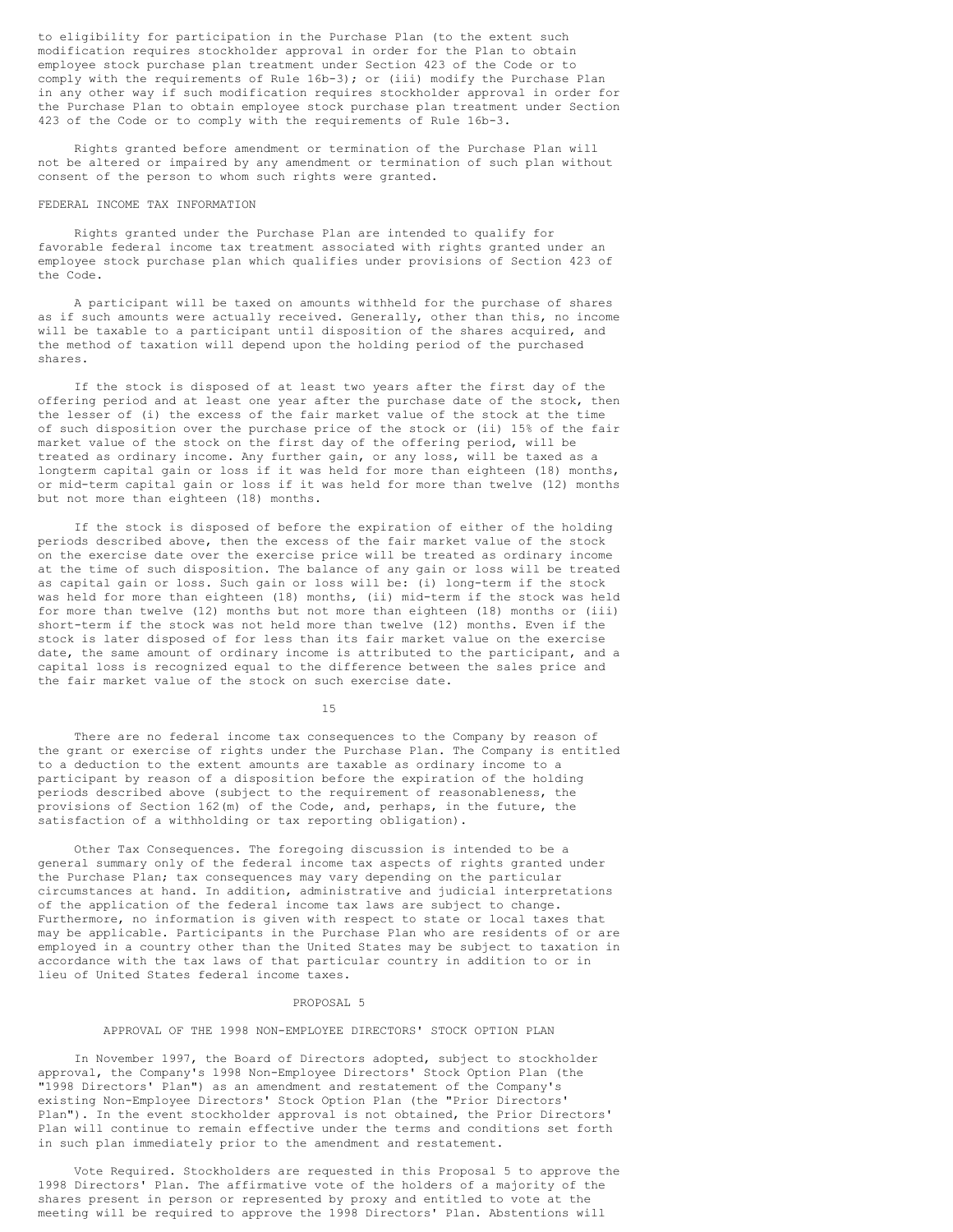to eligibility for participation in the Purchase Plan (to the extent such modification requires stockholder approval in order for the Plan to obtain employee stock purchase plan treatment under Section 423 of the Code or to comply with the requirements of Rule 16b-3); or (iii) modify the Purchase Plan in any other way if such modification requires stockholder approval in order for the Purchase Plan to obtain employee stock purchase plan treatment under Section 423 of the Code or to comply with the requirements of Rule 16b-3.

Rights granted before amendment or termination of the Purchase Plan will not be altered or impaired by any amendment or termination of such plan without consent of the person to whom such rights were granted.

## FEDERAL INCOME TAX INFORMATION

Rights granted under the Purchase Plan are intended to qualify for favorable federal income tax treatment associated with rights granted under an employee stock purchase plan which qualifies under provisions of Section 423 of the Code.

A participant will be taxed on amounts withheld for the purchase of shares as if such amounts were actually received. Generally, other than this, no income will be taxable to a participant until disposition of the shares acquired, and the method of taxation will depend upon the holding period of the purchased shares.

If the stock is disposed of at least two years after the first day of the offering period and at least one year after the purchase date of the stock, then the lesser of (i) the excess of the fair market value of the stock at the time of such disposition over the purchase price of the stock or (ii) 15% of the fair market value of the stock on the first day of the offering period, will be treated as ordinary income. Any further gain, or any loss, will be taxed as a longterm capital gain or loss if it was held for more than eighteen (18) months, or mid-term capital gain or loss if it was held for more than twelve (12) months but not more than eighteen (18) months.

If the stock is disposed of before the expiration of either of the holding periods described above, then the excess of the fair market value of the stock on the exercise date over the exercise price will be treated as ordinary income at the time of such disposition. The balance of any gain or loss will be treated as capital gain or loss. Such gain or loss will be: (i) long-term if the stock was held for more than eighteen (18) months, (ii) mid-term if the stock was held for more than twelve (12) months but not more than eighteen (18) months or (iii) short-term if the stock was not held more than twelve (12) months. Even if the stock is later disposed of for less than its fair market value on the exercise date, the same amount of ordinary income is attributed to the participant, and a capital loss is recognized equal to the difference between the sales price and the fair market value of the stock on such exercise date.

15

There are no federal income tax consequences to the Company by reason of the grant or exercise of rights under the Purchase Plan. The Company is entitled to a deduction to the extent amounts are taxable as ordinary income to a participant by reason of a disposition before the expiration of the holding periods described above (subject to the requirement of reasonableness, the provisions of Section 162(m) of the Code, and, perhaps, in the future, the satisfaction of a withholding or tax reporting obligation).

Other Tax Consequences. The foregoing discussion is intended to be a general summary only of the federal income tax aspects of rights granted under the Purchase Plan; tax consequences may vary depending on the particular circumstances at hand. In addition, administrative and judicial interpretations of the application of the federal income tax laws are subject to change. Furthermore, no information is given with respect to state or local taxes that may be applicable. Participants in the Purchase Plan who are residents of or are employed in a country other than the United States may be subject to taxation in accordance with the tax laws of that particular country in addition to or in lieu of United States federal income taxes.

### PROPOSAL 5

## APPROVAL OF THE 1998 NON-EMPLOYEE DIRECTORS' STOCK OPTION PLAN

In November 1997, the Board of Directors adopted, subject to stockholder approval, the Company's 1998 Non-Employee Directors' Stock Option Plan (the "1998 Directors' Plan") as an amendment and restatement of the Company's existing Non-Employee Directors' Stock Option Plan (the "Prior Directors' Plan"). In the event stockholder approval is not obtained, the Prior Directors' Plan will continue to remain effective under the terms and conditions set forth in such plan immediately prior to the amendment and restatement.

Vote Required. Stockholders are requested in this Proposal 5 to approve the 1998 Directors' Plan. The affirmative vote of the holders of a majority of the shares present in person or represented by proxy and entitled to vote at the meeting will be required to approve the 1998 Directors' Plan. Abstentions will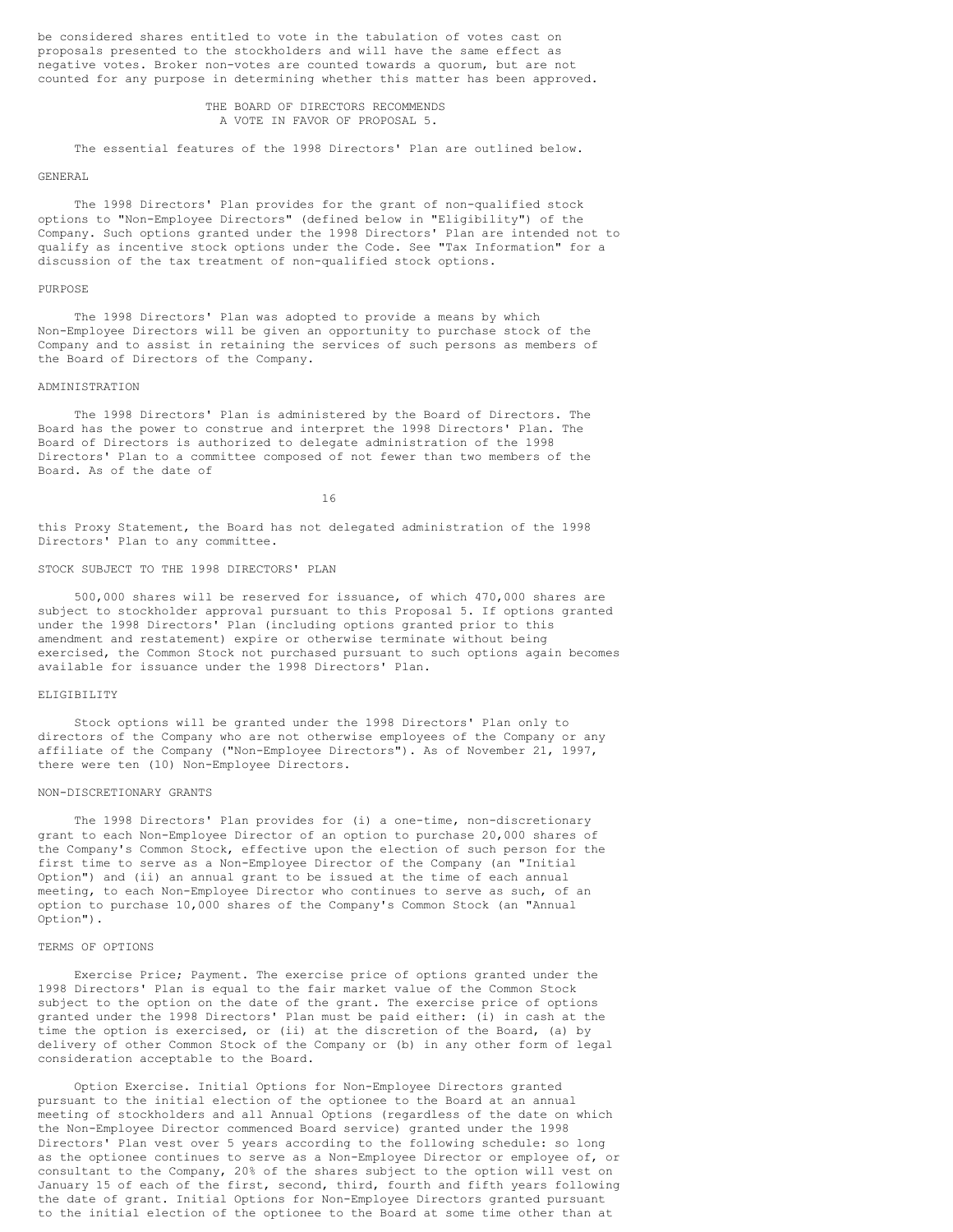be considered shares entitled to vote in the tabulation of votes cast on proposals presented to the stockholders and will have the same effect as negative votes. Broker non-votes are counted towards a quorum, but are not counted for any purpose in determining whether this matter has been approved.

> THE BOARD OF DIRECTORS RECOMMENDS A VOTE IN FAVOR OF PROPOSAL 5.

The essential features of the 1998 Directors' Plan are outlined below.

### GENERAL

The 1998 Directors' Plan provides for the grant of non-qualified stock options to "Non-Employee Directors" (defined below in "Eligibility") of the Company. Such options granted under the 1998 Directors' Plan are intended not to qualify as incentive stock options under the Code. See "Tax Information" for a discussion of the tax treatment of non-qualified stock options.

#### PURPOSE

The 1998 Directors' Plan was adopted to provide a means by which Non-Employee Directors will be given an opportunity to purchase stock of the Company and to assist in retaining the services of such persons as members of the Board of Directors of the Company.

## ADMINISTRATION

The 1998 Directors' Plan is administered by the Board of Directors. The Board has the power to construe and interpret the 1998 Directors' Plan. The Board of Directors is authorized to delegate administration of the 1998 Directors' Plan to a committee composed of not fewer than two members of the Board. As of the date of

16

this Proxy Statement, the Board has not delegated administration of the 1998 Directors' Plan to any committee.

### STOCK SUBJECT TO THE 1998 DIRECTORS' PLAN

500,000 shares will be reserved for issuance, of which 470,000 shares are subject to stockholder approval pursuant to this Proposal 5. If options granted under the 1998 Directors' Plan (including options granted prior to this amendment and restatement) expire or otherwise terminate without being exercised, the Common Stock not purchased pursuant to such options again becomes available for issuance under the 1998 Directors' Plan.

## ELIGIBILITY

Stock options will be granted under the 1998 Directors' Plan only to directors of the Company who are not otherwise employees of the Company or any affiliate of the Company ("Non-Employee Directors"). As of November 21, 1997, there were ten (10) Non-Employee Directors.

### NON-DISCRETIONARY GRANTS

The 1998 Directors' Plan provides for (i) a one-time, non-discretionary grant to each Non-Employee Director of an option to purchase 20,000 shares of the Company's Common Stock, effective upon the election of such person for the first time to serve as a Non-Employee Director of the Company (an "Initial Option") and (ii) an annual grant to be issued at the time of each annual meeting, to each Non-Employee Director who continues to serve as such, of an option to purchase 10,000 shares of the Company's Common Stock (an "Annual Option").

## TERMS OF OPTIONS

Exercise Price; Payment. The exercise price of options granted under the 1998 Directors' Plan is equal to the fair market value of the Common Stock subject to the option on the date of the grant. The exercise price of options granted under the 1998 Directors' Plan must be paid either: (i) in cash at the time the option is exercised, or (ii) at the discretion of the Board, (a) by delivery of other Common Stock of the Company or (b) in any other form of legal consideration acceptable to the Board.

Option Exercise. Initial Options for Non-Employee Directors granted pursuant to the initial election of the optionee to the Board at an annual meeting of stockholders and all Annual Options (regardless of the date on which the Non-Employee Director commenced Board service) granted under the 1998 Directors' Plan vest over 5 years according to the following schedule: so long as the optionee continues to serve as a Non-Employee Director or employee of, or consultant to the Company, 20% of the shares subject to the option will vest on January 15 of each of the first, second, third, fourth and fifth years following the date of grant. Initial Options for Non-Employee Directors granted pursuant to the initial election of the optionee to the Board at some time other than at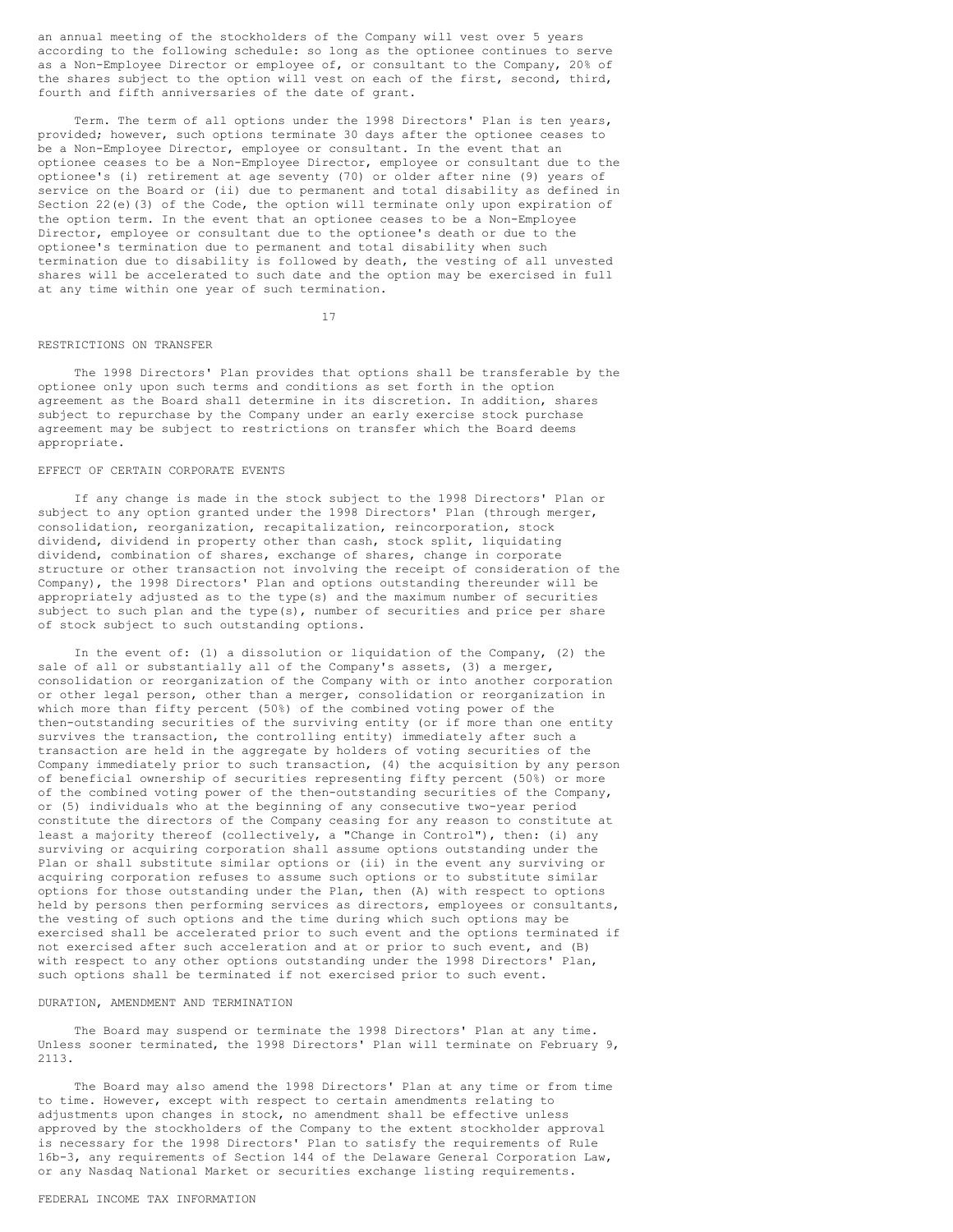an annual meeting of the stockholders of the Company will vest over 5 years according to the following schedule: so long as the optionee continues to serve as a Non-Employee Director or employee of, or consultant to the Company, 20% of the shares subject to the option will vest on each of the first, second, third, fourth and fifth anniversaries of the date of grant.

Term. The term of all options under the 1998 Directors' Plan is ten years, provided; however, such options terminate 30 days after the optionee ceases to be a Non-Employee Director, employee or consultant. In the event that an optionee ceases to be a Non-Employee Director, employee or consultant due to the optionee's (i) retirement at age seventy (70) or older after nine (9) years of service on the Board or (ii) due to permanent and total disability as defined in Section 22(e)(3) of the Code, the option will terminate only upon expiration of the option term. In the event that an optionee ceases to be a Non-Employee Director, employee or consultant due to the optionee's death or due to the optionee's termination due to permanent and total disability when such termination due to disability is followed by death, the vesting of all unvested shares will be accelerated to such date and the option may be exercised in full at any time within one year of such termination.

#### 17

### RESTRICTIONS ON TRANSFER

The 1998 Directors' Plan provides that options shall be transferable by the optionee only upon such terms and conditions as set forth in the option agreement as the Board shall determine in its discretion. In addition, shares subject to repurchase by the Company under an early exercise stock purchase agreement may be subject to restrictions on transfer which the Board deems appropriate.

### EFFECT OF CERTAIN CORPORATE EVENTS

If any change is made in the stock subject to the 1998 Directors' Plan or subject to any option granted under the 1998 Directors' Plan (through merger, consolidation, reorganization, recapitalization, reincorporation, stock dividend, dividend in property other than cash, stock split, liquidating dividend, combination of shares, exchange of shares, change in corporate structure or other transaction not involving the receipt of consideration of the Company), the 1998 Directors' Plan and options outstanding thereunder will be appropriately adjusted as to the type(s) and the maximum number of securities subject to such plan and the type(s), number of securities and price per share of stock subject to such outstanding options.

In the event of: (1) a dissolution or liquidation of the Company, (2) the sale of all or substantially all of the Company's assets, (3) a merger, consolidation or reorganization of the Company with or into another corporation or other legal person, other than a merger, consolidation or reorganization in which more than fifty percent (50%) of the combined voting power of the then-outstanding securities of the surviving entity (or if more than one entity survives the transaction, the controlling entity) immediately after such a transaction are held in the aggregate by holders of voting securities of the Company immediately prior to such transaction, (4) the acquisition by any person of beneficial ownership of securities representing fifty percent (50%) or more of the combined voting power of the then-outstanding securities of the Company, or (5) individuals who at the beginning of any consecutive two-year period constitute the directors of the Company ceasing for any reason to constitute at least a majority thereof (collectively, a "Change in Control"), then: (i) any surviving or acquiring corporation shall assume options outstanding under the Plan or shall substitute similar options or (ii) in the event any surviving or acquiring corporation refuses to assume such options or to substitute similar options for those outstanding under the Plan, then (A) with respect to options held by persons then performing services as directors, employees or consultants, the vesting of such options and the time during which such options may be exercised shall be accelerated prior to such event and the options terminated if not exercised after such acceleration and at or prior to such event, and (B) with respect to any other options outstanding under the 1998 Directors' Plan, such options shall be terminated if not exercised prior to such event.

## DURATION, AMENDMENT AND TERMINATION

The Board may suspend or terminate the 1998 Directors' Plan at any time. Unless sooner terminated, the 1998 Directors' Plan will terminate on February 9, 2113.

The Board may also amend the 1998 Directors' Plan at any time or from time to time. However, except with respect to certain amendments relating to adjustments upon changes in stock, no amendment shall be effective unless approved by the stockholders of the Company to the extent stockholder approval is necessary for the 1998 Directors' Plan to satisfy the requirements of Rule 16b-3, any requirements of Section 144 of the Delaware General Corporation Law, or any Nasdaq National Market or securities exchange listing requirements.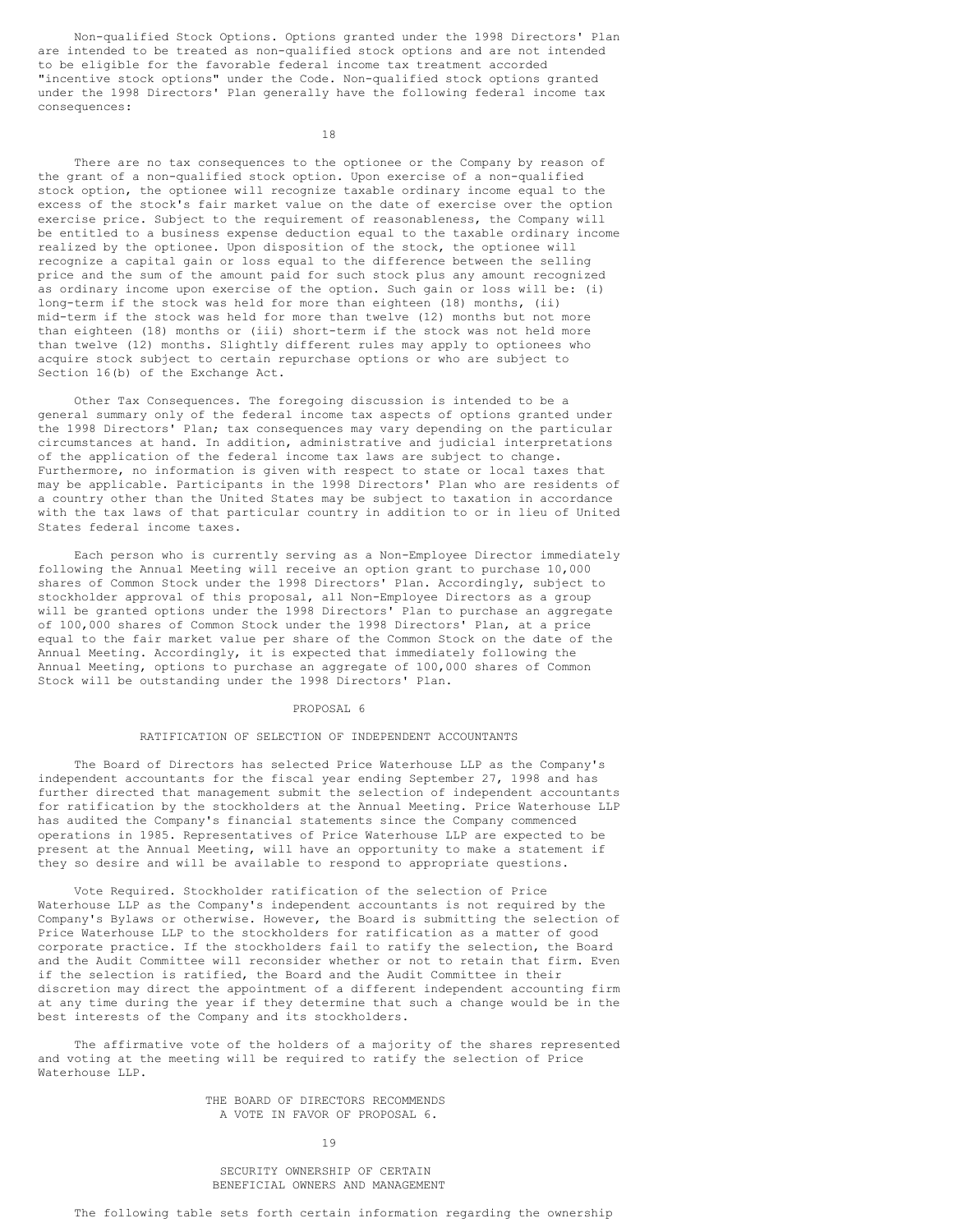Non-qualified Stock Options. Options granted under the 1998 Directors' Plan are intended to be treated as non-qualified stock options and are not intended to be eligible for the favorable federal income tax treatment accorded "incentive stock options" under the Code. Non-qualified stock options granted under the 1998 Directors' Plan generally have the following federal income tax consequences:

18

There are no tax consequences to the optionee or the Company by reason of the grant of a non-qualified stock option. Upon exercise of a non-qualified stock option, the optionee will recognize taxable ordinary income equal to the excess of the stock's fair market value on the date of exercise over the option exercise price. Subject to the requirement of reasonableness, the Company will be entitled to a business expense deduction equal to the taxable ordinary income realized by the optionee. Upon disposition of the stock, the optionee will recognize a capital gain or loss equal to the difference between the selling price and the sum of the amount paid for such stock plus any amount recognized as ordinary income upon exercise of the option. Such gain or loss will be: (i) long-term if the stock was held for more than eighteen (18) months, (ii) mid-term if the stock was held for more than twelve (12) months but not more than eighteen (18) months or (iii) short-term if the stock was not held more than twelve (12) months. Slightly different rules may apply to optionees who acquire stock subject to certain repurchase options or who are subject to Section 16(b) of the Exchange Act.

Other Tax Consequences. The foregoing discussion is intended to be a general summary only of the federal income tax aspects of options granted under the 1998 Directors' Plan; tax consequences may vary depending on the particular circumstances at hand. In addition, administrative and judicial interpretations of the application of the federal income tax laws are subject to change. Furthermore, no information is given with respect to state or local taxes that may be applicable. Participants in the 1998 Directors' Plan who are residents of a country other than the United States may be subject to taxation in accordance with the tax laws of that particular country in addition to or in lieu of United States federal income taxes.

Each person who is currently serving as a Non-Employee Director immediately following the Annual Meeting will receive an option grant to purchase 10,000 shares of Common Stock under the 1998 Directors' Plan. Accordingly, subject to stockholder approval of this proposal, all Non-Employee Directors as a group will be granted options under the 1998 Directors' Plan to purchase an aggregate of 100,000 shares of Common Stock under the 1998 Directors' Plan, at a price equal to the fair market value per share of the Common Stock on the date of the Annual Meeting. Accordingly, it is expected that immediately following the Annual Meeting, options to purchase an aggregate of 100,000 shares of Common Stock will be outstanding under the 1998 Directors' Plan.

#### PROPOSAL 6

### RATIFICATION OF SELECTION OF INDEPENDENT ACCOUNTANTS

The Board of Directors has selected Price Waterhouse LLP as the Company's independent accountants for the fiscal year ending September 27, 1998 and has further directed that management submit the selection of independent accountants for ratification by the stockholders at the Annual Meeting. Price Waterhouse LLP has audited the Company's financial statements since the Company commenced operations in 1985. Representatives of Price Waterhouse LLP are expected to be present at the Annual Meeting, will have an opportunity to make a statement if they so desire and will be available to respond to appropriate questions.

Vote Required. Stockholder ratification of the selection of Price Waterhouse LLP as the Company's independent accountants is not required by the Company's Bylaws or otherwise. However, the Board is submitting the selection of Price Waterhouse LLP to the stockholders for ratification as a matter of good corporate practice. If the stockholders fail to ratify the selection, the Board and the Audit Committee will reconsider whether or not to retain that firm. Even if the selection is ratified, the Board and the Audit Committee in their discretion may direct the appointment of a different independent accounting firm at any time during the year if they determine that such a change would be in the best interests of the Company and its stockholders.

The affirmative vote of the holders of a majority of the shares represented and voting at the meeting will be required to ratify the selection of Price Waterhouse LLP.

> THE BOARD OF DIRECTORS RECOMMENDS A VOTE IN FAVOR OF PROPOSAL 6.

> > 19

SECURITY OWNERSHIP OF CERTAIN BENEFICIAL OWNERS AND MANAGEMENT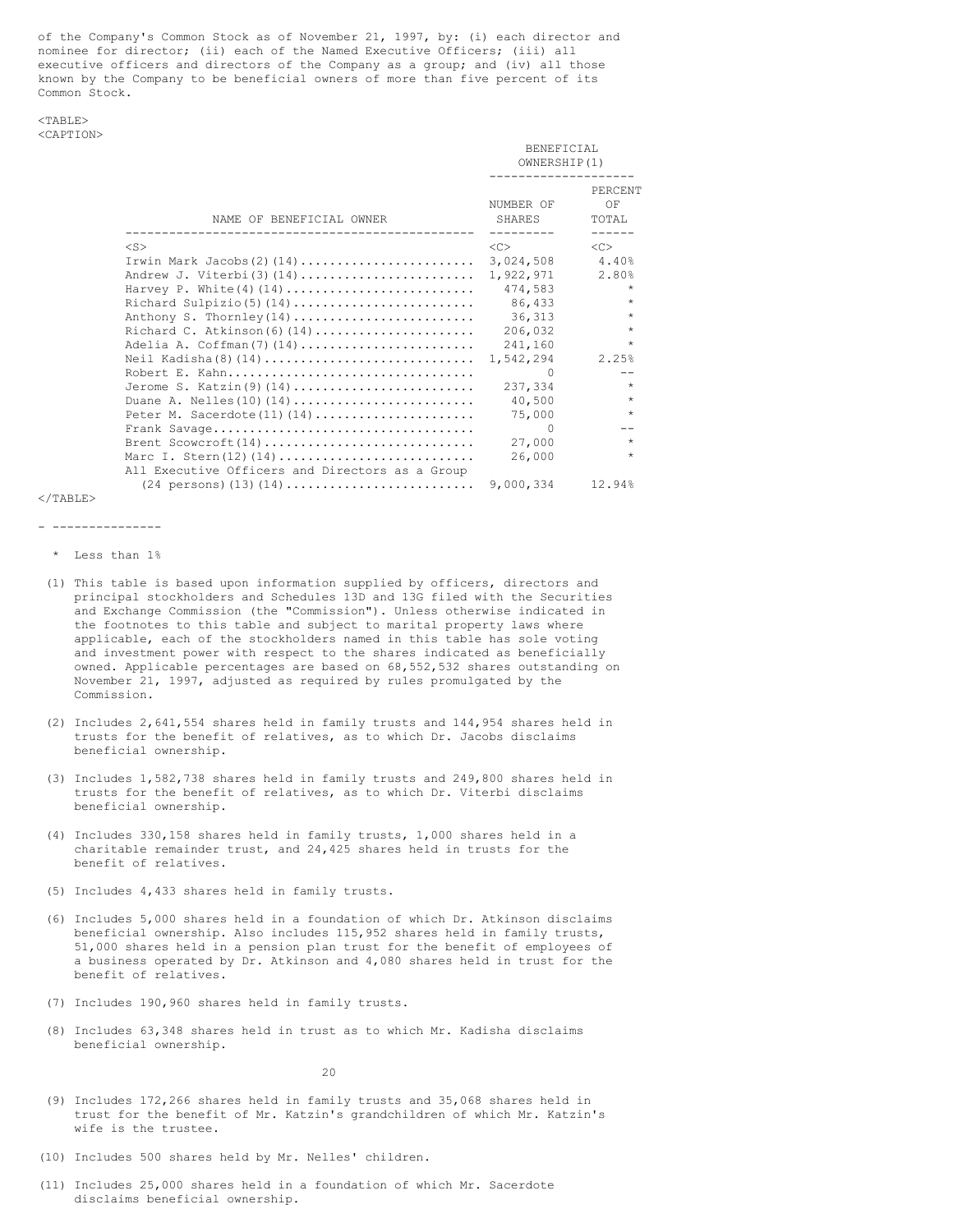of the Company's Common Stock as of November 21, 1997, by: (i) each director and nominee for director; (ii) each of the Named Executive Officers; (iii) all executive officers and directors of the Company as a group; and (iv) all those known by the Company to be beneficial owners of more than five percent of its Common Stock.

## $<$ TABLE> <CAPTION>

|                                                                            | BENEFICIAL<br>OWNERSHIP(1)<br>------------- |                        |
|----------------------------------------------------------------------------|---------------------------------------------|------------------------|
| NAME OF BENEFICIAL OWNER                                                   | NUMBER OF<br><b>SHARES</b>                  | PERCENT<br>OF<br>TOTAL |
| $<$ S $>$                                                                  | < <sub></sub>                               | < <sub></sub>          |
| Irwin Mark Jacobs(2)(14)                                                   | 3,024,508                                   | 4.40%                  |
| Andrew J. Viterbi(3)(14)                                                   | 1,922,971                                   | 2.80%                  |
|                                                                            | 474,583                                     | $\star$                |
|                                                                            | 86,433                                      | $\star$                |
| Anthony S. Thornley(14)                                                    | 36,313                                      | $\star$                |
| Richard C. Atkinson(6)(14)                                                 | 206,032                                     | $\star$                |
| Adelia A. Coffman(7)(14)                                                   | 241,160                                     | $\star$                |
|                                                                            | 1,542,294                                   | 2.25%                  |
| Robert E. Kahn                                                             | $\Omega$                                    | --                     |
| Jerome S. Katzin(9)(14)                                                    | 237,334                                     | $\star$                |
|                                                                            | 40,500                                      | $\star$                |
| Peter M. Sacerdote $(11)$ $(14)$                                           | 75,000                                      | $\star$                |
|                                                                            | $\Omega$                                    |                        |
| Brent Scowcroft $(14)$                                                     | 27,000                                      | $\star$                |
| All Executive Officers and Directors as a Group                            | 26,000                                      | $\star$                |
| $(24 \text{ persons}) (13) (14) \dots \dots \dots \dots \dots \dots \dots$ | 9,000,334                                   | 12.94%                 |

 $<$ /TABLE>

#### - ---------------

\* Less than 1%

- (1) This table is based upon information supplied by officers, directors and principal stockholders and Schedules 13D and 13G filed with the Securities and Exchange Commission (the "Commission"). Unless otherwise indicated in the footnotes to this table and subject to marital property laws where applicable, each of the stockholders named in this table has sole voting and investment power with respect to the shares indicated as beneficially owned. Applicable percentages are based on 68,552,532 shares outstanding on November 21, 1997, adjusted as required by rules promulgated by the Commission.
- (2) Includes 2,641,554 shares held in family trusts and 144,954 shares held in trusts for the benefit of relatives, as to which Dr. Jacobs disclaims beneficial ownership.
- (3) Includes 1,582,738 shares held in family trusts and 249,800 shares held in trusts for the benefit of relatives, as to which Dr. Viterbi disclaims beneficial ownership.
- (4) Includes 330,158 shares held in family trusts, 1,000 shares held in a charitable remainder trust, and 24,425 shares held in trusts for the benefit of relatives.
- (5) Includes 4,433 shares held in family trusts.
- (6) Includes 5,000 shares held in a foundation of which Dr. Atkinson disclaims beneficial ownership. Also includes 115,952 shares held in family trusts, 51,000 shares held in a pension plan trust for the benefit of employees of a business operated by Dr. Atkinson and 4,080 shares held in trust for the benefit of relatives.
- (7) Includes 190,960 shares held in family trusts.
- (8) Includes 63,348 shares held in trust as to which Mr. Kadisha disclaims beneficial ownership.

20

- (9) Includes 172,266 shares held in family trusts and 35,068 shares held in trust for the benefit of Mr. Katzin's grandchildren of which Mr. Katzin's wife is the trustee.
- (10) Includes 500 shares held by Mr. Nelles' children.
- (11) Includes 25,000 shares held in a foundation of which Mr. Sacerdote disclaims beneficial ownership.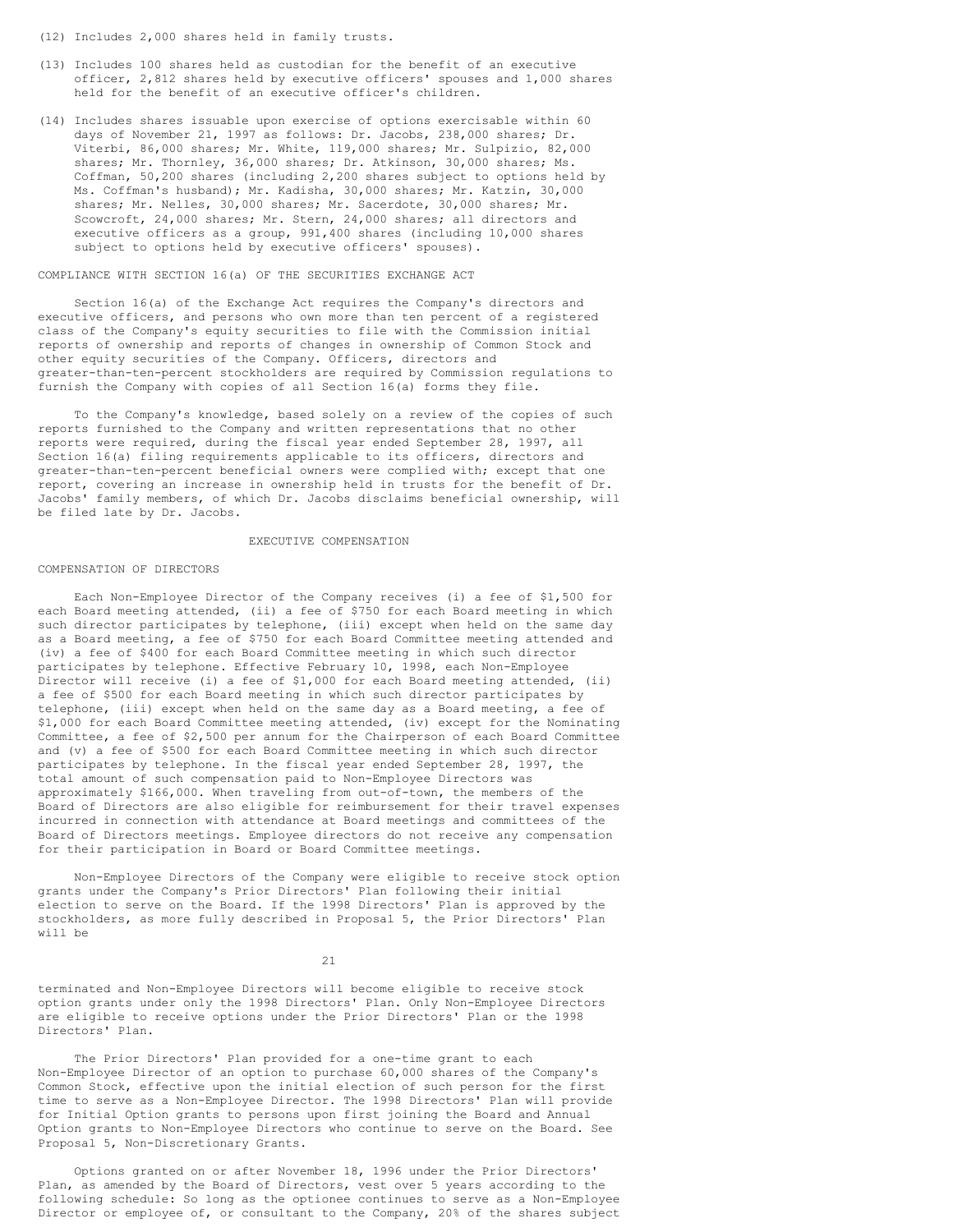- (12) Includes 2,000 shares held in family trusts.
- (13) Includes 100 shares held as custodian for the benefit of an executive officer, 2,812 shares held by executive officers' spouses and 1,000 shares held for the benefit of an executive officer's children.
- (14) Includes shares issuable upon exercise of options exercisable within 60 days of November 21, 1997 as follows: Dr. Jacobs, 238,000 shares; Dr. Viterbi, 86,000 shares; Mr. White, 119,000 shares; Mr. Sulpizio, 82,000 shares; Mr. Thornley, 36,000 shares; Dr. Atkinson, 30,000 shares; Ms. Coffman, 50,200 shares (including 2,200 shares subject to options held by Ms. Coffman's husband); Mr. Kadisha, 30,000 shares; Mr. Katzin, 30,000 shares; Mr. Nelles, 30,000 shares; Mr. Sacerdote, 30,000 shares; Mr. Scowcroft, 24,000 shares; Mr. Stern, 24,000 shares; all directors and executive officers as a group, 991,400 shares (including 10,000 shares subject to options held by executive officers' spouses).

## COMPLIANCE WITH SECTION 16(a) OF THE SECURITIES EXCHANGE ACT

Section 16(a) of the Exchange Act requires the Company's directors and executive officers, and persons who own more than ten percent of a registered class of the Company's equity securities to file with the Commission initial reports of ownership and reports of changes in ownership of Common Stock and other equity securities of the Company. Officers, directors and greater-than-ten-percent stockholders are required by Commission regulations to furnish the Company with copies of all Section 16(a) forms they file.

To the Company's knowledge, based solely on a review of the copies of such reports furnished to the Company and written representations that no other reports were required, during the fiscal year ended September 28, 1997, all Section 16(a) filing requirements applicable to its officers, directors and greater-than-ten-percent beneficial owners were complied with; except that one report, covering an increase in ownership held in trusts for the benefit of Dr. Jacobs' family members, of which Dr. Jacobs disclaims beneficial ownership, will be filed late by Dr. Jacobs.

### EXECUTIVE COMPENSATION

#### COMPENSATION OF DIRECTORS

Each Non-Employee Director of the Company receives (i) a fee of \$1,500 for each Board meeting attended, (ii) a fee of \$750 for each Board meeting in which such director participates by telephone, (iii) except when held on the same day as a Board meeting, a fee of \$750 for each Board Committee meeting attended and (iv) a fee of \$400 for each Board Committee meeting in which such director participates by telephone. Effective February 10, 1998, each Non-Employee Director will receive (i) a fee of \$1,000 for each Board meeting attended, (ii) a fee of \$500 for each Board meeting in which such director participates by telephone, (iii) except when held on the same day as a Board meeting, a fee of \$1,000 for each Board Committee meeting attended, (iv) except for the Nominating Committee, a fee of \$2,500 per annum for the Chairperson of each Board Committee and (v) a fee of \$500 for each Board Committee meeting in which such director participates by telephone. In the fiscal year ended September 28, 1997, the total amount of such compensation paid to Non-Employee Directors was approximately \$166,000. When traveling from out-of-town, the members of the Board of Directors are also eligible for reimbursement for their travel expenses incurred in connection with attendance at Board meetings and committees of the Board of Directors meetings. Employee directors do not receive any compensation for their participation in Board or Board Committee meetings.

Non-Employee Directors of the Company were eligible to receive stock option grants under the Company's Prior Directors' Plan following their initial election to serve on the Board. If the 1998 Directors' Plan is approved by the stockholders, as more fully described in Proposal 5, the Prior Directors' Plan will be

21

terminated and Non-Employee Directors will become eligible to receive stock option grants under only the 1998 Directors' Plan. Only Non-Employee Directors are eligible to receive options under the Prior Directors' Plan or the 1998 Directors' Plan.

The Prior Directors' Plan provided for a one-time grant to each Non-Employee Director of an option to purchase 60,000 shares of the Company's Common Stock, effective upon the initial election of such person for the first time to serve as a Non-Employee Director. The 1998 Directors' Plan will provide for Initial Option grants to persons upon first joining the Board and Annual Option grants to Non-Employee Directors who continue to serve on the Board. See Proposal 5, Non-Discretionary Grants.

Options granted on or after November 18, 1996 under the Prior Directors' Plan, as amended by the Board of Directors, vest over 5 years according to the following schedule: So long as the optionee continues to serve as a Non-Employee Director or employee of, or consultant to the Company, 20% of the shares subject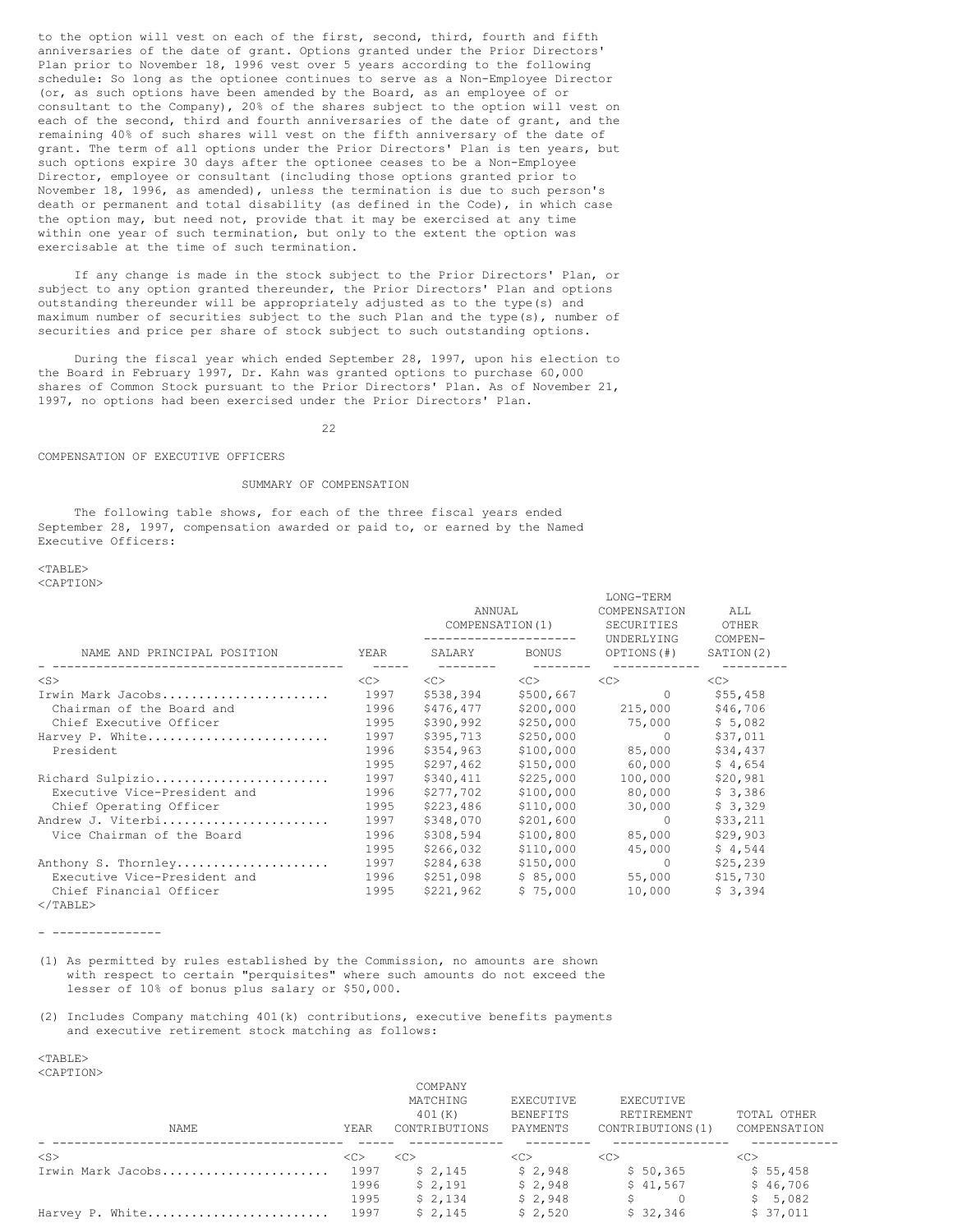to the option will vest on each of the first, second, third, fourth and fifth anniversaries of the date of grant. Options granted under the Prior Directors' Plan prior to November 18, 1996 vest over 5 years according to the following schedule: So long as the optionee continues to serve as a Non-Employee Director (or, as such options have been amended by the Board, as an employee of or consultant to the Company), 20% of the shares subject to the option will vest on each of the second, third and fourth anniversaries of the date of grant, and the remaining 40% of such shares will vest on the fifth anniversary of the date of grant. The term of all options under the Prior Directors' Plan is ten years, but such options expire 30 days after the optionee ceases to be a Non-Employee Director, employee or consultant (including those options granted prior to November 18, 1996, as amended), unless the termination is due to such person's death or permanent and total disability (as defined in the Code), in which case the option may, but need not, provide that it may be exercised at any time within one year of such termination, but only to the extent the option was exercisable at the time of such termination.

If any change is made in the stock subject to the Prior Directors' Plan, or subject to any option granted thereunder, the Prior Directors' Plan and options outstanding thereunder will be appropriately adjusted as to the type(s) and maximum number of securities subject to the such Plan and the type(s), number of securities and price per share of stock subject to such outstanding options.

During the fiscal year which ended September 28, 1997, upon his election to the Board in February 1997, Dr. Kahn was granted options to purchase 60,000 shares of Common Stock pursuant to the Prior Directors' Plan. As of November 21, 1997, no options had been exercised under the Prior Directors' Plan.

22

### COMPENSATION OF EXECUTIVE OFFICERS

## SUMMARY OF COMPENSATION

The following table shows, for each of the three fiscal years ended September 28, 1997, compensation awarded or paid to, or earned by the Named Executive Officers:

 $<$ TABLE> <CAPTION>

LONG-TERM COMPENSATION ALL<br>SECURITIES OTHER<br>UNDERLYING COMPEI ANNUAL COMPENSATION COMPENSATION COMPENSATION SECURITIES OTHER<br>COMPENSATION(1) SECURITIES OTHER<br>------------------ UNDERLYING COMPEN-------------------NAME AND PRINCIPAL POSITION YEAR SALARY BONUS OPTIONS(#) SATION(2) - ---------------------------------------- ----- -------- -------- ------------ --------- <S> <C> <C> <C> <C> <C> Irwin Mark Jacobs....................... 1997 \$538,394 \$500,667 0 \$55,458 Chairman of the Board and 1996 \$476,477 \$200,000 215,000 \$46,706 Chief Executive Officer 1995 \$390,992 \$250,000 75,000 \$ 5,082 Harvey P. White......................... 1997 \$395,713 \$250,000 0 \$37,011 President 1996 \$354,963 \$100,000 85,000 \$34,437 1995 \$297,462 \$150,000 60,000 \$ 4,654 Richard Sulpizio........................ 1997 \$340,411 \$225,000 100,000 \$20,981 Executive Vice-President and 1996 \$277,702 \$100,000 80,000 \$ 3,386 Chief Operating Officer 1995 \$223,486 \$110,000 30,000 \$ 3,329 Andrew J. Viterbi....................... 1997 \$348,070 \$201,600 0 \$33,211 Vice Chairman of the Board 1996 \$308,594 \$100,800 85,000 \$29,903 1995 \$266,032 \$110,000 45,000 \$ 4,544 Anthony S. Thornley..................... 1997 \$284,638 \$150,000 0 \$25,239 Executive Vice-President and 1996 \$251,098 \$ 85,000 55,000 \$15,730 Chief Financial Officer 1995 \$221,962 \$ 75,000 10,000 \$ 3,394  $\langle$ /TABLE>

- ---------------

(1) As permitted by rules established by the Commission, no amounts are shown with respect to certain "perquisites" where such amounts do not exceed the lesser of 10% of bonus plus salary or \$50,000.

(2) Includes Company matching 401(k) contributions, executive benefits payments and executive retirement stock matching as follows:

<TABLE>

<CAPTION>

|                   |         | COMPANY       |           |                   |               |
|-------------------|---------|---------------|-----------|-------------------|---------------|
|                   |         | MATCHING      | EXECUTIVE | EXECUTIVE         |               |
|                   |         | 401(K)        | BENEFITS  | RETIREMENT        | TOTAL OTHER   |
| <b>NAME</b>       | YEAR    | CONTRIBUTIONS | PAYMENTS  | CONTRIBUTIONS (1) | COMPENSATION  |
| $<$ S $>$         | <c></c> | < <sub></sub> | <<        | < <sub></sub>     | < <sub></sub> |
| Irwin Mark Jacobs | 1997    | \$2,145       | \$2.948   | \$50,365          | \$55,458      |
|                   | 1996    | \$2,191       | \$2,948   | \$41,567          | \$46,706      |
|                   | 1995    | \$2.134       | \$2.948   |                   | \$5,082       |
| Harvey P. White   | 1997    | \$2.145       | \$2,520   | \$32,346          | \$37,011      |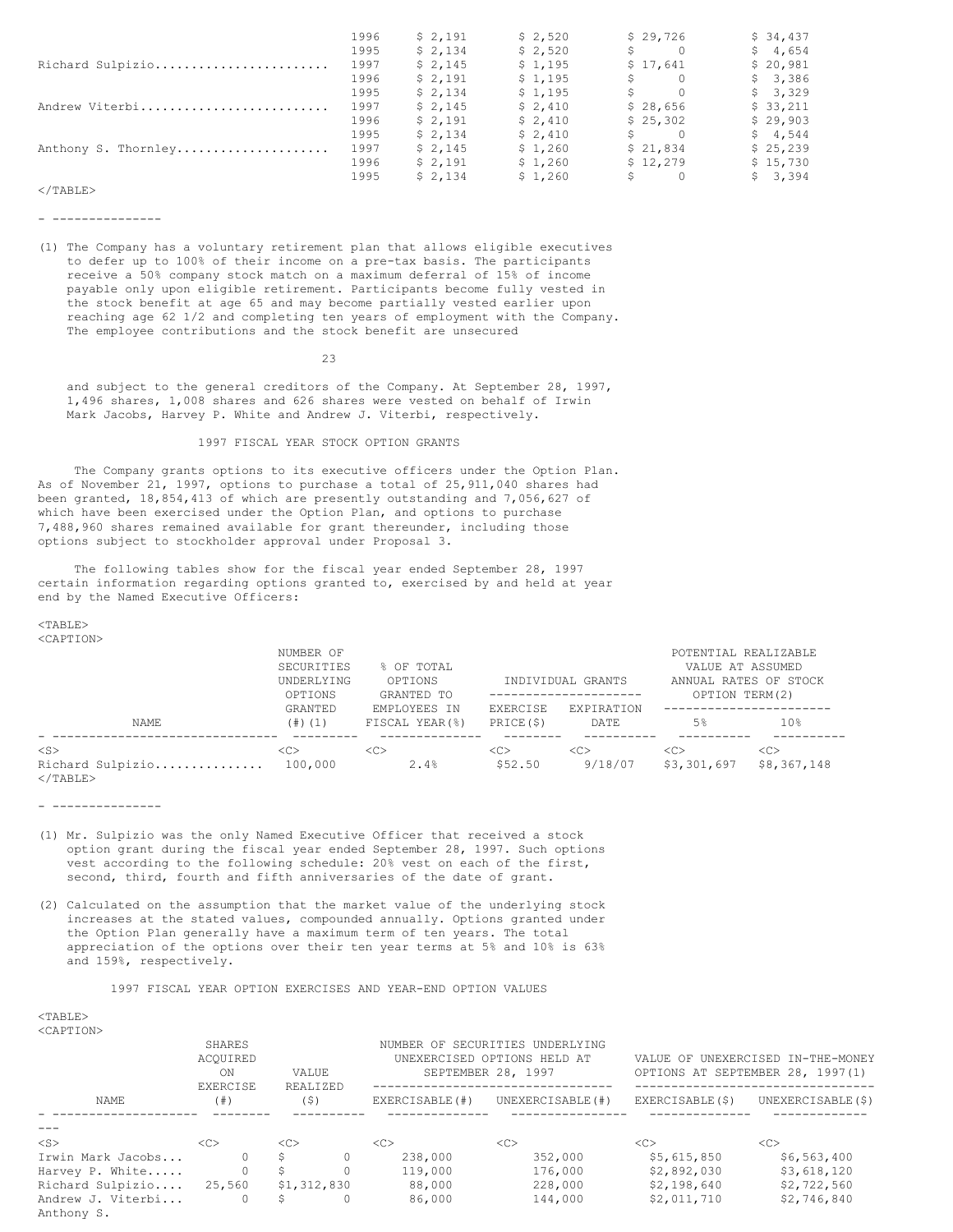|                     | 1996 | \$2,191 | \$2,520 | \$29,726                              | \$34,437 |
|---------------------|------|---------|---------|---------------------------------------|----------|
|                     | 1995 | \$2,134 | \$2,520 | $\Omega$                              | \$4,654  |
| Richard Sulpizio    | 1997 | \$2,145 | \$1,195 | \$17,641                              | \$20,981 |
|                     | 1996 | \$2,191 | \$1,195 | $\Omega$                              | \$3,386  |
|                     | 1995 | \$2,134 | \$1,195 | $S \qquad \qquad$<br>- 0              | \$3,329  |
| Andrew Viterbi      | 1997 | \$2,145 | \$2,410 | \$28,656                              | \$33,211 |
|                     | 1996 | \$2,191 | \$2,410 | \$25,302                              | \$29,903 |
|                     | 1995 | \$2,134 | \$2,410 | $\mathsf{S} \qquad \qquad \mathsf{O}$ | \$4,544  |
| Anthony S. Thornley | 1997 | \$2,145 | \$1,260 | \$21,834                              | \$25,239 |
|                     | 1996 | \$2,191 | \$1,260 | \$12,279                              | \$15,730 |
|                     | 1995 | \$2,134 | \$1,260 | $\Omega$                              | \$3,394  |

 $\langle$ /TABLE>

- ---------------

(1) The Company has a voluntary retirement plan that allows eligible executives to defer up to 100% of their income on a pre-tax basis. The participants receive a 50% company stock match on a maximum deferral of 15% of income payable only upon eligible retirement. Participants become fully vested in the stock benefit at age 65 and may become partially vested earlier upon reaching age 62 1/2 and completing ten years of employment with the Company. The employee contributions and the stock benefit are unsecured

23

and subject to the general creditors of the Company. At September 28, 1997, 1,496 shares, 1,008 shares and 626 shares were vested on behalf of Irwin Mark Jacobs, Harvey P. White and Andrew J. Viterbi, respectively.

## 1997 FISCAL YEAR STOCK OPTION GRANTS

The Company grants options to its executive officers under the Option Plan. As of November 21, 1997, options to purchase a total of 25,911,040 shares had been granted, 18,854,413 of which are presently outstanding and 7,056,627 of which have been exercised under the Option Plan, and options to purchase 7,488,960 shares remained available for grant thereunder, including those options subject to stockholder approval under Proposal 3.

The following tables show for the fiscal year ended September 28, 1997 certain information regarding options granted to, exercised by and held at year end by the Named Executive Officers:

#### <TABLE> <CAPTION>

|                                                    | NUMBER OF<br>SECURITIES<br>UNDERLYING<br>OPTIONS | % OF TOTAL<br>OPTIONS<br>GRANTED TO |                           | INDIVIDUAL GRANTS<br>--------------------- | POTENTIAL REALIZABLE<br>VALUE AT ASSUMED<br>OPTION TERM(2) | ANNUAL RATES OF STOCK         |
|----------------------------------------------------|--------------------------------------------------|-------------------------------------|---------------------------|--------------------------------------------|------------------------------------------------------------|-------------------------------|
| NAME                                               | GRANTED<br>$(+)$ $(1)$                           | EMPLOYEES IN<br>FISCAL YEAR(%)      | EXERCISE<br>PRICE(\$)     | EXPIRATION<br>DATE                         | 5%                                                         | 10 <sup>°</sup>               |
| $<$ S $>$<br>Richard Sulpizio<br>$\langle$ /TABLE> | < <sub><br/>100,000</sub>                        | < <sub><br/>2.4%</sub>              | < <sub><br/>\$52.50</sub> | < <sub><br/>9/18/07</sub>                  | < <sub><br/>\$3,301,697</sub>                              | < <sub><br/>\$8,367,148</sub> |

- ---------------

- (1) Mr. Sulpizio was the only Named Executive Officer that received a stock option grant during the fiscal year ended September 28, 1997. Such options vest according to the following schedule: 20% vest on each of the first, second, third, fourth and fifth anniversaries of the date of grant.
- (2) Calculated on the assumption that the market value of the underlying stock increases at the stated values, compounded annually. Options granted under the Option Plan generally have a maximum term of ten years. The total appreciation of the options over their ten year terms at 5% and 10% is 63% and 159%, respectively.

1997 FISCAL YEAR OPTION EXERCISES AND YEAR-END OPTION VALUES

### $<sub>TAPER></sub>$ </sub>

<CAPTION>

|                                 | SHARES<br>ACOUIRED<br>ON<br>VALUE<br>REALIZED |             |   | NUMBER OF SECURITIES UNDERLYING<br>UNEXERCISED OPTIONS HELD AT<br>SEPTEMBER 28, 1997 | VALUE OF UNEXERCISED IN-THE-MONEY<br>OPTIONS AT SEPTEMBER 28, 1997(1) |                 |                    |
|---------------------------------|-----------------------------------------------|-------------|---|--------------------------------------------------------------------------------------|-----------------------------------------------------------------------|-----------------|--------------------|
| NAME                            | EXERCISE<br>(  # )                            | (S)         |   | EXERCISABLE(#)                                                                       | UNEXERCISABLE (#)                                                     | EXERCISABLE(\$) | UNEXERCISABLE (\$) |
|                                 |                                               |             |   |                                                                                      |                                                                       |                 |                    |
| $<$ S>                          | <<                                            | <<          |   | < <sub></sub>                                                                        | <<                                                                    | < <sub></sub>   | <<                 |
| Irwin Mark Jacobs               |                                               | S.          |   | 238,000                                                                              | 352,000                                                               | \$5,615,850     | \$6,563,400        |
| Harvey P. White                 | $\Omega$                                      | \$          |   | 119,000                                                                              | 176,000                                                               | \$2,892,030     | \$3,618,120        |
| Richard Sulpizio 25,560         |                                               | \$1,312,830 |   | 88,000                                                                               | 228,000                                                               | \$2,198,640     | \$2,722,560        |
| Andrew J. Viterbi<br>Anthony S. | 0                                             | S.          | 0 | 86,000                                                                               | 144,000                                                               | \$2,011,710     | \$2,746,840        |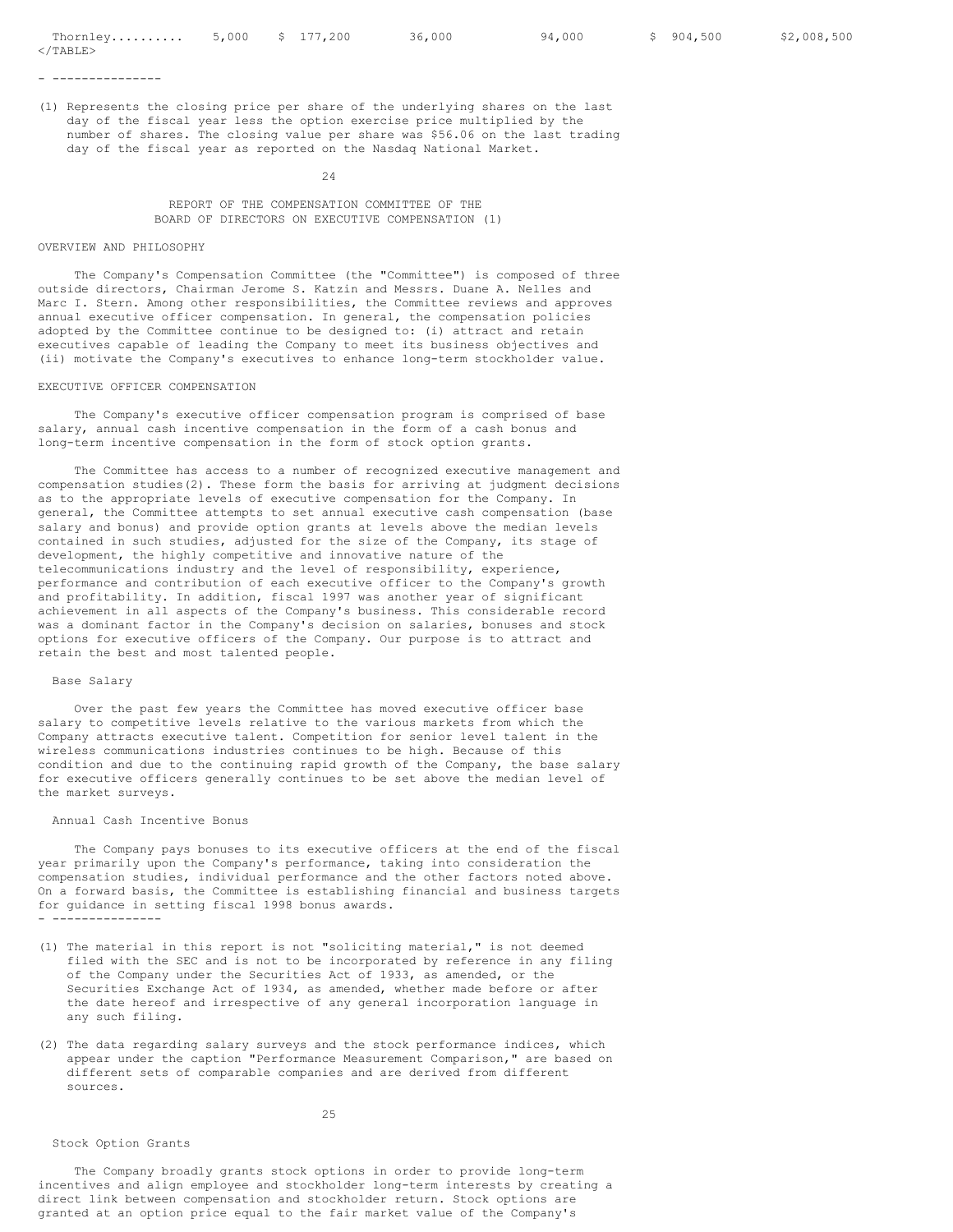- ---------------

(1) Represents the closing price per share of the underlying shares on the last day of the fiscal year less the option exercise price multiplied by the number of shares. The closing value per share was \$56.06 on the last trading day of the fiscal year as reported on the Nasdaq National Market.

24

REPORT OF THE COMPENSATION COMMITTEE OF THE BOARD OF DIRECTORS ON EXECUTIVE COMPENSATION (1)

## OVERVIEW AND PHILOSOPHY

The Company's Compensation Committee (the "Committee") is composed of three outside directors, Chairman Jerome S. Katzin and Messrs. Duane A. Nelles and Marc I. Stern. Among other responsibilities, the Committee reviews and approves annual executive officer compensation. In general, the compensation policies adopted by the Committee continue to be designed to: (i) attract and retain executives capable of leading the Company to meet its business objectives and (ii) motivate the Company's executives to enhance long-term stockholder value.

## EXECUTIVE OFFICER COMPENSATION

The Company's executive officer compensation program is comprised of base salary, annual cash incentive compensation in the form of a cash bonus and long-term incentive compensation in the form of stock option grants.

The Committee has access to a number of recognized executive management and compensation studies(2). These form the basis for arriving at judgment decisions as to the appropriate levels of executive compensation for the Company. In general, the Committee attempts to set annual executive cash compensation (base salary and bonus) and provide option grants at levels above the median levels contained in such studies, adjusted for the size of the Company, its stage of development, the highly competitive and innovative nature of the telecommunications industry and the level of responsibility, experience, performance and contribution of each executive officer to the Company's growth and profitability. In addition, fiscal 1997 was another year of significant achievement in all aspects of the Company's business. This considerable record was a dominant factor in the Company's decision on salaries, bonuses and stock options for executive officers of the Company. Our purpose is to attract and retain the best and most talented people.

### Base Salary

Over the past few years the Committee has moved executive officer base salary to competitive levels relative to the various markets from which the Company attracts executive talent. Competition for senior level talent in the wireless communications industries continues to be high. Because of this condition and due to the continuing rapid growth of the Company, the base salary for executive officers generally continues to be set above the median level of the market surveys.

### Annual Cash Incentive Bonus

The Company pays bonuses to its executive officers at the end of the fiscal year primarily upon the Company's performance, taking into consideration the compensation studies, individual performance and the other factors noted above. On a forward basis, the Committee is establishing financial and business targets for guidance in setting fiscal 1998 bonus awards. - ---------------

- (1) The material in this report is not "soliciting material," is not deemed filed with the SEC and is not to be incorporated by reference in any filing of the Company under the Securities Act of 1933, as amended, or the Securities Exchange Act of 1934, as amended, whether made before or after the date hereof and irrespective of any general incorporation language in any such filing.
- (2) The data regarding salary surveys and the stock performance indices, which appear under the caption "Performance Measurement Comparison," are based on different sets of comparable companies and are derived from different sources.

## 25

### Stock Option Grants

The Company broadly grants stock options in order to provide long-term incentives and align employee and stockholder long-term interests by creating a direct link between compensation and stockholder return. Stock options are granted at an option price equal to the fair market value of the Company's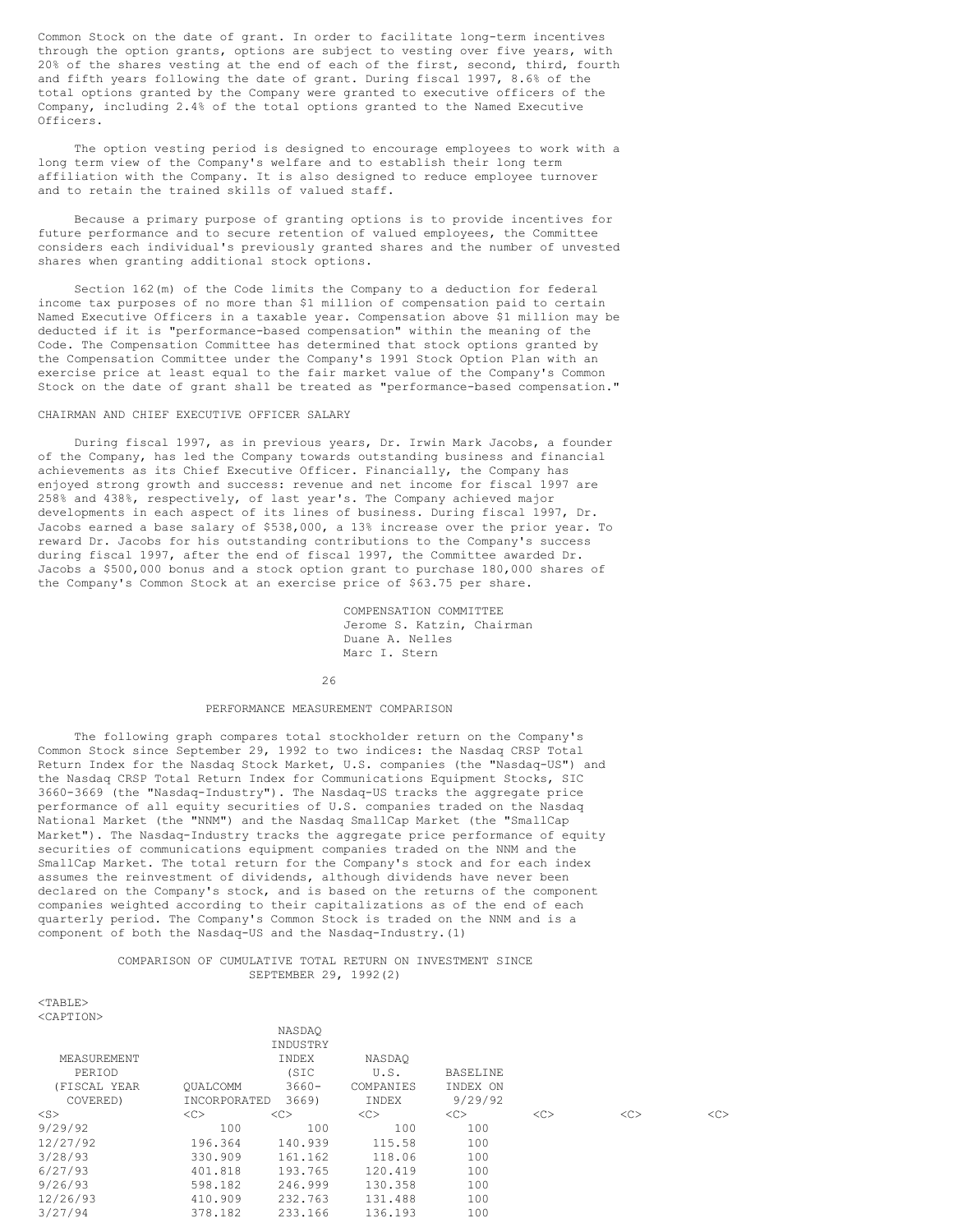Common Stock on the date of grant. In order to facilitate long-term incentives through the option grants, options are subject to vesting over five years, with 20% of the shares vesting at the end of each of the first, second, third, fourth and fifth years following the date of grant. During fiscal 1997, 8.6% of the total options granted by the Company were granted to executive officers of the Company, including 2.4% of the total options granted to the Named Executive Officers.

The option vesting period is designed to encourage employees to work with a long term view of the Company's welfare and to establish their long term affiliation with the Company. It is also designed to reduce employee turnover and to retain the trained skills of valued staff.

Because a primary purpose of granting options is to provide incentives for future performance and to secure retention of valued employees, the Committee considers each individual's previously granted shares and the number of unvested shares when granting additional stock options.

Section 162(m) of the Code limits the Company to a deduction for federal income tax purposes of no more than \$1 million of compensation paid to certain Named Executive Officers in a taxable year. Compensation above \$1 million may be deducted if it is "performance-based compensation" within the meaning of the Code. The Compensation Committee has determined that stock options granted by the Compensation Committee under the Company's 1991 Stock Option Plan with an exercise price at least equal to the fair market value of the Company's Common Stock on the date of grant shall be treated as "performance-based compensation."

## CHAIRMAN AND CHIEF EXECUTIVE OFFICER SALARY

During fiscal 1997, as in previous years, Dr. Irwin Mark Jacobs, a founder of the Company, has led the Company towards outstanding business and financial achievements as its Chief Executive Officer. Financially, the Company has enjoyed strong growth and success: revenue and net income for fiscal 1997 are 258% and 438%, respectively, of last year's. The Company achieved major developments in each aspect of its lines of business. During fiscal 1997, Dr. Jacobs earned a base salary of \$538,000, a 13% increase over the prior year. To reward Dr. Jacobs for his outstanding contributions to the Company's success during fiscal 1997, after the end of fiscal 1997, the Committee awarded Dr. Jacobs a \$500,000 bonus and a stock option grant to purchase 180,000 shares of the Company's Common Stock at an exercise price of \$63.75 per share.

> COMPENSATION COMMITTEE Jerome S. Katzin, Chairman Duane A. Nelles Marc I. Stern

26

### PERFORMANCE MEASUREMENT COMPARISON

The following graph compares total stockholder return on the Company's Common Stock since September 29, 1992 to two indices: the Nasdaq CRSP Total Return Index for the Nasdaq Stock Market, U.S. companies (the "Nasdaq-US") and the Nasdaq CRSP Total Return Index for Communications Equipment Stocks, SIC 3660-3669 (the "Nasdaq-Industry"). The Nasdaq-US tracks the aggregate price performance of all equity securities of U.S. companies traded on the Nasdaq National Market (the "NNM") and the Nasdaq SmallCap Market (the "SmallCap Market"). The Nasdaq-Industry tracks the aggregate price performance of equity securities of communications equipment companies traded on the NNM and the SmallCap Market. The total return for the Company's stock and for each index assumes the reinvestment of dividends, although dividends have never been declared on the Company's stock, and is based on the returns of the component companies weighted according to their capitalizations as of the end of each quarterly period. The Company's Common Stock is traded on the NNM and is a component of both the Nasdaq-US and the Nasdaq-Industry.(1)

## COMPARISON OF CUMULATIVE TOTAL RETURN ON INVESTMENT SINCE SEPTEMBER 29, 1992(2)

<TABLE> <CAPTION>

|              |              | NASDAO   |           |                 |    |    |    |
|--------------|--------------|----------|-----------|-----------------|----|----|----|
|              |              | INDUSTRY |           |                 |    |    |    |
| MEASUREMENT  |              | INDEX    | NASDAO    |                 |    |    |    |
| PERIOD       |              | (SIC     | U.S.      | <b>BASELINE</b> |    |    |    |
| (FISCAL YEAR | OUALCOMM     | $3660 -$ | COMPANIES | INDEX ON        |    |    |    |
| COVERED)     | INCORPORATED | 3669)    | INDEX     | 9/29/92         |    |    |    |
| $<$ S $>$    | <<           | <<       | <<        | <<              | << | << | << |
| 9/29/92      | 100          | 100      | 100       | 100             |    |    |    |
| 12/27/92     | 196.364      | 140.939  | 115.58    | 100             |    |    |    |
| 3/28/93      | 330.909      | 161.162  | 118.06    | 100             |    |    |    |
| 6/27/93      | 401.818      | 193.765  | 120.419   | 100             |    |    |    |
| 9/26/93      | 598.182      | 246.999  | 130.358   | 100             |    |    |    |
| 12/26/93     | 410.909      | 232.763  | 131.488   | 100             |    |    |    |
| 3/27/94      | 378.182      | 233.166  | 136.193   | 100             |    |    |    |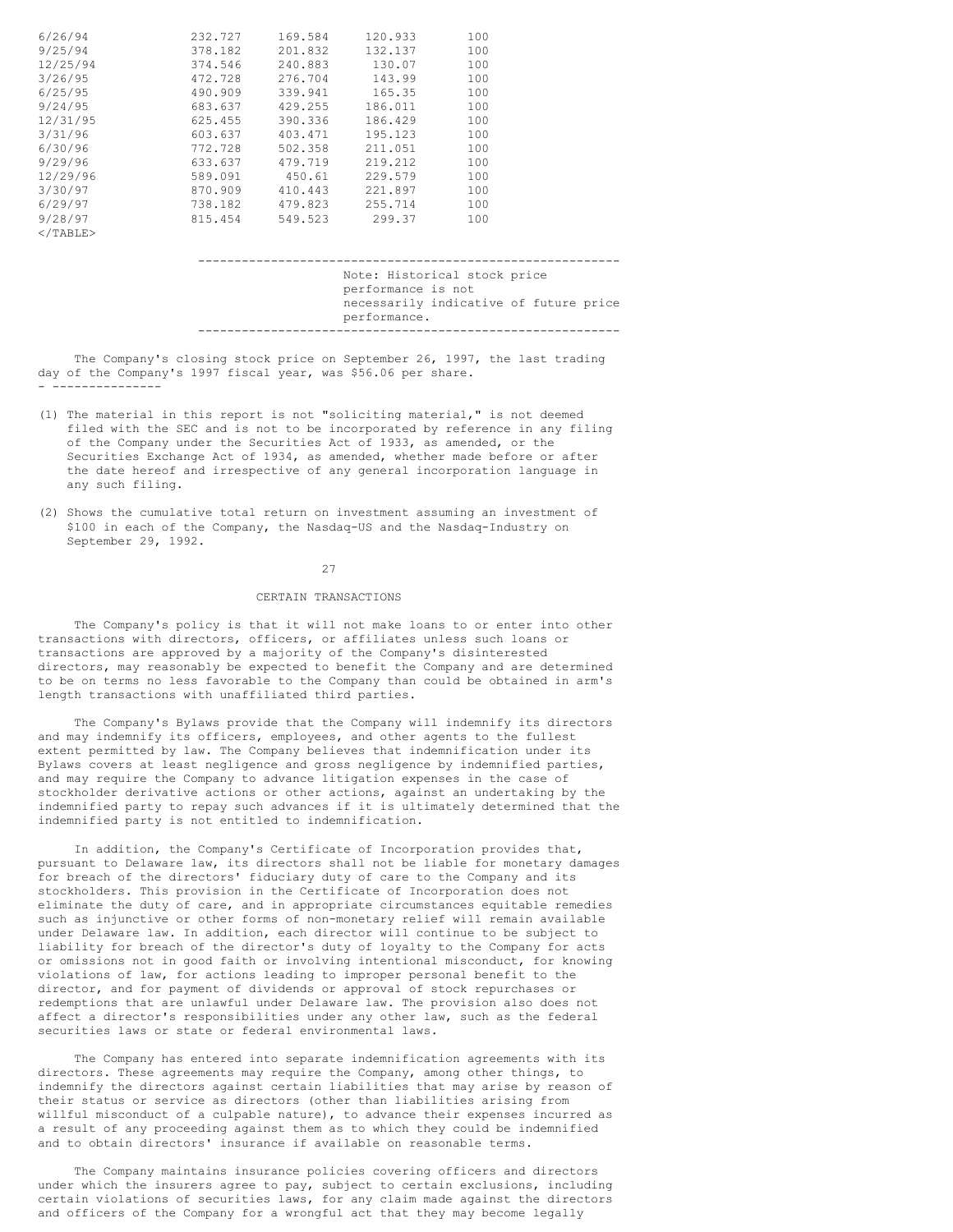| 6/26/94     | 232.727 | 169.584 | 120.933 | 100 |
|-------------|---------|---------|---------|-----|
| 9/25/94     | 378.182 | 201.832 | 132.137 | 100 |
| 12/25/94    | 374.546 | 240.883 | 130.07  | 100 |
| 3/26/95     | 472.728 | 276.704 | 143.99  | 100 |
| 6/25/95     | 490.909 | 339.941 | 165.35  | 100 |
| 9/24/95     | 683.637 | 429.255 | 186.011 | 100 |
| 12/31/95    | 625.455 | 390.336 | 186.429 | 100 |
| 3/31/96     | 603.637 | 403.471 | 195.123 | 100 |
| 6/30/96     | 772.728 | 502.358 | 211.051 | 100 |
| 9/29/96     | 633.637 | 479.719 | 219.212 | 100 |
| 12/29/96    | 589.091 | 450.61  | 229.579 | 100 |
| 3/30/97     | 870.909 | 410.443 | 221.897 | 100 |
| 6/29/97     | 738.182 | 479.823 | 255.714 | 100 |
| 9/28/97     | 815.454 | 549.523 | 299.37  | 100 |
| $<$ /TABLE> |         |         |         |     |

### ---------------------------------------------------------- Note: Historical stock price performance is not necessarily indicative of future price performance. ----------------------------------------------------------

The Company's closing stock price on September 26, 1997, the last trading day of the Company's 1997 fiscal year, was \$56.06 per share. - ---------------

- (1) The material in this report is not "soliciting material," is not deemed filed with the SEC and is not to be incorporated by reference in any filing of the Company under the Securities Act of 1933, as amended, or the Securities Exchange Act of 1934, as amended, whether made before or after the date hereof and irrespective of any general incorporation language in any such filing.
- (2) Shows the cumulative total return on investment assuming an investment of \$100 in each of the Company, the Nasdaq-US and the Nasdaq-Industry on September 29, 1992.

27

## CERTAIN TRANSACTIONS

The Company's policy is that it will not make loans to or enter into other transactions with directors, officers, or affiliates unless such loans or transactions are approved by a majority of the Company's disinterested directors, may reasonably be expected to benefit the Company and are determined to be on terms no less favorable to the Company than could be obtained in arm's length transactions with unaffiliated third parties.

The Company's Bylaws provide that the Company will indemnify its directors and may indemnify its officers, employees, and other agents to the fullest extent permitted by law. The Company believes that indemnification under its Bylaws covers at least negligence and gross negligence by indemnified parties, and may require the Company to advance litigation expenses in the case of stockholder derivative actions or other actions, against an undertaking by the indemnified party to repay such advances if it is ultimately determined that the indemnified party is not entitled to indemnification.

In addition, the Company's Certificate of Incorporation provides that, pursuant to Delaware law, its directors shall not be liable for monetary damages for breach of the directors' fiduciary duty of care to the Company and its stockholders. This provision in the Certificate of Incorporation does not eliminate the duty of care, and in appropriate circumstances equitable remedies such as injunctive or other forms of non-monetary relief will remain available under Delaware law. In addition, each director will continue to be subject to liability for breach of the director's duty of loyalty to the Company for acts or omissions not in good faith or involving intentional misconduct, for knowing violations of law, for actions leading to improper personal benefit to the director, and for payment of dividends or approval of stock repurchases or redemptions that are unlawful under Delaware law. The provision also does not affect a director's responsibilities under any other law, such as the federal securities laws or state or federal environmental laws.

The Company has entered into separate indemnification agreements with its directors. These agreements may require the Company, among other things, to indemnify the directors against certain liabilities that may arise by reason of their status or service as directors (other than liabilities arising from willful misconduct of a culpable nature), to advance their expenses incurred as a result of any proceeding against them as to which they could be indemnified and to obtain directors' insurance if available on reasonable terms.

The Company maintains insurance policies covering officers and directors under which the insurers agree to pay, subject to certain exclusions, including certain violations of securities laws, for any claim made against the directors and officers of the Company for a wrongful act that they may become legally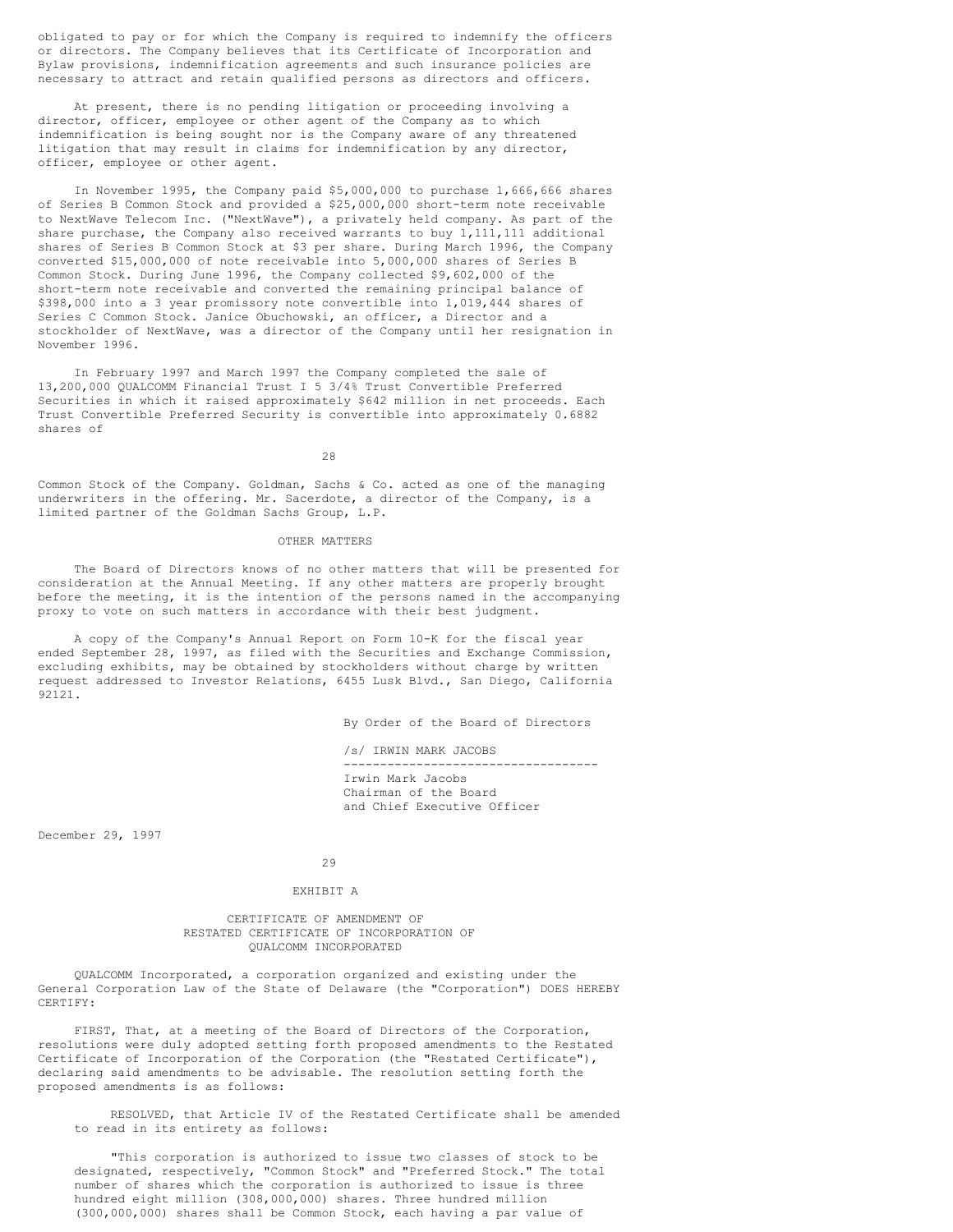obligated to pay or for which the Company is required to indemnify the officers or directors. The Company believes that its Certificate of Incorporation and Bylaw provisions, indemnification agreements and such insurance policies are necessary to attract and retain qualified persons as directors and officers.

At present, there is no pending litigation or proceeding involving a director, officer, employee or other agent of the Company as to which indemnification is being sought nor is the Company aware of any threatened litigation that may result in claims for indemnification by any director, officer, employee or other agent.

In November 1995, the Company paid \$5,000,000 to purchase 1,666,666 shares of Series B Common Stock and provided a \$25,000,000 short-term note receivable to NextWave Telecom Inc. ("NextWave"), a privately held company. As part of the share purchase, the Company also received warrants to buy 1,111,111 additional shares of Series B Common Stock at \$3 per share. During March 1996, the Company converted \$15,000,000 of note receivable into 5,000,000 shares of Series B Common Stock. During June 1996, the Company collected \$9,602,000 of the short-term note receivable and converted the remaining principal balance of \$398,000 into a 3 year promissory note convertible into 1,019,444 shares of Series C Common Stock. Janice Obuchowski, an officer, a Director and a stockholder of NextWave, was a director of the Company until her resignation in November 1996.

In February 1997 and March 1997 the Company completed the sale of 13,200,000 QUALCOMM Financial Trust I 5 3/4% Trust Convertible Preferred Securities in which it raised approximately \$642 million in net proceeds. Each Trust Convertible Preferred Security is convertible into approximately 0.6882 shares of

28

Common Stock of the Company. Goldman, Sachs & Co. acted as one of the managing underwriters in the offering. Mr. Sacerdote, a director of the Company, is a limited partner of the Goldman Sachs Group, L.P.

### OTHER MATTERS

The Board of Directors knows of no other matters that will be presented for consideration at the Annual Meeting. If any other matters are properly brought before the meeting, it is the intention of the persons named in the accompanying proxy to vote on such matters in accordance with their best judgment.

A copy of the Company's Annual Report on Form 10-K for the fiscal year ended September 28, 1997, as filed with the Securities and Exchange Commission, excluding exhibits, may be obtained by stockholders without charge by written request addressed to Investor Relations, 6455 Lusk Blvd., San Diego, California 92121.

By Order of the Board of Directors

/s/ IRWIN MARK JACOBS ----------------------------------- Irwin Mark Jacobs Chairman of the Board and Chief Executive Officer

December 29, 1997

29

### EXHIBIT A

## CERTIFICATE OF AMENDMENT OF RESTATED CERTIFICATE OF INCORPORATION OF QUALCOMM INCORPORATED

QUALCOMM Incorporated, a corporation organized and existing under the General Corporation Law of the State of Delaware (the "Corporation") DOES HEREBY CERTIFY:

FIRST, That, at a meeting of the Board of Directors of the Corporation, resolutions were duly adopted setting forth proposed amendments to the Restated Certificate of Incorporation of the Corporation (the "Restated Certificate"), declaring said amendments to be advisable. The resolution setting forth the proposed amendments is as follows:

RESOLVED, that Article IV of the Restated Certificate shall be amended to read in its entirety as follows:

"This corporation is authorized to issue two classes of stock to be designated, respectively, "Common Stock" and "Preferred Stock." The total number of shares which the corporation is authorized to issue is three hundred eight million (308,000,000) shares. Three hundred million (300,000,000) shares shall be Common Stock, each having a par value of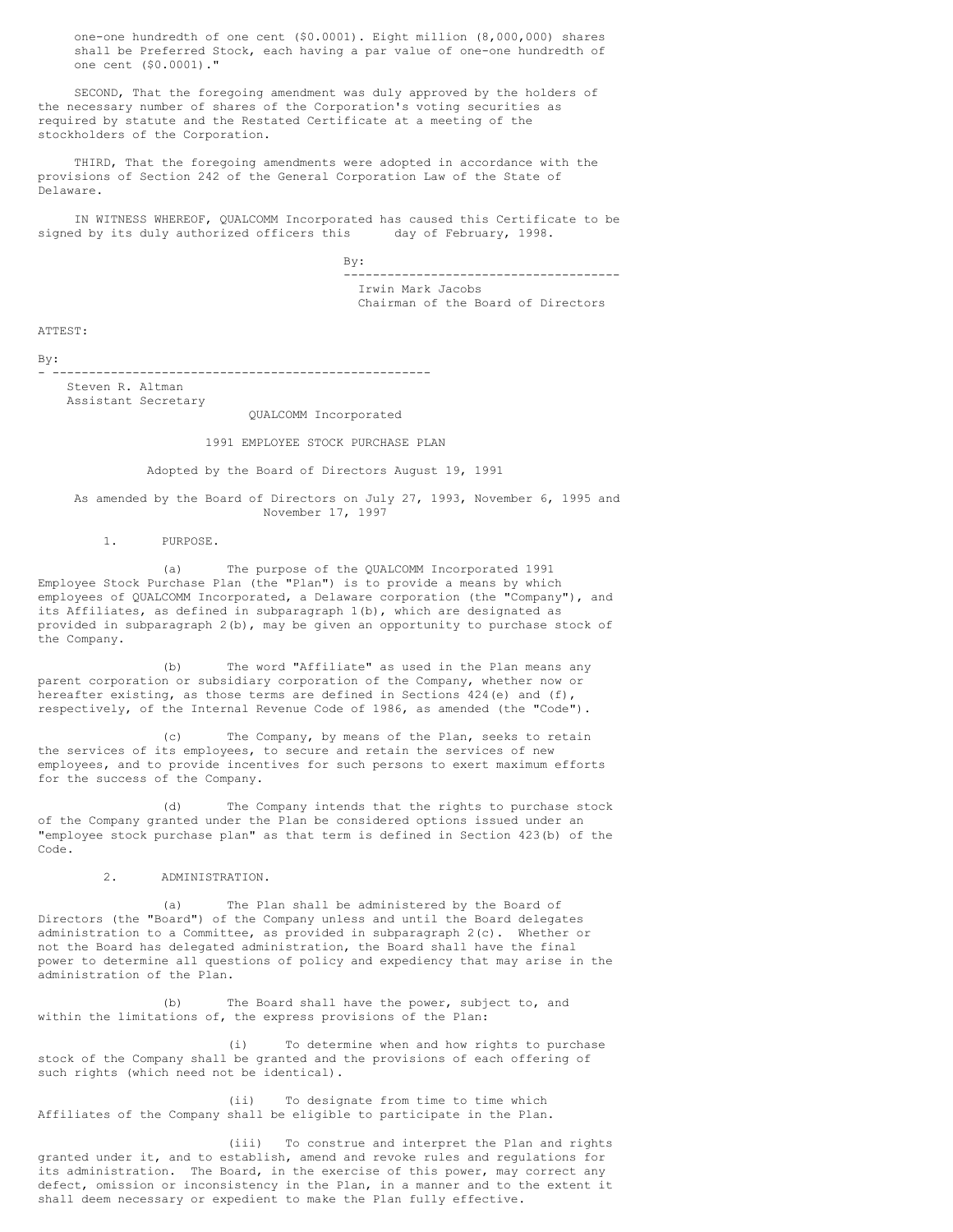one-one hundredth of one cent (\$0.0001). Eight million (8,000,000) shares shall be Preferred Stock, each having a par value of one-one hundredth of one cent (\$0.0001)."

SECOND, That the foregoing amendment was duly approved by the holders of the necessary number of shares of the Corporation's voting securities as required by statute and the Restated Certificate at a meeting of the stockholders of the Corporation.

THIRD, That the foregoing amendments were adopted in accordance with the provisions of Section 242 of the General Corporation Law of the State of Delaware.

IN WITNESS WHEREOF, QUALCOMM Incorporated has caused this Certificate to be signed by its duly authorized officers this day of February, 1998.

> By: -------------------------------------- Irwin Mark Jacobs Chairman of the Board of Directors

ATTEST:

By:

- ---------------------------------------------------- Steven R. Altman Assistant Secretary

QUALCOMM Incorporated

## 1991 EMPLOYEE STOCK PURCHASE PLAN

Adopted by the Board of Directors August 19, 1991

As amended by the Board of Directors on July 27, 1993, November 6, 1995 and November 17, 1997

1. PURPOSE.

(a) The purpose of the QUALCOMM Incorporated 1991 Employee Stock Purchase Plan (the "Plan") is to provide a means by which employees of QUALCOMM Incorporated, a Delaware corporation (the "Company"), and its Affiliates, as defined in subparagraph 1(b), which are designated as provided in subparagraph 2(b), may be given an opportunity to purchase stock of the Company.

(b) The word "Affiliate" as used in the Plan means any parent corporation or subsidiary corporation of the Company, whether now or hereafter existing, as those terms are defined in Sections  $424(e)$  and  $(f)$ , respectively, of the Internal Revenue Code of 1986, as amended (the "Code").

(c) The Company, by means of the Plan, seeks to retain the services of its employees, to secure and retain the services of new employees, and to provide incentives for such persons to exert maximum efforts for the success of the Company.

(d) The Company intends that the rights to purchase stock of the Company granted under the Plan be considered options issued under an "employee stock purchase plan" as that term is defined in Section 423(b) of the Code.

2. ADMINISTRATION.

(a) The Plan shall be administered by the Board of Directors (the "Board") of the Company unless and until the Board delegates administration to a Committee, as provided in subparagraph 2(c). Whether or not the Board has delegated administration, the Board shall have the final power to determine all questions of policy and expediency that may arise in the administration of the Plan.

(b) The Board shall have the power, subject to, and within the limitations of, the express provisions of the Plan:

(i) To determine when and how rights to purchase stock of the Company shall be granted and the provisions of each offering of such rights (which need not be identical).

(ii) To designate from time to time which Affiliates of the Company shall be eligible to participate in the Plan.

(iii) To construe and interpret the Plan and rights granted under it, and to establish, amend and revoke rules and regulations for its administration. The Board, in the exercise of this power, may correct any defect, omission or inconsistency in the Plan, in a manner and to the extent it shall deem necessary or expedient to make the Plan fully effective.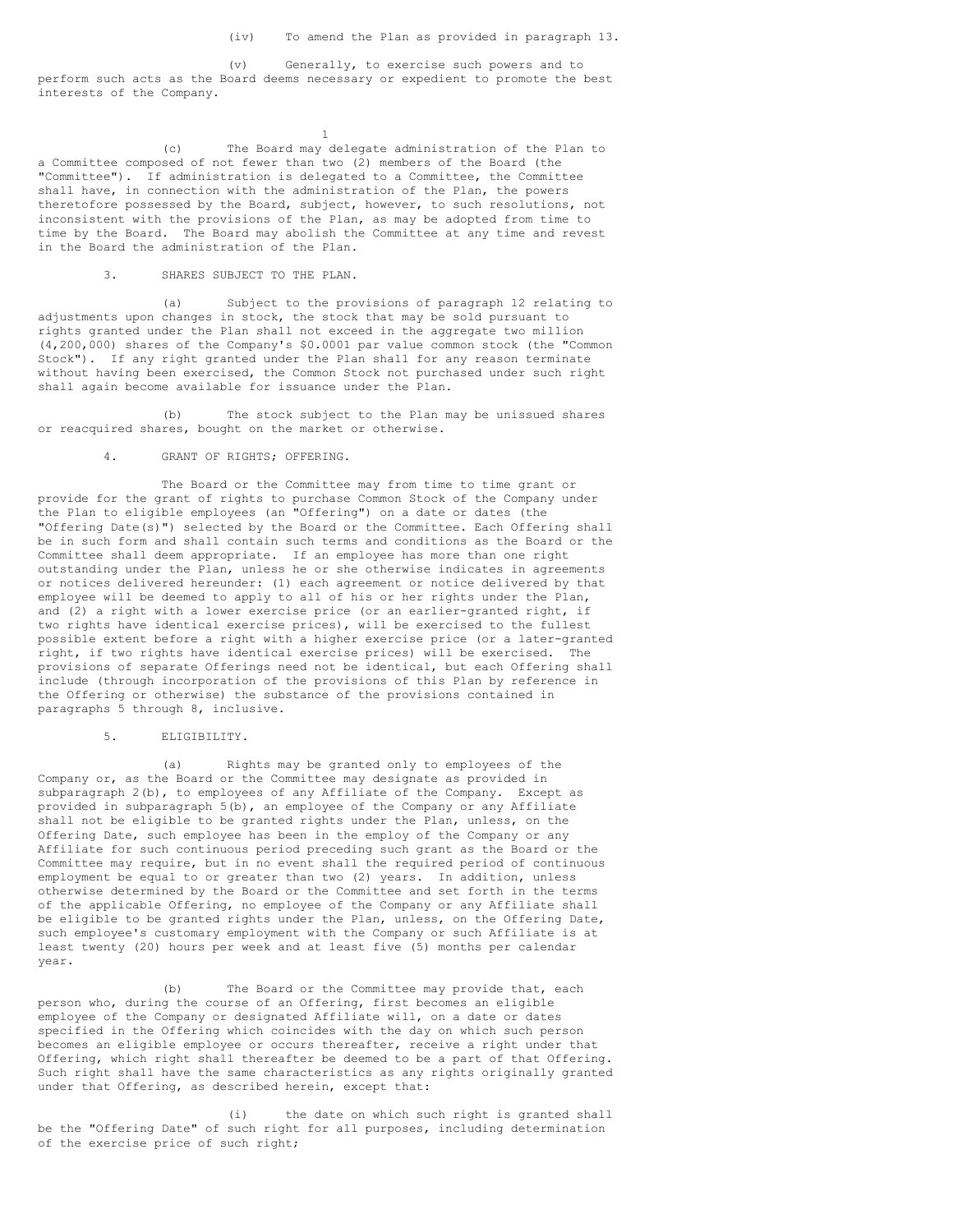(v) Generally, to exercise such powers and to perform such acts as the Board deems necessary or expedient to promote the best interests of the Company.

(c) The Board may delegate administration of the Plan to a Committee composed of not fewer than two (2) members of the Board (the "Committee"). If administration is delegated to a Committee, the Committee shall have, in connection with the administration of the Plan, the powers theretofore possessed by the Board, subject, however, to such resolutions, not inconsistent with the provisions of the Plan, as may be adopted from time to time by the Board. The Board may abolish the Committee at any time and revest in the Board the administration of the Plan.

1

## 3. SHARES SUBJECT TO THE PLAN.

(a) Subject to the provisions of paragraph 12 relating to adjustments upon changes in stock, the stock that may be sold pursuant to rights granted under the Plan shall not exceed in the aggregate two million (4,200,000) shares of the Company's \$0.0001 par value common stock (the "Common Stock"). If any right granted under the Plan shall for any reason terminate without having been exercised, the Common Stock not purchased under such right shall again become available for issuance under the Plan.

(b) The stock subject to the Plan may be unissued shares or reacquired shares, bought on the market or otherwise.

## 4. GRANT OF RIGHTS; OFFERING.

The Board or the Committee may from time to time grant or provide for the grant of rights to purchase Common Stock of the Company under the Plan to eligible employees (an "Offering") on a date or dates (the "Offering Date(s)") selected by the Board or the Committee. Each Offering shall be in such form and shall contain such terms and conditions as the Board or the Committee shall deem appropriate. If an employee has more than one right outstanding under the Plan, unless he or she otherwise indicates in agreements or notices delivered hereunder: (1) each agreement or notice delivered by that employee will be deemed to apply to all of his or her rights under the Plan, and (2) a right with a lower exercise price (or an earlier-granted right, if two rights have identical exercise prices), will be exercised to the fullest possible extent before a right with a higher exercise price (or a later-granted right, if two rights have identical exercise prices) will be exercised. The provisions of separate Offerings need not be identical, but each Offering shall include (through incorporation of the provisions of this Plan by reference in the Offering or otherwise) the substance of the provisions contained in paragraphs 5 through 8, inclusive.

## 5. ELIGIBILITY.

(a) Rights may be granted only to employees of the Company or, as the Board or the Committee may designate as provided in subparagraph 2(b), to employees of any Affiliate of the Company. Except as provided in subparagraph 5(b), an employee of the Company or any Affiliate shall not be eligible to be granted rights under the Plan, unless, on the Offering Date, such employee has been in the employ of the Company or any Affiliate for such continuous period preceding such grant as the Board or the Committee may require, but in no event shall the required period of continuous employment be equal to or greater than two (2) years. In addition, unless otherwise determined by the Board or the Committee and set forth in the terms of the applicable Offering, no employee of the Company or any Affiliate shall be eligible to be granted rights under the Plan, unless, on the Offering Date, such employee's customary employment with the Company or such Affiliate is at least twenty (20) hours per week and at least five (5) months per calendar year.

(b) The Board or the Committee may provide that, each person who, during the course of an Offering, first becomes an eligible employee of the Company or designated Affiliate will, on a date or dates specified in the Offering which coincides with the day on which such person becomes an eligible employee or occurs thereafter, receive a right under that Offering, which right shall thereafter be deemed to be a part of that Offering. Such right shall have the same characteristics as any rights originally granted under that Offering, as described herein, except that:

(i) the date on which such right is granted shall be the "Offering Date" of such right for all purposes, including determination of the exercise price of such right;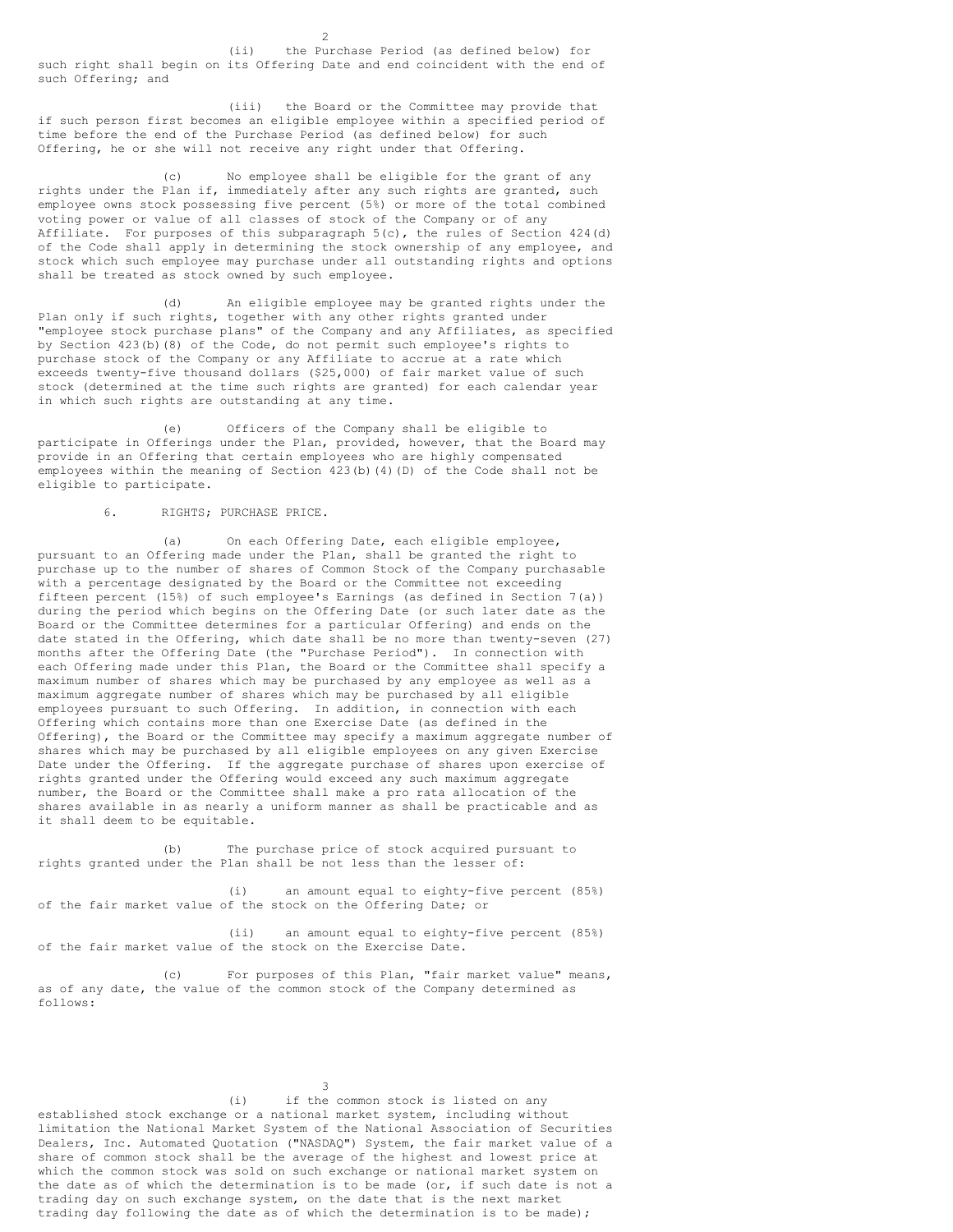(ii) the Purchase Period (as defined below) for such right shall begin on its Offering Date and end coincident with the end of such Offering; and

(iii) the Board or the Committee may provide that if such person first becomes an eligible employee within a specified period of time before the end of the Purchase Period (as defined below) for such Offering, he or she will not receive any right under that Offering.

(c) No employee shall be eligible for the grant of any rights under the Plan if, immediately after any such rights are granted, such employee owns stock possessing five percent (5%) or more of the total combined voting power or value of all classes of stock of the Company or of any Affiliate. For purposes of this subparagraph 5(c), the rules of Section 424(d) of the Code shall apply in determining the stock ownership of any employee, and stock which such employee may purchase under all outstanding rights and options shall be treated as stock owned by such employee.

(d) An eligible employee may be granted rights under the Plan only if such rights, together with any other rights granted under "employee stock purchase plans" of the Company and any Affiliates, as specified by Section 423(b)(8) of the Code, do not permit such employee's rights to purchase stock of the Company or any Affiliate to accrue at a rate which exceeds twenty-five thousand dollars (\$25,000) of fair market value of such stock (determined at the time such rights are granted) for each calendar year in which such rights are outstanding at any time.

(e) Officers of the Company shall be eligible to participate in Offerings under the Plan, provided, however, that the Board may provide in an Offering that certain employees who are highly compensated employees within the meaning of Section 423(b)(4)(D) of the Code shall not be eligible to participate.

### 6. RIGHTS; PURCHASE PRICE.

(a) On each Offering Date, each eligible employee, pursuant to an Offering made under the Plan, shall be granted the right to purchase up to the number of shares of Common Stock of the Company purchasable with a percentage designated by the Board or the Committee not exceeding fifteen percent (15%) of such employee's Earnings (as defined in Section 7(a)) during the period which begins on the Offering Date (or such later date as the Board or the Committee determines for a particular Offering) and ends on the date stated in the Offering, which date shall be no more than twenty-seven (27) months after the Offering Date (the "Purchase Period"). In connection with each Offering made under this Plan, the Board or the Committee shall specify a maximum number of shares which may be purchased by any employee as well as a maximum aggregate number of shares which may be purchased by all eligible employees pursuant to such Offering. In addition, in connection with each Offering which contains more than one Exercise Date (as defined in the Offering), the Board or the Committee may specify a maximum aggregate number of shares which may be purchased by all eligible employees on any given Exercise Date under the Offering. If the aggregate purchase of shares upon exercise of rights granted under the Offering would exceed any such maximum aggregate number, the Board or the Committee shall make a pro rata allocation of the shares available in as nearly a uniform manner as shall be practicable and as it shall deem to be equitable.

(b) The purchase price of stock acquired pursuant to rights granted under the Plan shall be not less than the lesser of:

(i) an amount equal to eighty-five percent (85%) of the fair market value of the stock on the Offering Date; or

(ii) an amount equal to eighty-five percent (85%) of the fair market value of the stock on the Exercise Date.

(c) For purposes of this Plan, "fair market value" means, as of any date, the value of the common stock of the Company determined as follows:

3

(i) if the common stock is listed on any established stock exchange or a national market system, including without limitation the National Market System of the National Association of Securities Dealers, Inc. Automated Quotation ("NASDAQ") System, the fair market value of a share of common stock shall be the average of the highest and lowest price at which the common stock was sold on such exchange or national market system on the date as of which the determination is to be made (or, if such date is not a trading day on such exchange system, on the date that is the next market trading day following the date as of which the determination is to be made);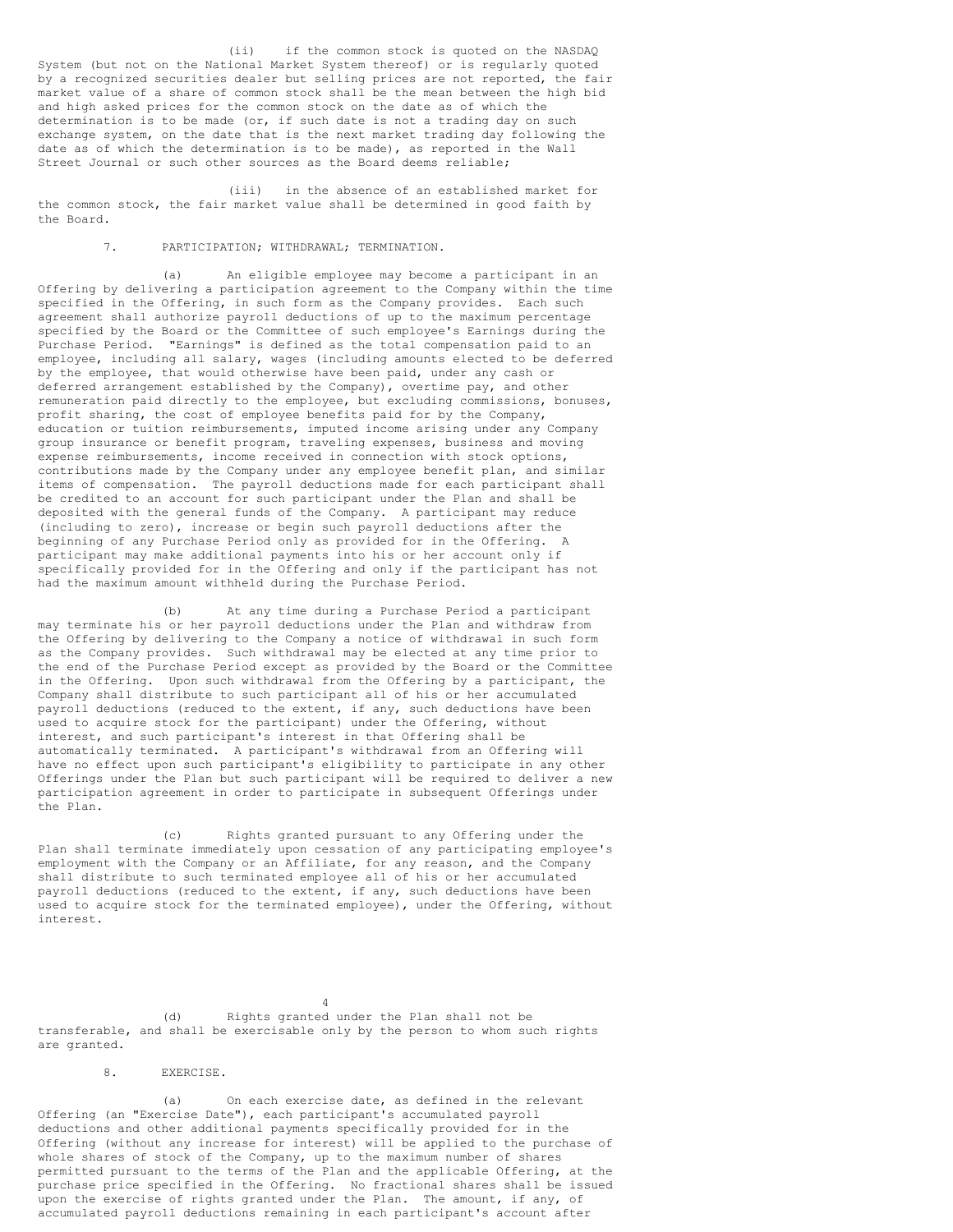(ii) if the common stock is quoted on the NASDAQ System (but not on the National Market System thereof) or is regularly quoted by a recognized securities dealer but selling prices are not reported, the fair market value of a share of common stock shall be the mean between the high bid and high asked prices for the common stock on the date as of which the determination is to be made (or, if such date is not a trading day on such exchange system, on the date that is the next market trading day following the date as of which the determination is to be made), as reported in the Wall Street Journal or such other sources as the Board deems reliable;

(iii) in the absence of an established market for the common stock, the fair market value shall be determined in good faith by the Board.

## 7. PARTICIPATION; WITHDRAWAL; TERMINATION.

(a) An eligible employee may become a participant in an Offering by delivering a participation agreement to the Company within the time specified in the Offering, in such form as the Company provides. Each such agreement shall authorize payroll deductions of up to the maximum percentage specified by the Board or the Committee of such employee's Earnings during the Purchase Period. "Earnings" is defined as the total compensation paid to an employee, including all salary, wages (including amounts elected to be deferred by the employee, that would otherwise have been paid, under any cash or deferred arrangement established by the Company), overtime pay, and other remuneration paid directly to the employee, but excluding commissions, bonuses, profit sharing, the cost of employee benefits paid for by the Company, education or tuition reimbursements, imputed income arising under any Company group insurance or benefit program, traveling expenses, business and moving expense reimbursements, income received in connection with stock options, contributions made by the Company under any employee benefit plan, and similar items of compensation. The payroll deductions made for each participant shall be credited to an account for such participant under the Plan and shall be deposited with the general funds of the Company. A participant may reduce (including to zero), increase or begin such payroll deductions after the beginning of any Purchase Period only as provided for in the Offering. A participant may make additional payments into his or her account only if specifically provided for in the Offering and only if the participant has not had the maximum amount withheld during the Purchase Period.

(b) At any time during a Purchase Period a participant may terminate his or her payroll deductions under the Plan and withdraw from the Offering by delivering to the Company a notice of withdrawal in such form as the Company provides. Such withdrawal may be elected at any time prior to the end of the Purchase Period except as provided by the Board or the Committee in the Offering. Upon such withdrawal from the Offering by a participant, the Company shall distribute to such participant all of his or her accumulated payroll deductions (reduced to the extent, if any, such deductions have been used to acquire stock for the participant) under the Offering, without interest, and such participant's interest in that Offering shall be automatically terminated. A participant's withdrawal from an Offering will have no effect upon such participant's eligibility to participate in any other Offerings under the Plan but such participant will be required to deliver a new participation agreement in order to participate in subsequent Offerings under the Plan.

(c) Rights granted pursuant to any Offering under the Plan shall terminate immediately upon cessation of any participating employee's employment with the Company or an Affiliate, for any reason, and the Company shall distribute to such terminated employee all of his or her accumulated payroll deductions (reduced to the extent, if any, such deductions have been used to acquire stock for the terminated employee), under the Offering, without interest.

(d) Rights granted under the Plan shall not be transferable, and shall be exercisable only by the person to whom such rights are granted.

4

### 8. EXERCISE.

(a) On each exercise date, as defined in the relevant Offering (an "Exercise Date"), each participant's accumulated payroll deductions and other additional payments specifically provided for in the Offering (without any increase for interest) will be applied to the purchase of whole shares of stock of the Company, up to the maximum number of shares permitted pursuant to the terms of the Plan and the applicable Offering, at the purchase price specified in the Offering. No fractional shares shall be issued upon the exercise of rights granted under the Plan. The amount, if any, of accumulated payroll deductions remaining in each participant's account after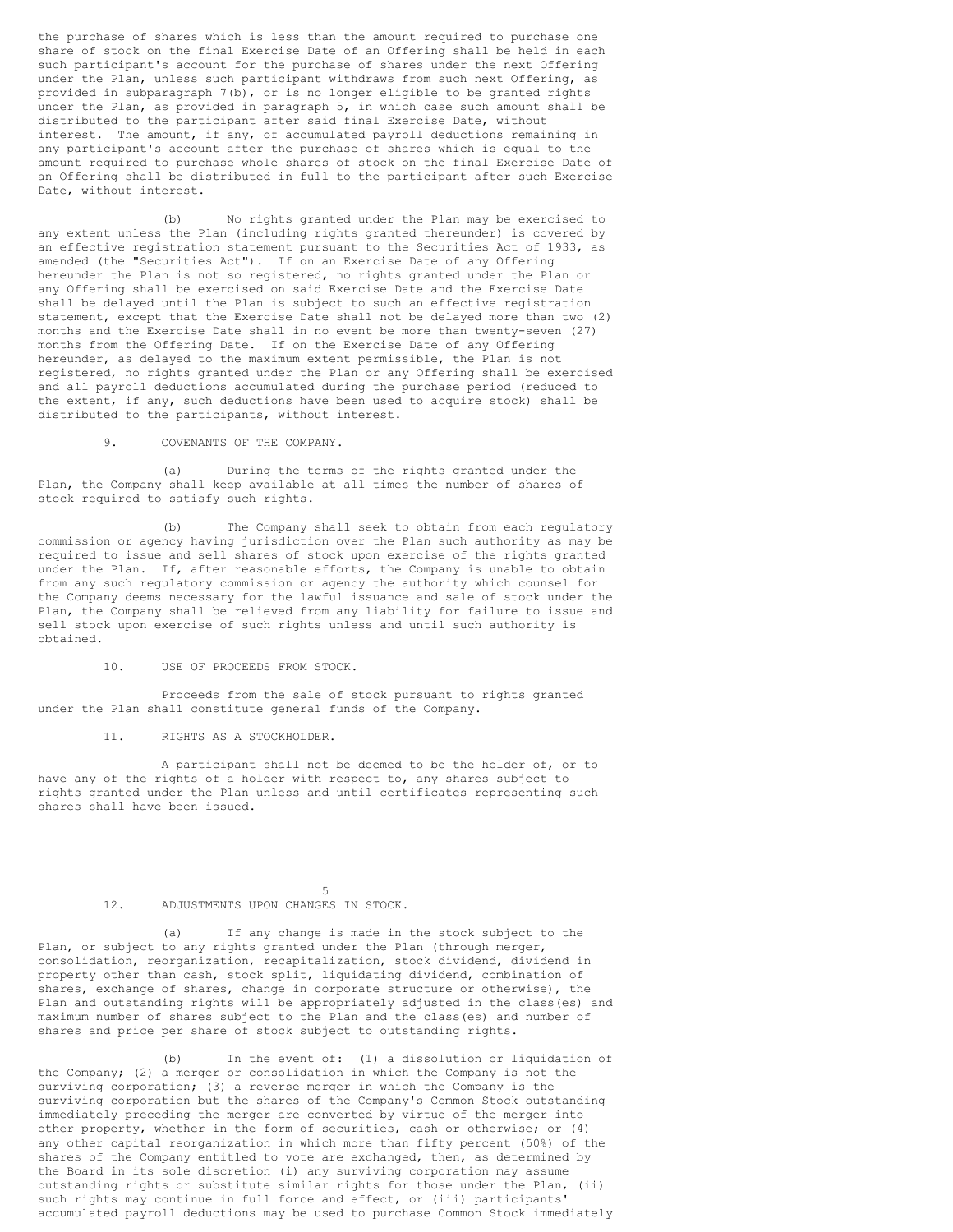the purchase of shares which is less than the amount required to purchase one share of stock on the final Exercise Date of an Offering shall be held in each such participant's account for the purchase of shares under the next Offering under the Plan, unless such participant withdraws from such next Offering, as provided in subparagraph 7(b), or is no longer eligible to be granted rights under the Plan, as provided in paragraph 5, in which case such amount shall be distributed to the participant after said final Exercise Date, without interest. The amount, if any, of accumulated payroll deductions remaining in any participant's account after the purchase of shares which is equal to the amount required to purchase whole shares of stock on the final Exercise Date of an Offering shall be distributed in full to the participant after such Exercise Date, without interest.

(b) No rights granted under the Plan may be exercised to any extent unless the Plan (including rights granted thereunder) is covered by an effective registration statement pursuant to the Securities Act of 1933, as amended (the "Securities Act"). If on an Exercise Date of any Offering hereunder the Plan is not so registered, no rights granted under the Plan or any Offering shall be exercised on said Exercise Date and the Exercise Date shall be delayed until the Plan is subject to such an effective registration statement, except that the Exercise Date shall not be delayed more than two (2) months and the Exercise Date shall in no event be more than twenty-seven (27) months from the Offering Date. If on the Exercise Date of any Offering hereunder, as delayed to the maximum extent permissible, the Plan is not registered, no rights granted under the Plan or any Offering shall be exercised and all payroll deductions accumulated during the purchase period (reduced to the extent, if any, such deductions have been used to acquire stock) shall be distributed to the participants, without interest.

9. COVENANTS OF THE COMPANY.

(a) During the terms of the rights granted under the Plan, the Company shall keep available at all times the number of shares of stock required to satisfy such rights.

(b) The Company shall seek to obtain from each regulatory commission or agency having jurisdiction over the Plan such authority as may be required to issue and sell shares of stock upon exercise of the rights granted under the Plan. If, after reasonable efforts, the Company is unable to obtain from any such regulatory commission or agency the authority which counsel for the Company deems necessary for the lawful issuance and sale of stock under the Plan, the Company shall be relieved from any liability for failure to issue and sell stock upon exercise of such rights unless and until such authority is obtained.

## 10. USE OF PROCEEDS FROM STOCK.

Proceeds from the sale of stock pursuant to rights granted under the Plan shall constitute general funds of the Company.

11. RIGHTS AS A STOCKHOLDER.

A participant shall not be deemed to be the holder of, or to have any of the rights of a holder with respect to, any shares subject to rights granted under the Plan unless and until certificates representing such shares shall have been issued.

### 5 12. ADJUSTMENTS UPON CHANGES IN STOCK.

(a) If any change is made in the stock subject to the Plan, or subject to any rights granted under the Plan (through merger, consolidation, reorganization, recapitalization, stock dividend, dividend in property other than cash, stock split, liquidating dividend, combination of shares, exchange of shares, change in corporate structure or otherwise), the Plan and outstanding rights will be appropriately adjusted in the class(es) and maximum number of shares subject to the Plan and the class(es) and number of shares and price per share of stock subject to outstanding rights.

(b) In the event of: (1) a dissolution or liquidation of the Company; (2) a merger or consolidation in which the Company is not the surviving corporation; (3) a reverse merger in which the Company is the surviving corporation but the shares of the Company's Common Stock outstanding immediately preceding the merger are converted by virtue of the merger into other property, whether in the form of securities, cash or otherwise; or (4) any other capital reorganization in which more than fifty percent (50%) of the shares of the Company entitled to vote are exchanged, then, as determined by the Board in its sole discretion (i) any surviving corporation may assume outstanding rights or substitute similar rights for those under the Plan, (ii) such rights may continue in full force and effect, or (iii) participants' accumulated payroll deductions may be used to purchase Common Stock immediately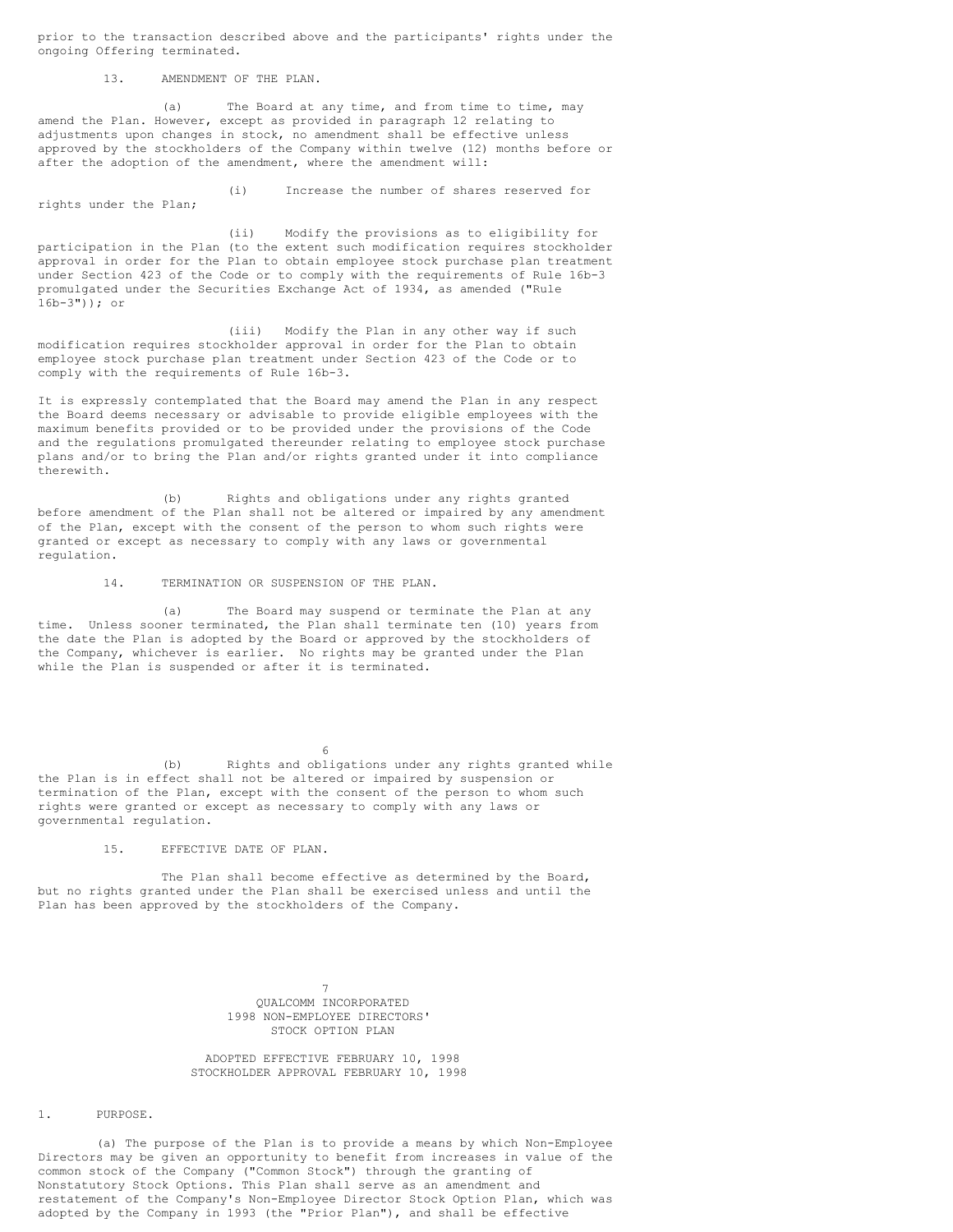prior to the transaction described above and the participants' rights under the ongoing Offering terminated.

13. AMENDMENT OF THE PLAN.

(a) The Board at any time, and from time to time, may amend the Plan. However, except as provided in paragraph 12 relating to adjustments upon changes in stock, no amendment shall be effective unless approved by the stockholders of the Company within twelve (12) months before or after the adoption of the amendment, where the amendment will:

(i) Increase the number of shares reserved for rights under the Plan;

(ii) Modify the provisions as to eligibility for participation in the Plan (to the extent such modification requires stockholder approval in order for the Plan to obtain employee stock purchase plan treatment under Section 423 of the Code or to comply with the requirements of Rule 16b-3 promulgated under the Securities Exchange Act of 1934, as amended ("Rule 16b-3")); or

(iii) Modify the Plan in any other way if such modification requires stockholder approval in order for the Plan to obtain employee stock purchase plan treatment under Section 423 of the Code or to comply with the requirements of Rule 16b-3.

It is expressly contemplated that the Board may amend the Plan in any respect the Board deems necessary or advisable to provide eligible employees with the maximum benefits provided or to be provided under the provisions of the Code and the regulations promulgated thereunder relating to employee stock purchase plans and/or to bring the Plan and/or rights granted under it into compliance therewith.

(b) Rights and obligations under any rights granted before amendment of the Plan shall not be altered or impaired by any amendment of the Plan, except with the consent of the person to whom such rights were granted or except as necessary to comply with any laws or governmental regulation.

14. TERMINATION OR SUSPENSION OF THE PLAN.

(a) The Board may suspend or terminate the Plan at any time. Unless sooner terminated, the Plan shall terminate ten (10) years from the date the Plan is adopted by the Board or approved by the stockholders of the Company, whichever is earlier. No rights may be granted under the Plan while the Plan is suspended or after it is terminated.

(b) Rights and obligations under any rights granted while the Plan is in effect shall not be altered or impaired by suspension or termination of the Plan, except with the consent of the person to whom such rights were granted or except as necessary to comply with any laws or governmental regulation.

6

15. EFFECTIVE DATE OF PLAN.

The Plan shall become effective as determined by the Board, but no rights granted under the Plan shall be exercised unless and until the Plan has been approved by the stockholders of the Company.

> 7 QUALCOMM INCORPORATED 1998 NON-EMPLOYEE DIRECTORS' STOCK OPTION PLAN

ADOPTED EFFECTIVE FEBRUARY 10, 1998 STOCKHOLDER APPROVAL FEBRUARY 10, 1998

1. PURPOSE.

(a) The purpose of the Plan is to provide a means by which Non-Employee Directors may be given an opportunity to benefit from increases in value of the common stock of the Company ("Common Stock") through the granting of Nonstatutory Stock Options. This Plan shall serve as an amendment and restatement of the Company's Non-Employee Director Stock Option Plan, which was adopted by the Company in 1993 (the "Prior Plan"), and shall be effective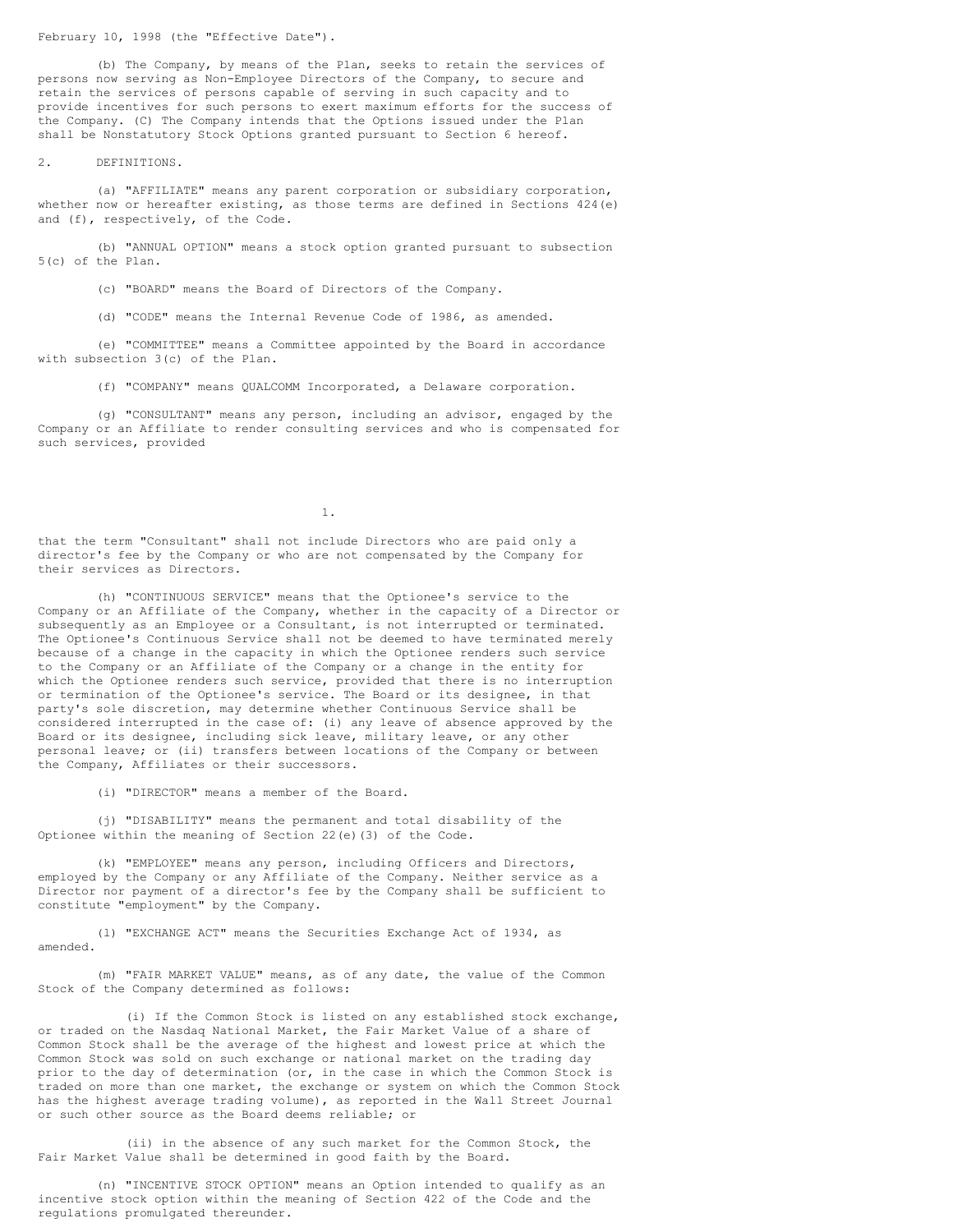February 10, 1998 (the "Effective Date").

(b) The Company, by means of the Plan, seeks to retain the services of persons now serving as Non-Employee Directors of the Company, to secure and retain the services of persons capable of serving in such capacity and to provide incentives for such persons to exert maximum efforts for the success of the Company. (C) The Company intends that the Options issued under the Plan shall be Nonstatutory Stock Options granted pursuant to Section 6 hereof.

2. DEFINITIONS.

(a) "AFFILIATE" means any parent corporation or subsidiary corporation, whether now or hereafter existing, as those terms are defined in Sections 424(e) and (f), respectively, of the Code.

(b) "ANNUAL OPTION" means a stock option granted pursuant to subsection 5(c) of the Plan.

(c) "BOARD" means the Board of Directors of the Company.

(d) "CODE" means the Internal Revenue Code of 1986, as amended.

(e) "COMMITTEE" means a Committee appointed by the Board in accordance with subsection 3(c) of the Plan.

(f) "COMPANY" means QUALCOMM Incorporated, a Delaware corporation.

(g) "CONSULTANT" means any person, including an advisor, engaged by the Company or an Affiliate to render consulting services and who is compensated for such services, provided

1.

that the term "Consultant" shall not include Directors who are paid only a director's fee by the Company or who are not compensated by the Company for their services as Directors.

(h) "CONTINUOUS SERVICE" means that the Optionee's service to the Company or an Affiliate of the Company, whether in the capacity of a Director or subsequently as an Employee or a Consultant, is not interrupted or terminated. The Optionee's Continuous Service shall not be deemed to have terminated merely because of a change in the capacity in which the Optionee renders such service to the Company or an Affiliate of the Company or a change in the entity for which the Optionee renders such service, provided that there is no interruption or termination of the Optionee's service. The Board or its designee, in that party's sole discretion, may determine whether Continuous Service shall be considered interrupted in the case of: (i) any leave of absence approved by the Board or its designee, including sick leave, military leave, or any other personal leave; or (ii) transfers between locations of the Company or between the Company, Affiliates or their successors.

(i) "DIRECTOR" means a member of the Board.

(j) "DISABILITY" means the permanent and total disability of the Optionee within the meaning of Section 22(e)(3) of the Code.

(k) "EMPLOYEE" means any person, including Officers and Directors, employed by the Company or any Affiliate of the Company. Neither service as a Director nor payment of a director's fee by the Company shall be sufficient to constitute "employment" by the Company.

(l) "EXCHANGE ACT" means the Securities Exchange Act of 1934, as amended.

(m) "FAIR MARKET VALUE" means, as of any date, the value of the Common Stock of the Company determined as follows:

(i) If the Common Stock is listed on any established stock exchange, or traded on the Nasdaq National Market, the Fair Market Value of a share of Common Stock shall be the average of the highest and lowest price at which the Common Stock was sold on such exchange or national market on the trading day prior to the day of determination (or, in the case in which the Common Stock is traded on more than one market, the exchange or system on which the Common Stock has the highest average trading volume), as reported in the Wall Street Journal or such other source as the Board deems reliable; or

(ii) in the absence of any such market for the Common Stock, the Fair Market Value shall be determined in good faith by the Board.

(n) "INCENTIVE STOCK OPTION" means an Option intended to qualify as an incentive stock option within the meaning of Section 422 of the Code and the regulations promulgated thereunder.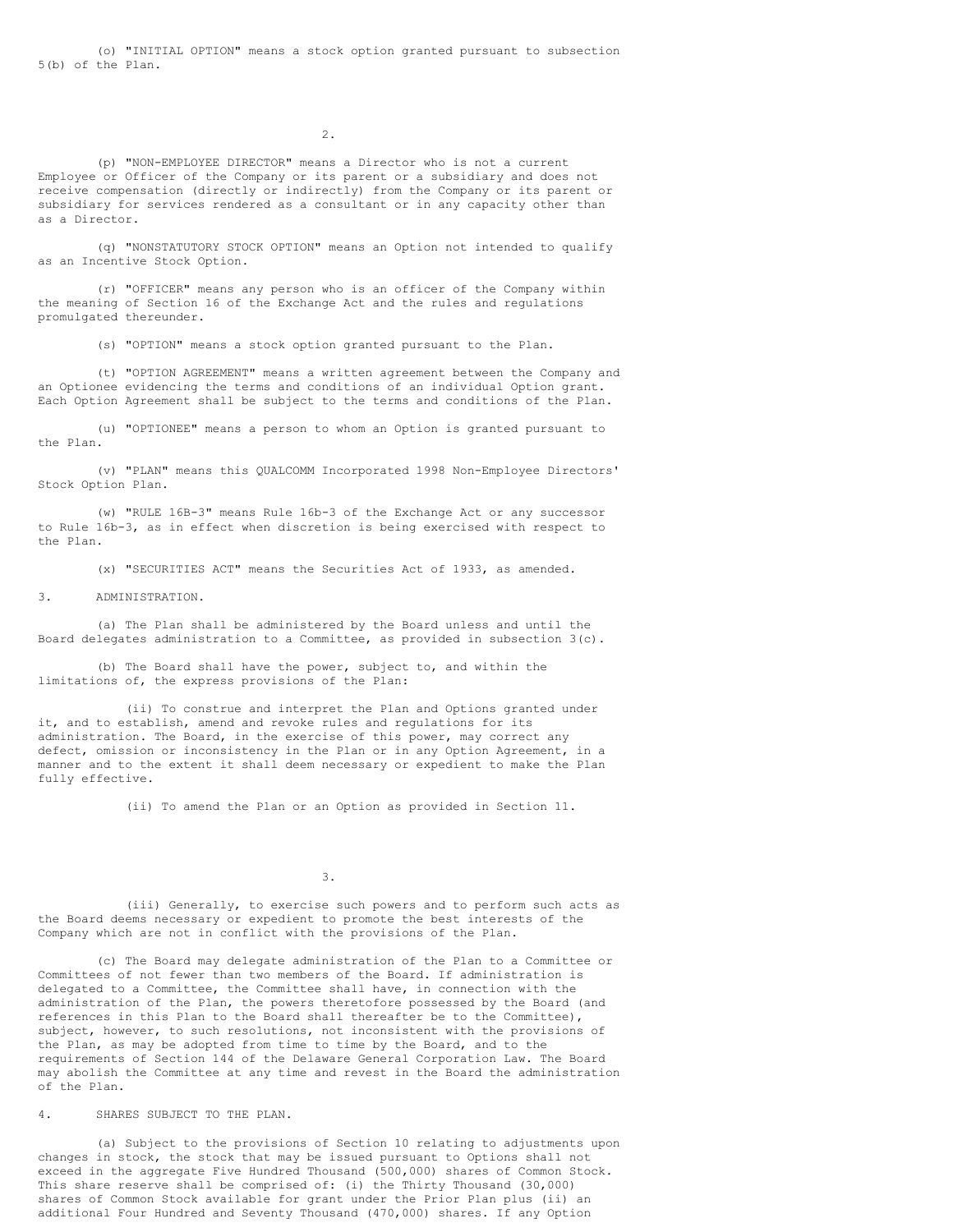2.

(p) "NON-EMPLOYEE DIRECTOR" means a Director who is not a current Employee or Officer of the Company or its parent or a subsidiary and does not receive compensation (directly or indirectly) from the Company or its parent or subsidiary for services rendered as a consultant or in any capacity other than as a Director.

(q) "NONSTATUTORY STOCK OPTION" means an Option not intended to qualify as an Incentive Stock Option.

(r) "OFFICER" means any person who is an officer of the Company within the meaning of Section 16 of the Exchange Act and the rules and regulations promulgated thereunder.

(s) "OPTION" means a stock option granted pursuant to the Plan.

(t) "OPTION AGREEMENT" means a written agreement between the Company and an Optionee evidencing the terms and conditions of an individual Option grant. Each Option Agreement shall be subject to the terms and conditions of the Plan.

(u) "OPTIONEE" means a person to whom an Option is granted pursuant to the Plan.

(v) "PLAN" means this QUALCOMM Incorporated 1998 Non-Employee Directors' Stock Option Plan.

(w) "RULE 16B-3" means Rule 16b-3 of the Exchange Act or any successor to Rule 16b-3, as in effect when discretion is being exercised with respect to the Plan.

(x) "SECURITIES ACT" means the Securities Act of 1933, as amended.

## 3. ADMINISTRATION.

(a) The Plan shall be administered by the Board unless and until the Board delegates administration to a Committee, as provided in subsection 3(c).

(b) The Board shall have the power, subject to, and within the limitations of, the express provisions of the Plan:

(ii) To construe and interpret the Plan and Options granted under it, and to establish, amend and revoke rules and regulations for its administration. The Board, in the exercise of this power, may correct any defect, omission or inconsistency in the Plan or in any Option Agreement, in a manner and to the extent it shall deem necessary or expedient to make the Plan fully effective.

(ii) To amend the Plan or an Option as provided in Section 11.

3.

(iii) Generally, to exercise such powers and to perform such acts as the Board deems necessary or expedient to promote the best interests of the Company which are not in conflict with the provisions of the Plan.

(c) The Board may delegate administration of the Plan to a Committee or Committees of not fewer than two members of the Board. If administration is delegated to a Committee, the Committee shall have, in connection with the administration of the Plan, the powers theretofore possessed by the Board (and references in this Plan to the Board shall thereafter be to the Committee), subject, however, to such resolutions, not inconsistent with the provisions of the Plan, as may be adopted from time to time by the Board, and to the requirements of Section 144 of the Delaware General Corporation Law. The Board may abolish the Committee at any time and revest in the Board the administration of the Plan.

### 4. SHARES SUBJECT TO THE PLAN.

(a) Subject to the provisions of Section 10 relating to adjustments upon changes in stock, the stock that may be issued pursuant to Options shall not exceed in the aggregate Five Hundred Thousand (500,000) shares of Common Stock. This share reserve shall be comprised of: (i) the Thirty Thousand (30,000) shares of Common Stock available for grant under the Prior Plan plus (ii) an additional Four Hundred and Seventy Thousand (470,000) shares. If any Option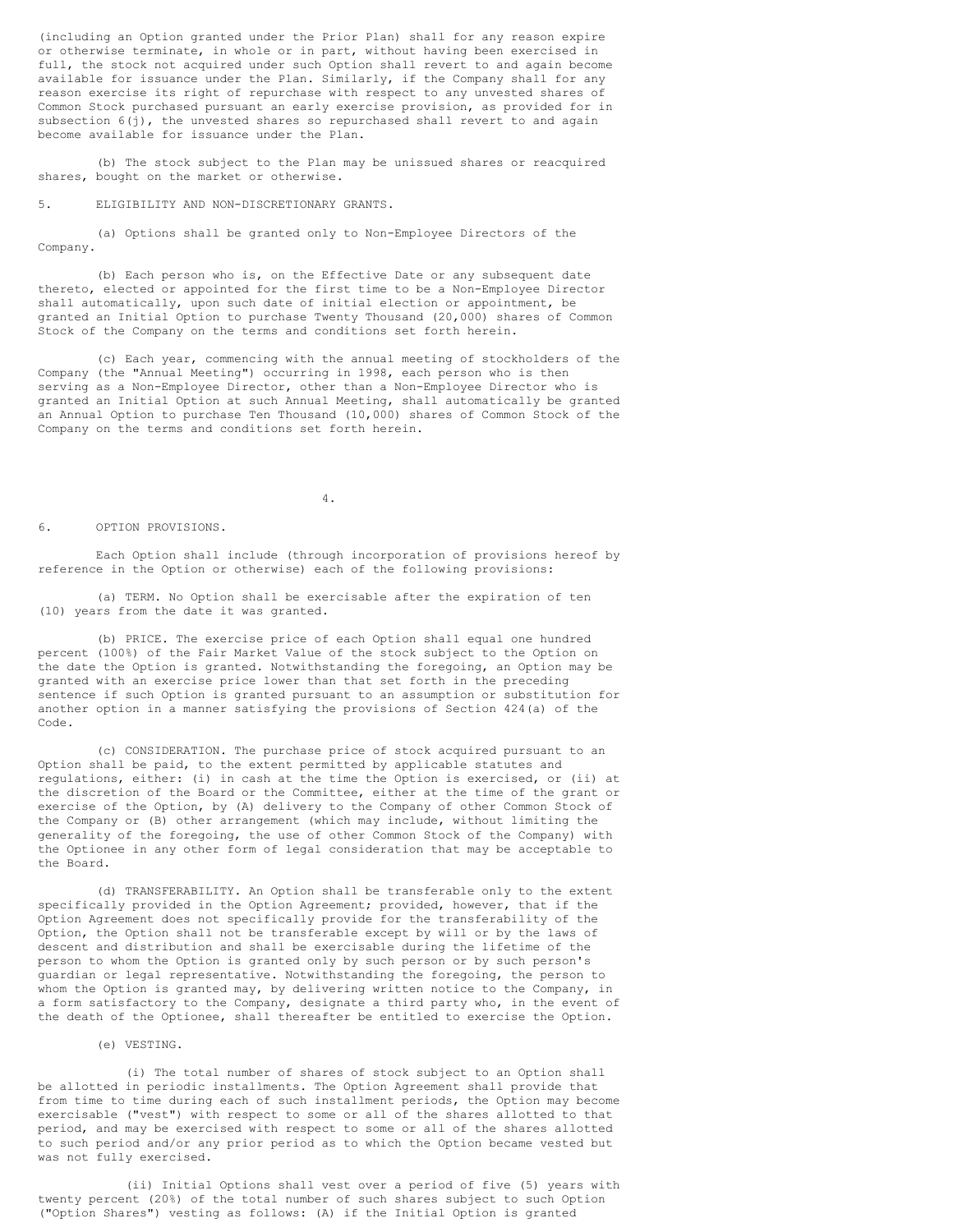(including an Option granted under the Prior Plan) shall for any reason expire or otherwise terminate, in whole or in part, without having been exercised in full, the stock not acquired under such Option shall revert to and again become available for issuance under the Plan. Similarly, if the Company shall for any reason exercise its right of repurchase with respect to any unvested shares of Common Stock purchased pursuant an early exercise provision, as provided for in subsection  $6(j)$ , the unvested shares so repurchased shall revert to and again become available for issuance under the Plan.

(b) The stock subject to the Plan may be unissued shares or reacquired shares, bought on the market or otherwise.

5. ELIGIBILITY AND NON-DISCRETIONARY GRANTS.

(a) Options shall be granted only to Non-Employee Directors of the Company.

(b) Each person who is, on the Effective Date or any subsequent date thereto, elected or appointed for the first time to be a Non-Employee Director shall automatically, upon such date of initial election or appointment, be granted an Initial Option to purchase Twenty Thousand (20,000) shares of Common Stock of the Company on the terms and conditions set forth herein.

(c) Each year, commencing with the annual meeting of stockholders of the Company (the "Annual Meeting") occurring in 1998, each person who is then serving as a Non-Employee Director, other than a Non-Employee Director who is granted an Initial Option at such Annual Meeting, shall automatically be granted an Annual Option to purchase Ten Thousand (10,000) shares of Common Stock of the Company on the terms and conditions set forth herein.

4.

### 6. OPTION PROVISIONS.

Each Option shall include (through incorporation of provisions hereof by reference in the Option or otherwise) each of the following provisions:

(a) TERM. No Option shall be exercisable after the expiration of ten (10) years from the date it was granted.

(b) PRICE. The exercise price of each Option shall equal one hundred percent (100%) of the Fair Market Value of the stock subject to the Option on the date the Option is granted. Notwithstanding the foregoing, an Option may be granted with an exercise price lower than that set forth in the preceding sentence if such Option is granted pursuant to an assumption or substitution for another option in a manner satisfying the provisions of Section 424(a) of the Code.

(c) CONSIDERATION. The purchase price of stock acquired pursuant to an Option shall be paid, to the extent permitted by applicable statutes and regulations, either: (i) in cash at the time the Option is exercised, or (ii) at the discretion of the Board or the Committee, either at the time of the grant or exercise of the Option, by (A) delivery to the Company of other Common Stock of the Company or (B) other arrangement (which may include, without limiting the generality of the foregoing, the use of other Common Stock of the Company) with the Optionee in any other form of legal consideration that may be acceptable to the Board.

(d) TRANSFERABILITY. An Option shall be transferable only to the extent specifically provided in the Option Agreement; provided, however, that if the Option Agreement does not specifically provide for the transferability of the Option, the Option shall not be transferable except by will or by the laws of descent and distribution and shall be exercisable during the lifetime of the person to whom the Option is granted only by such person or by such person's guardian or legal representative. Notwithstanding the foregoing, the person to whom the Option is granted may, by delivering written notice to the Company, in a form satisfactory to the Company, designate a third party who, in the event of the death of the Optionee, shall thereafter be entitled to exercise the Option.

## (e) VESTING.

(i) The total number of shares of stock subject to an Option shall be allotted in periodic installments. The Option Agreement shall provide that from time to time during each of such installment periods, the Option may become exercisable ("vest") with respect to some or all of the shares allotted to that period, and may be exercised with respect to some or all of the shares allotted to such period and/or any prior period as to which the Option became vested but was not fully exercised.

(ii) Initial Options shall vest over a period of five (5) years with twenty percent (20%) of the total number of such shares subject to such Option ("Option Shares") vesting as follows: (A) if the Initial Option is granted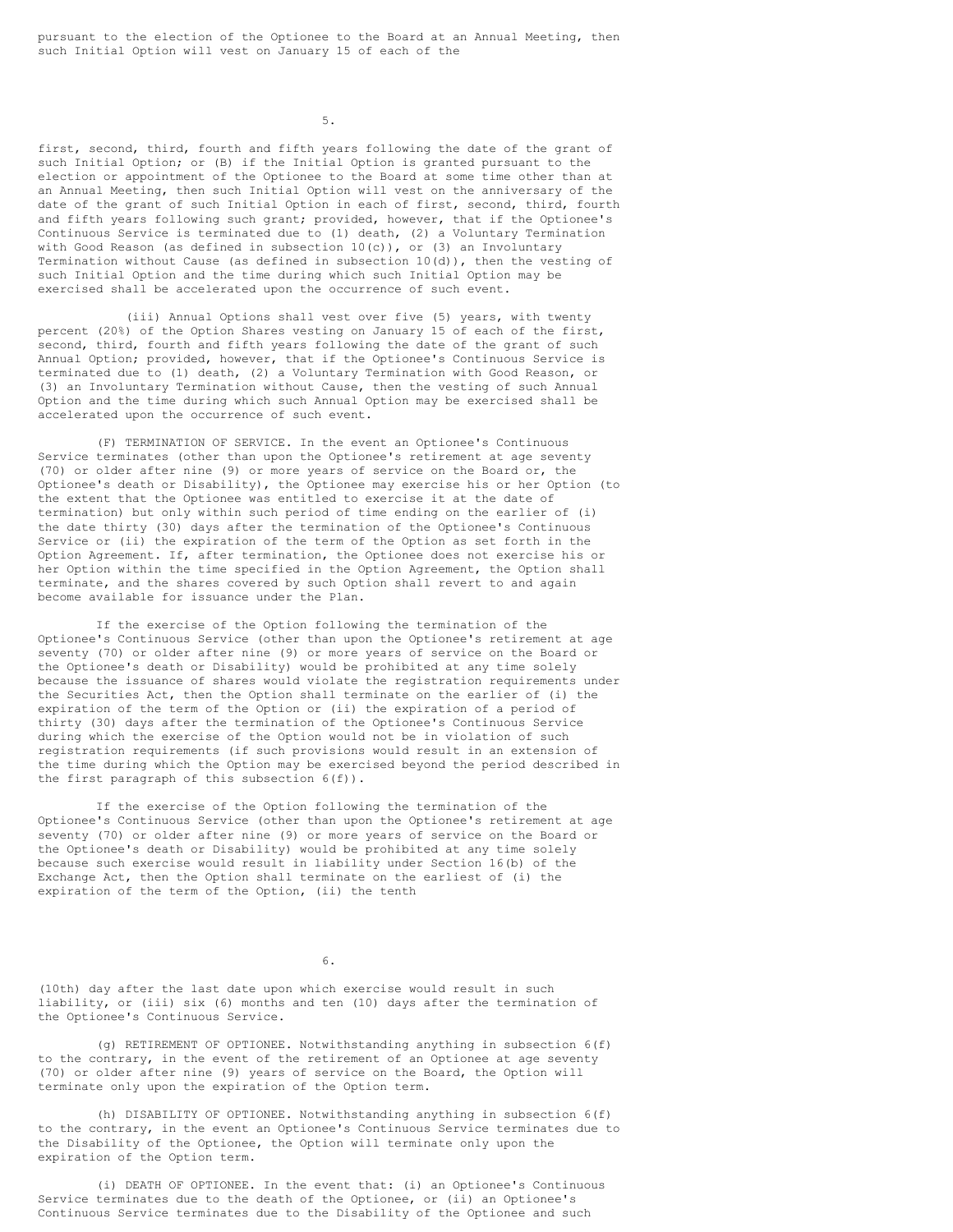5.

first, second, third, fourth and fifth years following the date of the grant of such Initial Option; or (B) if the Initial Option is granted pursuant to the election or appointment of the Optionee to the Board at some time other than at an Annual Meeting, then such Initial Option will vest on the anniversary of the date of the grant of such Initial Option in each of first, second, third, fourth and fifth years following such grant; provided, however, that if the Optionee's Continuous Service is terminated due to (1) death, (2) a Voluntary Termination with Good Reason (as defined in subsection  $10(c)$ ), or (3) an Involuntary Termination without Cause (as defined in subsection 10(d)), then the vesting of such Initial Option and the time during which such Initial Option may be exercised shall be accelerated upon the occurrence of such event.

(iii) Annual Options shall vest over five (5) years, with twenty percent (20%) of the Option Shares vesting on January 15 of each of the first, second, third, fourth and fifth years following the date of the grant of such Annual Option; provided, however, that if the Optionee's Continuous Service is terminated due to (1) death, (2) a Voluntary Termination with Good Reason, or (3) an Involuntary Termination without Cause, then the vesting of such Annual Option and the time during which such Annual Option may be exercised shall be accelerated upon the occurrence of such event.

(F) TERMINATION OF SERVICE. In the event an Optionee's Continuous Service terminates (other than upon the Optionee's retirement at age seventy (70) or older after nine (9) or more years of service on the Board or, the Optionee's death or Disability), the Optionee may exercise his or her Option (to the extent that the Optionee was entitled to exercise it at the date of termination) but only within such period of time ending on the earlier of (i) the date thirty (30) days after the termination of the Optionee's Continuous Service or (ii) the expiration of the term of the Option as set forth in the Option Agreement. If, after termination, the Optionee does not exercise his or her Option within the time specified in the Option Agreement, the Option shall terminate, and the shares covered by such Option shall revert to and again become available for issuance under the Plan.

If the exercise of the Option following the termination of the Optionee's Continuous Service (other than upon the Optionee's retirement at age seventy (70) or older after nine (9) or more years of service on the Board or the Optionee's death or Disability) would be prohibited at any time solely because the issuance of shares would violate the registration requirements under the Securities Act, then the Option shall terminate on the earlier of (i) the expiration of the term of the Option or (ii) the expiration of a period of thirty (30) days after the termination of the Optionee's Continuous Service during which the exercise of the Option would not be in violation of such registration requirements (if such provisions would result in an extension of the time during which the Option may be exercised beyond the period described in the first paragraph of this subsection 6(f)).

If the exercise of the Option following the termination of the Optionee's Continuous Service (other than upon the Optionee's retirement at age seventy (70) or older after nine (9) or more years of service on the Board or the Optionee's death or Disability) would be prohibited at any time solely because such exercise would result in liability under Section 16(b) of the Exchange Act, then the Option shall terminate on the earliest of (i) the expiration of the term of the Option, (ii) the tenth

6.

(10th) day after the last date upon which exercise would result in such liability, or (iii) six (6) months and ten (10) days after the termination of the Optionee's Continuous Service.

(g) RETIREMENT OF OPTIONEE. Notwithstanding anything in subsection 6(f) to the contrary, in the event of the retirement of an Optionee at age seventy (70) or older after nine (9) years of service on the Board, the Option will terminate only upon the expiration of the Option term.

(h) DISABILITY OF OPTIONEE. Notwithstanding anything in subsection 6(f) to the contrary, in the event an Optionee's Continuous Service terminates due to the Disability of the Optionee, the Option will terminate only upon the expiration of the Option term.

(i) DEATH OF OPTIONEE. In the event that: (i) an Optionee's Continuous Service terminates due to the death of the Optionee, or (ii) an Optionee's Continuous Service terminates due to the Disability of the Optionee and such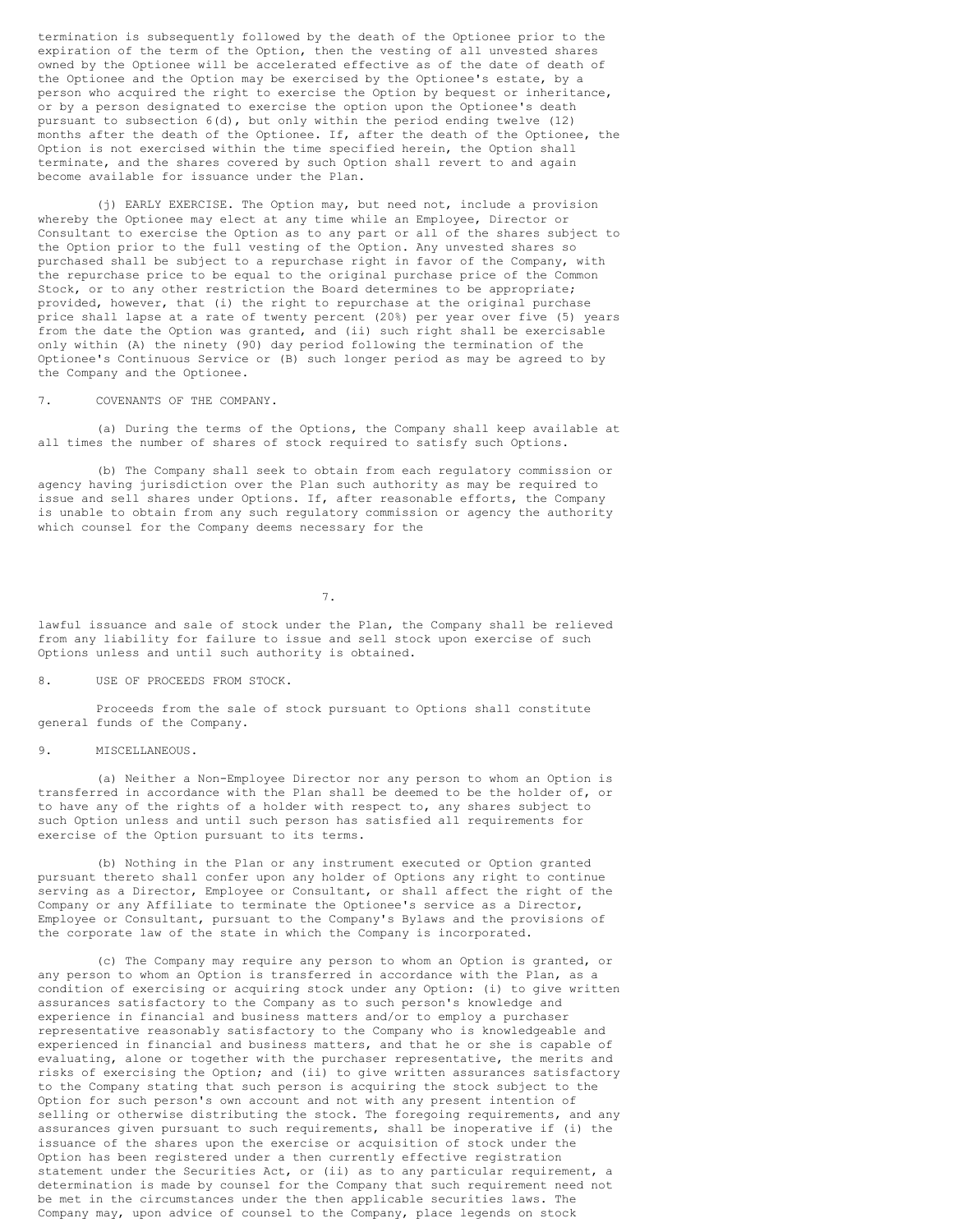termination is subsequently followed by the death of the Optionee prior to the expiration of the term of the Option, then the vesting of all unvested shares owned by the Optionee will be accelerated effective as of the date of death of the Optionee and the Option may be exercised by the Optionee's estate, by a person who acquired the right to exercise the Option by bequest or inheritance, or by a person designated to exercise the option upon the Optionee's death pursuant to subsection 6(d), but only within the period ending twelve (12) months after the death of the Optionee. If, after the death of the Optionee, the Option is not exercised within the time specified herein, the Option shall terminate, and the shares covered by such Option shall revert to and again become available for issuance under the Plan.

(j) EARLY EXERCISE. The Option may, but need not, include a provision whereby the Optionee may elect at any time while an Employee, Director or Consultant to exercise the Option as to any part or all of the shares subject to the Option prior to the full vesting of the Option. Any unvested shares so purchased shall be subject to a repurchase right in favor of the Company, with the repurchase price to be equal to the original purchase price of the Common Stock, or to any other restriction the Board determines to be appropriate; provided, however, that (i) the right to repurchase at the original purchase price shall lapse at a rate of twenty percent (20%) per year over five (5) years from the date the Option was granted, and (ii) such right shall be exercisable only within (A) the ninety (90) day period following the termination of the Optionee's Continuous Service or (B) such longer period as may be agreed to by the Company and the Optionee.

7. COVENANTS OF THE COMPANY.

(a) During the terms of the Options, the Company shall keep available at all times the number of shares of stock required to satisfy such Options.

(b) The Company shall seek to obtain from each regulatory commission or agency having jurisdiction over the Plan such authority as may be required to issue and sell shares under Options. If, after reasonable efforts, the Company is unable to obtain from any such regulatory commission or agency the authority which counsel for the Company deems necessary for the

7.

lawful issuance and sale of stock under the Plan, the Company shall be relieved from any liability for failure to issue and sell stock upon exercise of such Options unless and until such authority is obtained.

### 8. USE OF PROCEEDS FROM STOCK.

Proceeds from the sale of stock pursuant to Options shall constitute general funds of the Company.

## 9. MISCELLANEOUS.

(a) Neither a Non-Employee Director nor any person to whom an Option is transferred in accordance with the Plan shall be deemed to be the holder of, or to have any of the rights of a holder with respect to, any shares subject to such Option unless and until such person has satisfied all requirements for exercise of the Option pursuant to its terms.

(b) Nothing in the Plan or any instrument executed or Option granted pursuant thereto shall confer upon any holder of Options any right to continue serving as a Director, Employee or Consultant, or shall affect the right of the Company or any Affiliate to terminate the Optionee's service as a Director, Employee or Consultant, pursuant to the Company's Bylaws and the provisions of the corporate law of the state in which the Company is incorporated.

(c) The Company may require any person to whom an Option is granted, or any person to whom an Option is transferred in accordance with the Plan, as a condition of exercising or acquiring stock under any Option: (i) to give written assurances satisfactory to the Company as to such person's knowledge and experience in financial and business matters and/or to employ a purchaser representative reasonably satisfactory to the Company who is knowledgeable and experienced in financial and business matters, and that he or she is capable of evaluating, alone or together with the purchaser representative, the merits and risks of exercising the Option; and (ii) to give written assurances satisfactory to the Company stating that such person is acquiring the stock subject to the Option for such person's own account and not with any present intention of selling or otherwise distributing the stock. The foregoing requirements, and any assurances given pursuant to such requirements, shall be inoperative if (i) the issuance of the shares upon the exercise or acquisition of stock under the Option has been registered under a then currently effective registration statement under the Securities Act, or (ii) as to any particular requirement, a determination is made by counsel for the Company that such requirement need not be met in the circumstances under the then applicable securities laws. The Company may, upon advice of counsel to the Company, place legends on stock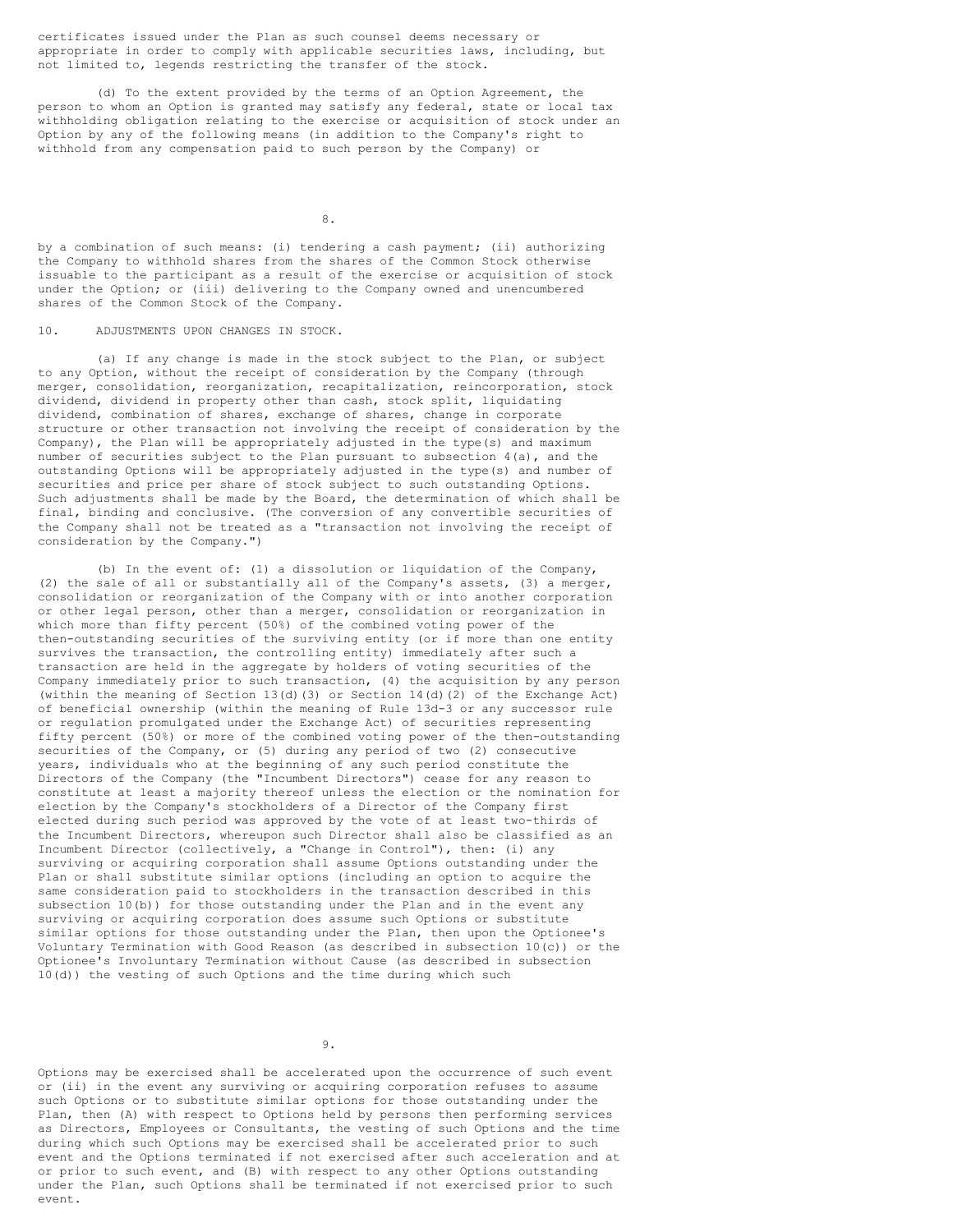certificates issued under the Plan as such counsel deems necessary or appropriate in order to comply with applicable securities laws, including, but not limited to, legends restricting the transfer of the stock.

(d) To the extent provided by the terms of an Option Agreement, the person to whom an Option is granted may satisfy any federal, state or local tax withholding obligation relating to the exercise or acquisition of stock under an Option by any of the following means (in addition to the Company's right to withhold from any compensation paid to such person by the Company) or

8.

by a combination of such means: (i) tendering a cash payment; (ii) authorizing the Company to withhold shares from the shares of the Common Stock otherwise issuable to the participant as a result of the exercise or acquisition of stock under the Option; or (iii) delivering to the Company owned and unencumbered shares of the Common Stock of the Company.

## 10. ADJUSTMENTS UPON CHANGES IN STOCK.

(a) If any change is made in the stock subject to the Plan, or subject to any Option, without the receipt of consideration by the Company (through merger, consolidation, reorganization, recapitalization, reincorporation, stock dividend, dividend in property other than cash, stock split, liquidating dividend, combination of shares, exchange of shares, change in corporate structure or other transaction not involving the receipt of consideration by the Company), the Plan will be appropriately adjusted in the type(s) and maximum number of securities subject to the Plan pursuant to subsection 4(a), and the outstanding Options will be appropriately adjusted in the type(s) and number of securities and price per share of stock subject to such outstanding Options. Such adjustments shall be made by the Board, the determination of which shall be final, binding and conclusive. (The conversion of any convertible securities of the Company shall not be treated as a "transaction not involving the receipt of consideration by the Company.")

(b) In the event of: (1) a dissolution or liquidation of the Company, (2) the sale of all or substantially all of the Company's assets, (3) a merger, consolidation or reorganization of the Company with or into another corporation or other legal person, other than a merger, consolidation or reorganization in which more than fifty percent (50%) of the combined voting power of the then-outstanding securities of the surviving entity (or if more than one entity survives the transaction, the controlling entity) immediately after such a transaction are held in the aggregate by holders of voting securities of the Company immediately prior to such transaction, (4) the acquisition by any person (within the meaning of Section 13(d)(3) or Section 14(d)(2) of the Exchange Act) of beneficial ownership (within the meaning of Rule 13d-3 or any successor rule or regulation promulgated under the Exchange Act) of securities representing fifty percent (50%) or more of the combined voting power of the then-outstanding securities of the Company, or (5) during any period of two (2) consecutive years, individuals who at the beginning of any such period constitute the Directors of the Company (the "Incumbent Directors") cease for any reason to constitute at least a majority thereof unless the election or the nomination for election by the Company's stockholders of a Director of the Company first elected during such period was approved by the vote of at least two-thirds of the Incumbent Directors, whereupon such Director shall also be classified as an Incumbent Director (collectively, a "Change in Control"), then: (i) any surviving or acquiring corporation shall assume Options outstanding under the Plan or shall substitute similar options (including an option to acquire the same consideration paid to stockholders in the transaction described in this subsection 10(b)) for those outstanding under the Plan and in the event any surviving or acquiring corporation does assume such Options or substitute similar options for those outstanding under the Plan, then upon the Optionee's Voluntary Termination with Good Reason (as described in subsection 10(c)) or the Optionee's Involuntary Termination without Cause (as described in subsection 10(d)) the vesting of such Options and the time during which such

9.

Options may be exercised shall be accelerated upon the occurrence of such event or (ii) in the event any surviving or acquiring corporation refuses to assume such Options or to substitute similar options for those outstanding under the Plan, then (A) with respect to Options held by persons then performing services as Directors, Employees or Consultants, the vesting of such Options and the time during which such Options may be exercised shall be accelerated prior to such event and the Options terminated if not exercised after such acceleration and at or prior to such event, and (B) with respect to any other Options outstanding under the Plan, such Options shall be terminated if not exercised prior to such event.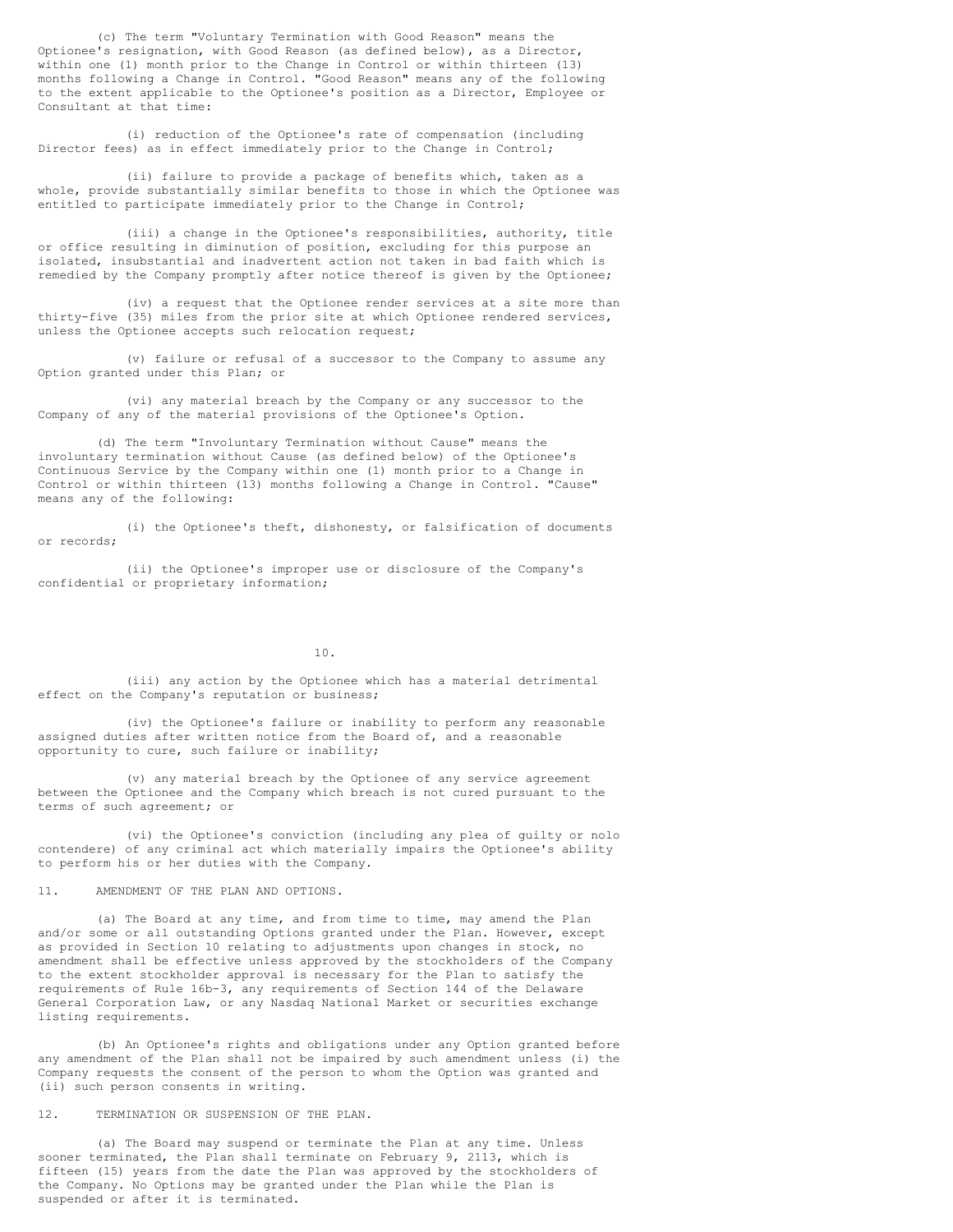(c) The term "Voluntary Termination with Good Reason" means the Optionee's resignation, with Good Reason (as defined below), as a Director, within one (1) month prior to the Change in Control or within thirteen (13) months following a Change in Control. "Good Reason" means any of the following to the extent applicable to the Optionee's position as a Director, Employee or Consultant at that time:

(i) reduction of the Optionee's rate of compensation (including Director fees) as in effect immediately prior to the Change in Control;

(ii) failure to provide a package of benefits which, taken as a whole, provide substantially similar benefits to those in which the Optionee was entitled to participate immediately prior to the Change in Control;

(iii) a change in the Optionee's responsibilities, authority, title or office resulting in diminution of position, excluding for this purpose an isolated, insubstantial and inadvertent action not taken in bad faith which is remedied by the Company promptly after notice thereof is given by the Optionee;

(iv) a request that the Optionee render services at a site more than thirty-five (35) miles from the prior site at which Optionee rendered services, unless the Optionee accepts such relocation request;

(v) failure or refusal of a successor to the Company to assume any Option granted under this Plan; or

(vi) any material breach by the Company or any successor to the Company of any of the material provisions of the Optionee's Option.

(d) The term "Involuntary Termination without Cause" means the involuntary termination without Cause (as defined below) of the Optionee's Continuous Service by the Company within one (1) month prior to a Change in Control or within thirteen (13) months following a Change in Control. "Cause" means any of the following:

(i) the Optionee's theft, dishonesty, or falsification of documents or records;

(ii) the Optionee's improper use or disclosure of the Company's confidential or proprietary information;

10.

(iii) any action by the Optionee which has a material detrimental effect on the Company's reputation or business;

(iv) the Optionee's failure or inability to perform any reasonable assigned duties after written notice from the Board of, and a reasonable opportunity to cure, such failure or inability;

(v) any material breach by the Optionee of any service agreement between the Optionee and the Company which breach is not cured pursuant to the terms of such agreement; or

(vi) the Optionee's conviction (including any plea of guilty or nolo contendere) of any criminal act which materially impairs the Optionee's ability to perform his or her duties with the Company.

11. AMENDMENT OF THE PLAN AND OPTIONS.

(a) The Board at any time, and from time to time, may amend the Plan and/or some or all outstanding Options granted under the Plan. However, except as provided in Section 10 relating to adjustments upon changes in stock, no amendment shall be effective unless approved by the stockholders of the Company to the extent stockholder approval is necessary for the Plan to satisfy the requirements of Rule 16b-3, any requirements of Section 144 of the Delaware General Corporation Law, or any Nasdaq National Market or securities exchange listing requirements.

(b) An Optionee's rights and obligations under any Option granted before any amendment of the Plan shall not be impaired by such amendment unless (i) the Company requests the consent of the person to whom the Option was granted and (ii) such person consents in writing.

12. TERMINATION OR SUSPENSION OF THE PLAN.

(a) The Board may suspend or terminate the Plan at any time. Unless sooner terminated, the Plan shall terminate on February 9, 2113, which is fifteen (15) years from the date the Plan was approved by the stockholders of the Company. No Options may be granted under the Plan while the Plan is suspended or after it is terminated.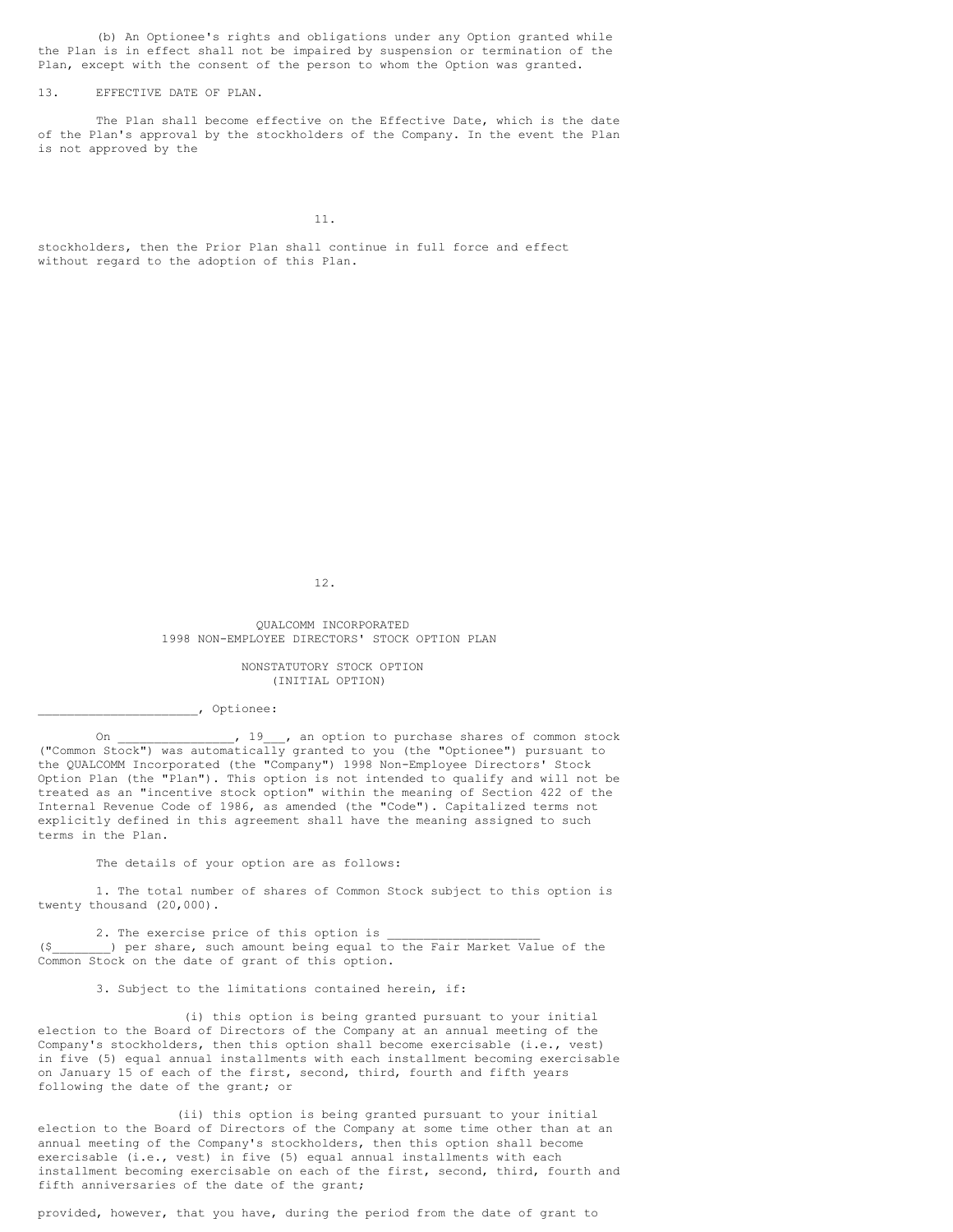(b) An Optionee's rights and obligations under any Option granted while the Plan is in effect shall not be impaired by suspension or termination of the Plan, except with the consent of the person to whom the Option was granted.

### 13. EFFECTIVE DATE OF PLAN.

The Plan shall become effective on the Effective Date, which is the date of the Plan's approval by the stockholders of the Company. In the event the Plan is not approved by the

11.

stockholders, then the Prior Plan shall continue in full force and effect without regard to the adoption of this Plan.

12.

QUALCOMM INCORPORATED 1998 NON-EMPLOYEE DIRECTORS' STOCK OPTION PLAN

> NONSTATUTORY STOCK OPTION (INITIAL OPTION)

\_\_\_\_\_\_\_\_\_\_\_\_\_\_\_\_\_\_\_\_\_\_, Optionee:

On \_\_\_\_\_\_\_\_\_\_\_\_\_\_, 19\_\_\_, an option to purchase shares of common stock ("Common Stock") was automatically granted to you (the "Optionee") pursuant to the QUALCOMM Incorporated (the "Company") 1998 Non-Employee Directors' Stock Option Plan (the "Plan"). This option is not intended to qualify and will not be treated as an "incentive stock option" within the meaning of Section 422 of the Internal Revenue Code of 1986, as amended (the "Code"). Capitalized terms not explicitly defined in this agreement shall have the meaning assigned to such terms in the Plan.

The details of your option are as follows:

1. The total number of shares of Common Stock subject to this option is twenty thousand (20,000).

2. The exercise price of this option is (\$\_\_\_\_\_\_\_\_) per share, such amount being equal to the Fair Market Value of the Common Stock on the date of grant of this option.

3. Subject to the limitations contained herein, if:

(i) this option is being granted pursuant to your initial election to the Board of Directors of the Company at an annual meeting of the Company's stockholders, then this option shall become exercisable (i.e., vest) in five (5) equal annual installments with each installment becoming exercisable on January 15 of each of the first, second, third, fourth and fifth years following the date of the grant; or

(ii) this option is being granted pursuant to your initial election to the Board of Directors of the Company at some time other than at an annual meeting of the Company's stockholders, then this option shall become exercisable (i.e., vest) in five (5) equal annual installments with each installment becoming exercisable on each of the first, second, third, fourth and fifth anniversaries of the date of the grant;

provided, however, that you have, during the period from the date of grant to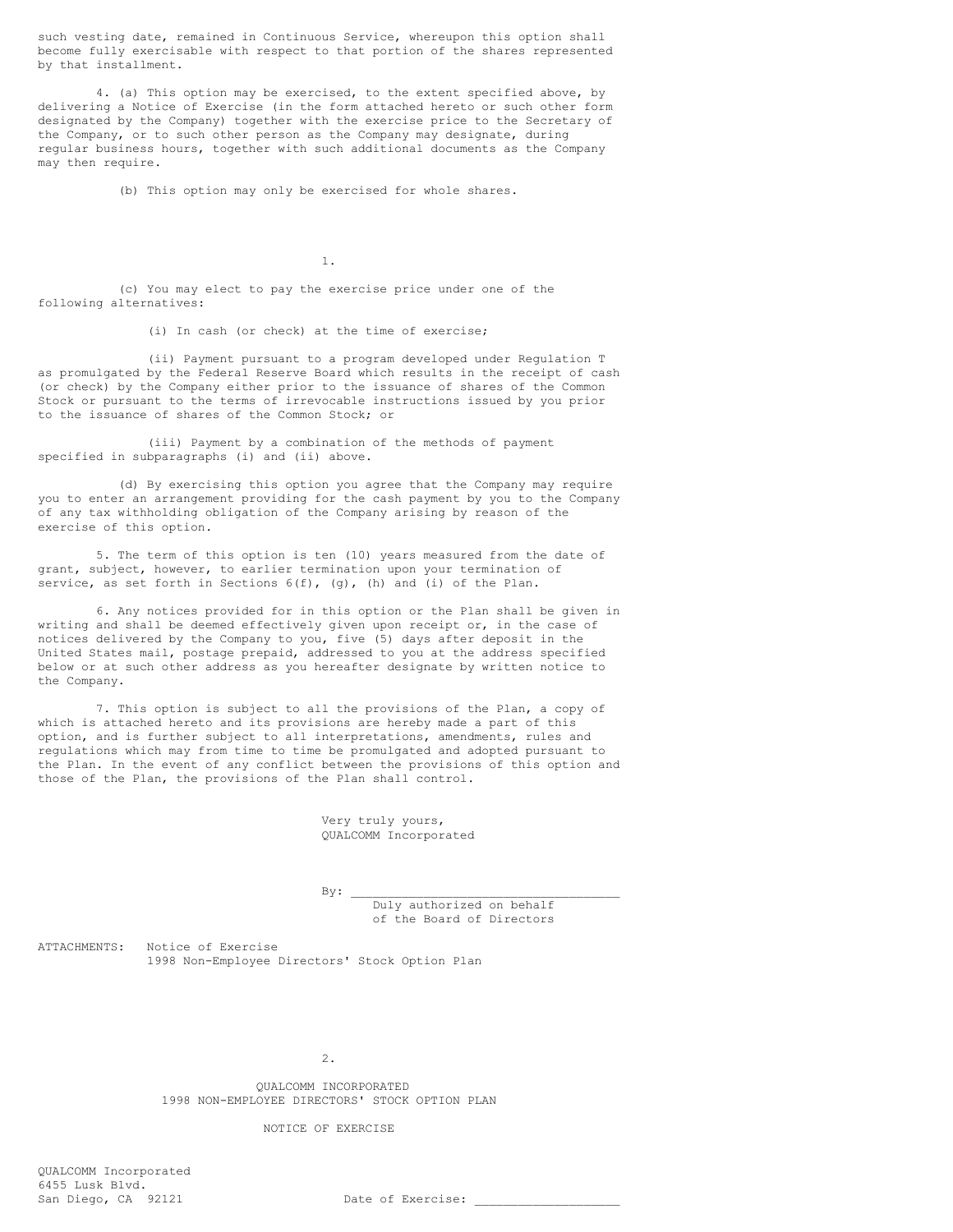such vesting date, remained in Continuous Service, whereupon this option shall become fully exercisable with respect to that portion of the shares represented by that installment.

4. (a) This option may be exercised, to the extent specified above, by delivering a Notice of Exercise (in the form attached hereto or such other form designated by the Company) together with the exercise price to the Secretary of the Company, or to such other person as the Company may designate, during regular business hours, together with such additional documents as the Company may then require.

(b) This option may only be exercised for whole shares.

1.

(c) You may elect to pay the exercise price under one of the following alternatives:

(i) In cash (or check) at the time of exercise;

(ii) Payment pursuant to a program developed under Regulation T as promulgated by the Federal Reserve Board which results in the receipt of cash (or check) by the Company either prior to the issuance of shares of the Common Stock or pursuant to the terms of irrevocable instructions issued by you prior to the issuance of shares of the Common Stock; or

(iii) Payment by a combination of the methods of payment specified in subparagraphs (i) and (ii) above.

(d) By exercising this option you agree that the Company may require you to enter an arrangement providing for the cash payment by you to the Company of any tax withholding obligation of the Company arising by reason of the exercise of this option.

5. The term of this option is ten (10) years measured from the date of grant, subject, however, to earlier termination upon your termination of service, as set forth in Sections  $6(f)$ , (g), (h) and (i) of the Plan.

6. Any notices provided for in this option or the Plan shall be given in writing and shall be deemed effectively given upon receipt or, in the case of notices delivered by the Company to you, five (5) days after deposit in the United States mail, postage prepaid, addressed to you at the address specified below or at such other address as you hereafter designate by written notice to the Company.

7. This option is subject to all the provisions of the Plan, a copy of which is attached hereto and its provisions are hereby made a part of this option, and is further subject to all interpretations, amendments, rules and regulations which may from time to time be promulgated and adopted pursuant to the Plan. In the event of any conflict between the provisions of this option and those of the Plan, the provisions of the Plan shall control.

> Very truly yours, QUALCOMM Incorporated

 $\mathbf{By:}$ 

Duly authorized on behalf of the Board of Directors

ATTACHMENTS: Notice of Exercise 1998 Non-Employee Directors' Stock Option Plan

2.

QUALCOMM INCORPORATED 1998 NON-EMPLOYEE DIRECTORS' STOCK OPTION PLAN

NOTICE OF EXERCISE

QUALCOMM Incorporated 6455 Lusk Blvd.<br>San Diego, CA 92121

Date of Exercise: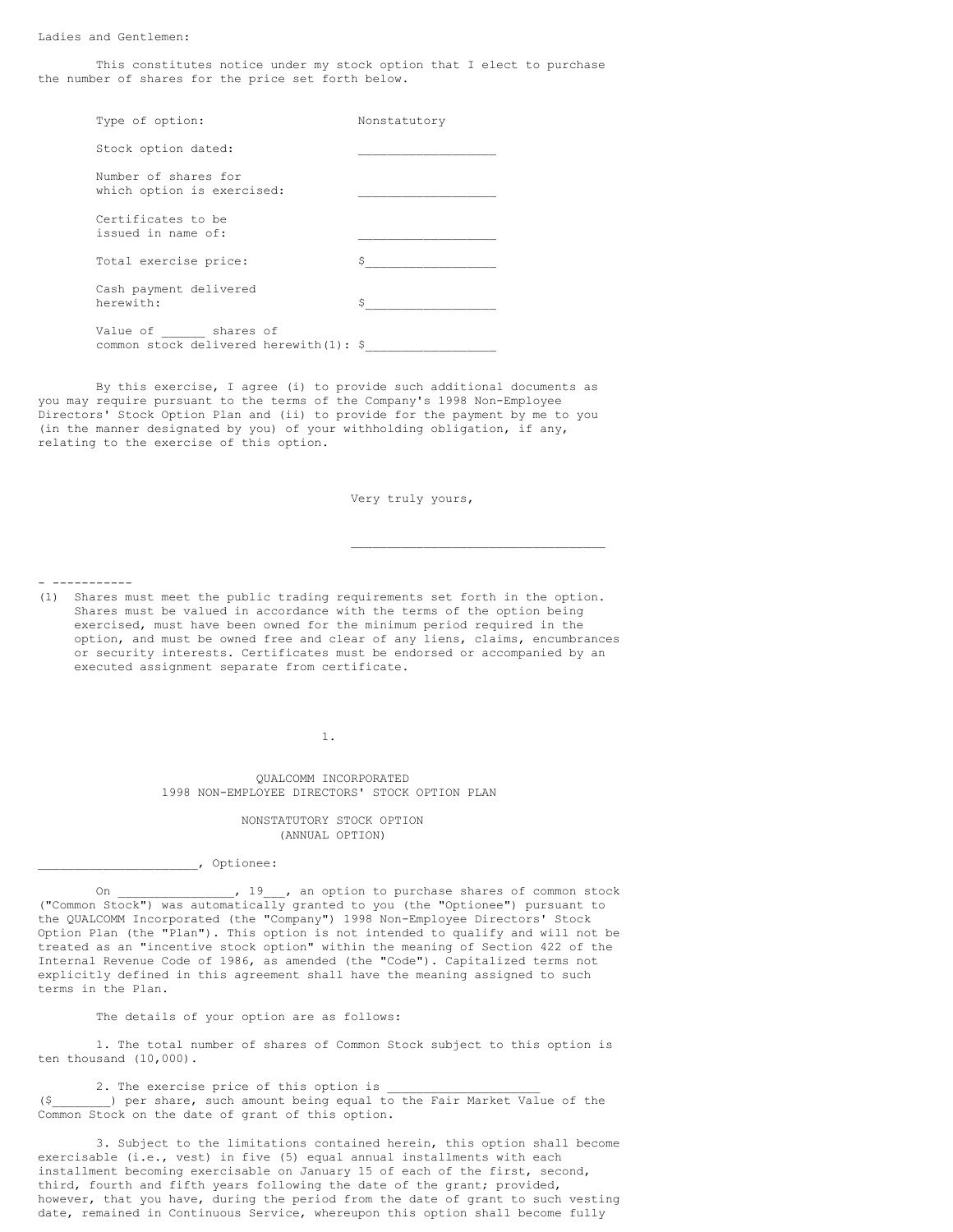Ladies and Gentlemen:

This constitutes notice under my stock option that I elect to purchase the number of shares for the price set forth below.

Type of option: Nonstatutory Stock option dated:

Number of shares for which option is exercised:

Certificates to be issued in name of:

Total exercise price: Cash payment delivered herewith:

Value of \_\_\_\_\_\_ shares of common stock delivered herewith(1):  $\frac{2}{3}$ 

By this exercise, I agree (i) to provide such additional documents as you may require pursuant to the terms of the Company's 1998 Non-Employee Directors' Stock Option Plan and (ii) to provide for the payment by me to you (in the manner designated by you) of your withholding obligation, if any, relating to the exercise of this option.

Very truly yours,

 $\overline{\phantom{a}}$  , and the set of the set of the set of the set of the set of the set of the set of the set of the set of the set of the set of the set of the set of the set of the set of the set of the set of the set of the s

- -----------

(1) Shares must meet the public trading requirements set forth in the option. Shares must be valued in accordance with the terms of the option being exercised, must have been owned for the minimum period required in the option, and must be owned free and clear of any liens, claims, encumbrances or security interests. Certificates must be endorsed or accompanied by an executed assignment separate from certificate.

1.

QUALCOMM INCORPORATED 1998 NON-EMPLOYEE DIRECTORS' STOCK OPTION PLAN

> NONSTATUTORY STOCK OPTION (ANNUAL OPTION)

\_\_\_\_\_\_\_\_\_\_\_\_\_\_\_\_\_\_\_\_\_\_, Optionee:

On \_\_\_\_\_\_\_\_\_\_\_\_\_\_, 19 , an option to purchase shares of common stock ("Common Stock") was automatically granted to you (the "Optionee") pursuant to the QUALCOMM Incorporated (the "Company") 1998 Non-Employee Directors' Stock Option Plan (the "Plan"). This option is not intended to qualify and will not be treated as an "incentive stock option" within the meaning of Section 422 of the Internal Revenue Code of 1986, as amended (the "Code"). Capitalized terms not explicitly defined in this agreement shall have the meaning assigned to such terms in the Plan.

The details of your option are as follows:

1. The total number of shares of Common Stock subject to this option is ten thousand (10,000).

2. The exercise price of this option is (\$\_\_\_\_\_\_\_\_) per share, such amount being equal to the Fair Market Value of the Common Stock on the date of grant of this option.

3. Subject to the limitations contained herein, this option shall become exercisable (i.e., vest) in five (5) equal annual installments with each installment becoming exercisable on January 15 of each of the first, second, third, fourth and fifth years following the date of the grant; provided, however, that you have, during the period from the date of grant to such vesting date, remained in Continuous Service, whereupon this option shall become fully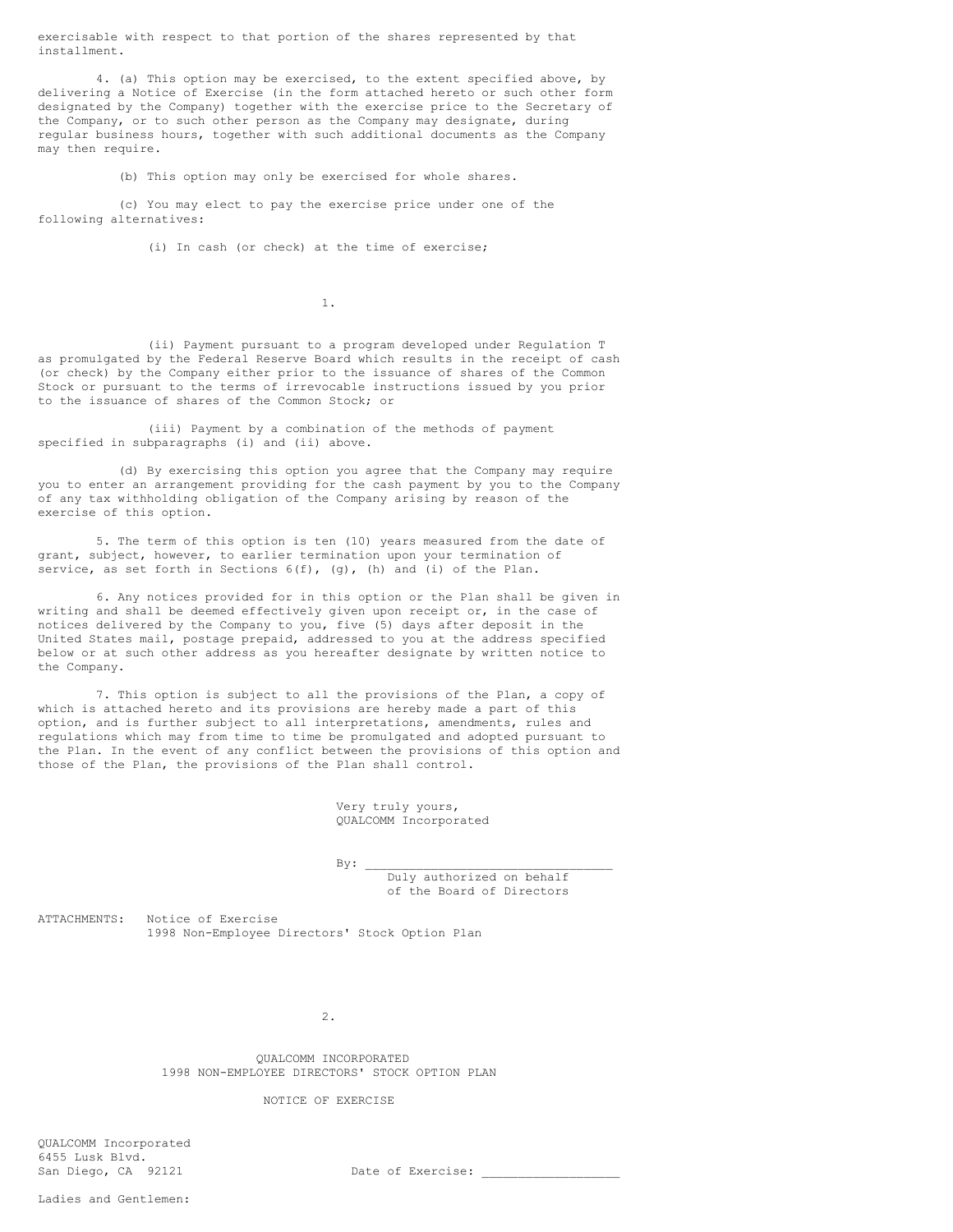exercisable with respect to that portion of the shares represented by that installment.

4. (a) This option may be exercised, to the extent specified above, by delivering a Notice of Exercise (in the form attached hereto or such other form designated by the Company) together with the exercise price to the Secretary of the Company, or to such other person as the Company may designate, during regular business hours, together with such additional documents as the Company may then require.

(b) This option may only be exercised for whole shares.

(c) You may elect to pay the exercise price under one of the following alternatives:

(i) In cash (or check) at the time of exercise;

1.

(ii) Payment pursuant to a program developed under Regulation T as promulgated by the Federal Reserve Board which results in the receipt of cash (or check) by the Company either prior to the issuance of shares of the Common Stock or pursuant to the terms of irrevocable instructions issued by you prior to the issuance of shares of the Common Stock; or

(iii) Payment by a combination of the methods of payment specified in subparagraphs (i) and (ii) above.

(d) By exercising this option you agree that the Company may require you to enter an arrangement providing for the cash payment by you to the Company of any tax withholding obligation of the Company arising by reason of the exercise of this option.

5. The term of this option is ten (10) years measured from the date of grant, subject, however, to earlier termination upon your termination of service, as set forth in Sections  $6(f)$ , (g), (h) and (i) of the Plan.

6. Any notices provided for in this option or the Plan shall be given in writing and shall be deemed effectively given upon receipt or, in the case of notices delivered by the Company to you, five (5) days after deposit in the United States mail, postage prepaid, addressed to you at the address specified below or at such other address as you hereafter designate by written notice to the Company.

7. This option is subject to all the provisions of the Plan, a copy of which is attached hereto and its provisions are hereby made a part of this option, and is further subject to all interpretations, amendments, rules and regulations which may from time to time be promulgated and adopted pursuant to the Plan. In the event of any conflict between the provisions of this option and those of the Plan, the provisions of the Plan shall control.

> Very truly yours, QUALCOMM Incorporated

 $By:$ 

Duly authorized on behalf of the Board of Directors

ATTACHMENTS: Notice of Exercise 1998 Non-Employee Directors' Stock Option Plan

2.

QUALCOMM INCORPORATED 1998 NON-EMPLOYEE DIRECTORS' STOCK OPTION PLAN

NOTICE OF EXERCISE

QUALCOMM Incorporated 6455 Lusk Blvd.<br>San Diego, CA 92121

San Diego, CA 92121 Date of Exercise: \_\_\_\_\_\_\_\_\_\_\_\_\_\_\_\_\_\_\_

Ladies and Gentlemen: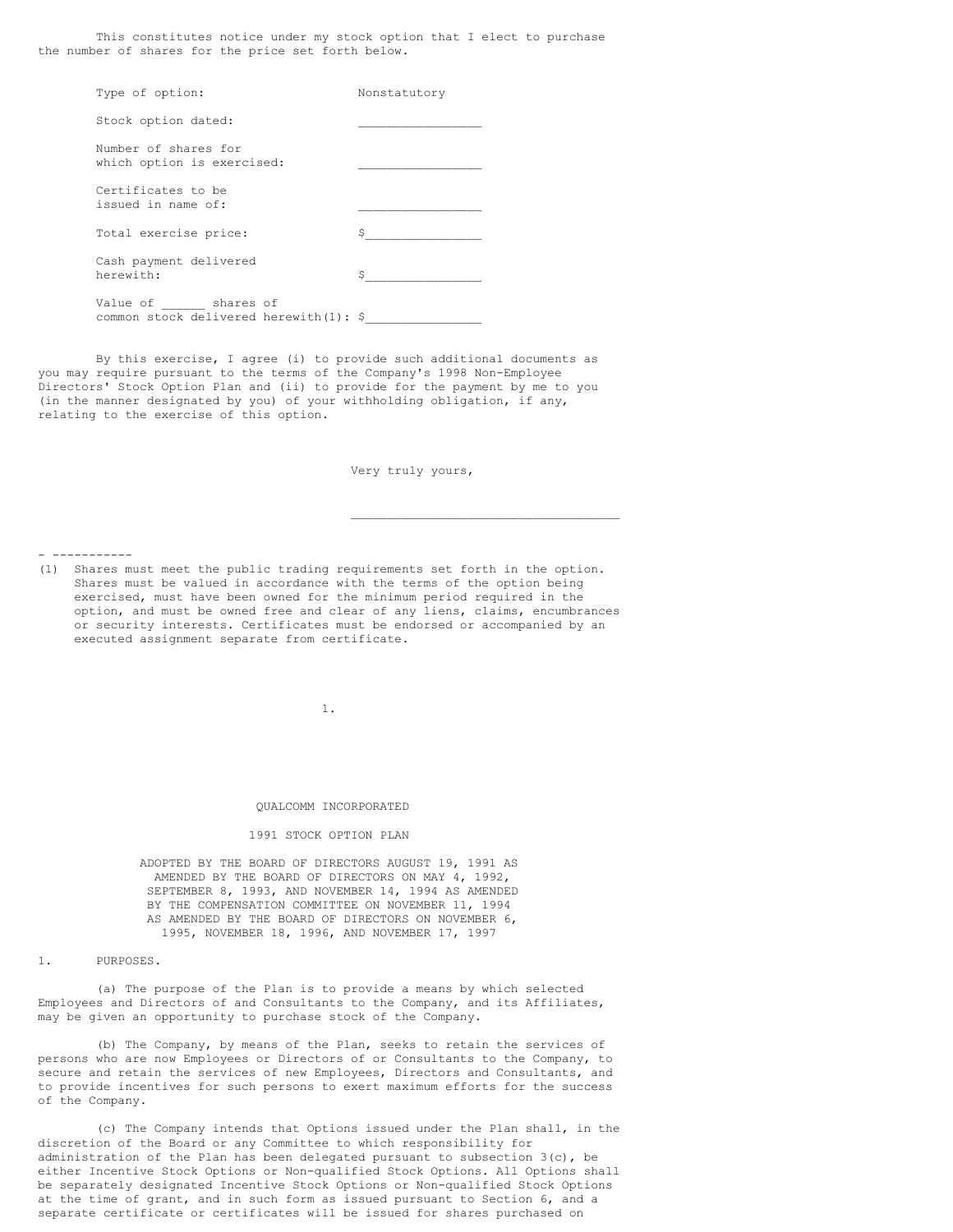This constitutes notice under my stock option that I elect to purchase the number of shares for the price set forth below.

| Type of option:                                              | Nonstatutory |
|--------------------------------------------------------------|--------------|
| Stock option dated:                                          |              |
| Number of shares for<br>which option is exercised:           |              |
| Certificates to be<br>issued in name of:                     |              |
| Total exercise price:                                        | Ŝ            |
| Cash payment delivered<br>herewith:                          | Ŝ            |
| Value of shares of<br>common stock delivered herewith(1): \$ |              |

By this exercise, I agree (i) to provide such additional documents as you may require pursuant to the terms of the Company's 1998 Non-Employee Directors' Stock Option Plan and (ii) to provide for the payment by me to you (in the manner designated by you) of your withholding obligation, if any, relating to the exercise of this option.

Very truly yours,

\_\_\_\_\_\_\_\_\_\_\_\_\_\_\_\_\_\_\_\_\_\_\_\_\_\_\_\_\_\_\_\_\_\_\_\_\_

- -----------

(1) Shares must meet the public trading requirements set forth in the option. Shares must be valued in accordance with the terms of the option being exercised, must have been owned for the minimum period required in the option, and must be owned free and clear of any liens, claims, encumbrances or security interests. Certificates must be endorsed or accompanied by an executed assignment separate from certificate.

1.

#### QUALCOMM INCORPORATED

## 1991 STOCK OPTION PLAN

ADOPTED BY THE BOARD OF DIRECTORS AUGUST 19, 1991 AS AMENDED BY THE BOARD OF DIRECTORS ON MAY 4, 1992, SEPTEMBER 8, 1993, AND NOVEMBER 14, 1994 AS AMENDED BY THE COMPENSATION COMMITTEE ON NOVEMBER 11, 1994 AS AMENDED BY THE BOARD OF DIRECTORS ON NOVEMBER 6, 1995, NOVEMBER 18, 1996, AND NOVEMBER 17, 1997

1. PURPOSES.

(a) The purpose of the Plan is to provide a means by which selected Employees and Directors of and Consultants to the Company, and its Affiliates, may be given an opportunity to purchase stock of the Company.

(b) The Company, by means of the Plan, seeks to retain the services of persons who are now Employees or Directors of or Consultants to the Company, to secure and retain the services of new Employees, Directors and Consultants, and to provide incentives for such persons to exert maximum efforts for the success of the Company.

(c) The Company intends that Options issued under the Plan shall, in the discretion of the Board or any Committee to which responsibility for administration of the Plan has been delegated pursuant to subsection  $3(c)$ , be either Incentive Stock Options or Non-qualified Stock Options. All Options shall be separately designated Incentive Stock Options or Non-qualified Stock Options at the time of grant, and in such form as issued pursuant to Section 6, and a separate certificate or certificates will be issued for shares purchased on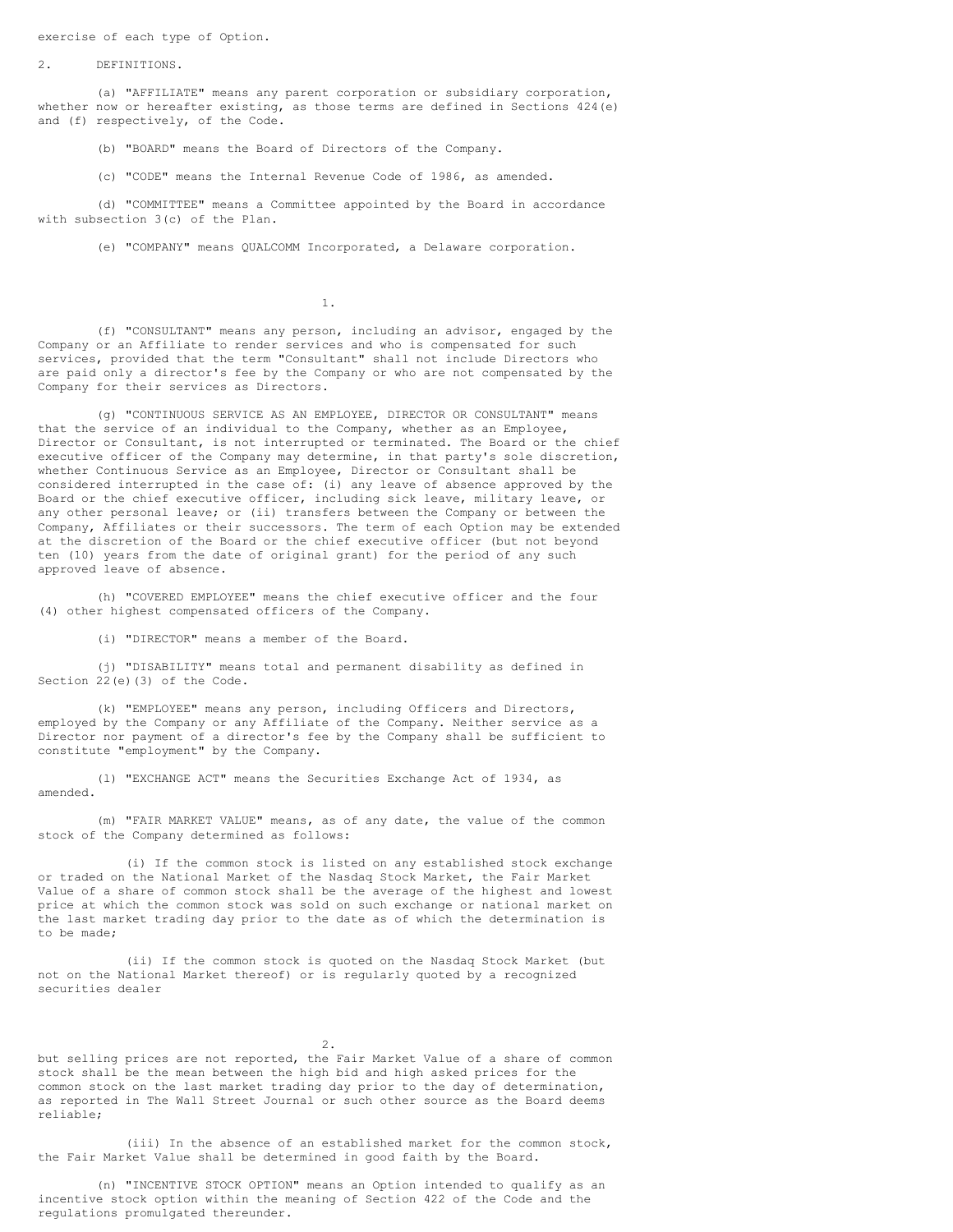exercise of each type of Option.

2. DEFINITIONS.

(a) "AFFILIATE" means any parent corporation or subsidiary corporation, whether now or hereafter existing, as those terms are defined in Sections 424(e) and (f) respectively, of the Code.

(b) "BOARD" means the Board of Directors of the Company.

(c) "CODE" means the Internal Revenue Code of 1986, as amended.

(d) "COMMITTEE" means a Committee appointed by the Board in accordance with subsection 3(c) of the Plan.

(e) "COMPANY" means QUALCOMM Incorporated, a Delaware corporation.

1.

(f) "CONSULTANT" means any person, including an advisor, engaged by the Company or an Affiliate to render services and who is compensated for such services, provided that the term "Consultant" shall not include Directors who are paid only a director's fee by the Company or who are not compensated by the Company for their services as Directors.

(g) "CONTINUOUS SERVICE AS AN EMPLOYEE, DIRECTOR OR CONSULTANT" means that the service of an individual to the Company, whether as an Employee, Director or Consultant, is not interrupted or terminated. The Board or the chief executive officer of the Company may determine, in that party's sole discretion, whether Continuous Service as an Employee, Director or Consultant shall be considered interrupted in the case of: (i) any leave of absence approved by the Board or the chief executive officer, including sick leave, military leave, or any other personal leave; or (ii) transfers between the Company or between the Company, Affiliates or their successors. The term of each Option may be extended at the discretion of the Board or the chief executive officer (but not beyond ten (10) years from the date of original grant) for the period of any such approved leave of absence.

(h) "COVERED EMPLOYEE" means the chief executive officer and the four (4) other highest compensated officers of the Company.

(i) "DIRECTOR" means a member of the Board.

(j) "DISABILITY" means total and permanent disability as defined in Section 22(e)(3) of the Code.

(k) "EMPLOYEE" means any person, including Officers and Directors, employed by the Company or any Affiliate of the Company. Neither service as a Director nor payment of a director's fee by the Company shall be sufficient to constitute "employment" by the Company.

(l) "EXCHANGE ACT" means the Securities Exchange Act of 1934, as amended.

(m) "FAIR MARKET VALUE" means, as of any date, the value of the common stock of the Company determined as follows:

(i) If the common stock is listed on any established stock exchange or traded on the National Market of the Nasdaq Stock Market, the Fair Market Value of a share of common stock shall be the average of the highest and lowest price at which the common stock was sold on such exchange or national market on the last market trading day prior to the date as of which the determination is to be made;

(ii) If the common stock is quoted on the Nasdaq Stock Market (but not on the National Market thereof) or is regularly quoted by a recognized securities dealer

2.

but selling prices are not reported, the Fair Market Value of a share of common stock shall be the mean between the high bid and high asked prices for the common stock on the last market trading day prior to the day of determination, as reported in The Wall Street Journal or such other source as the Board deems reliable;

(iii) In the absence of an established market for the common stock, the Fair Market Value shall be determined in good faith by the Board.

(n) "INCENTIVE STOCK OPTION" means an Option intended to qualify as an incentive stock option within the meaning of Section 422 of the Code and the regulations promulgated thereunder.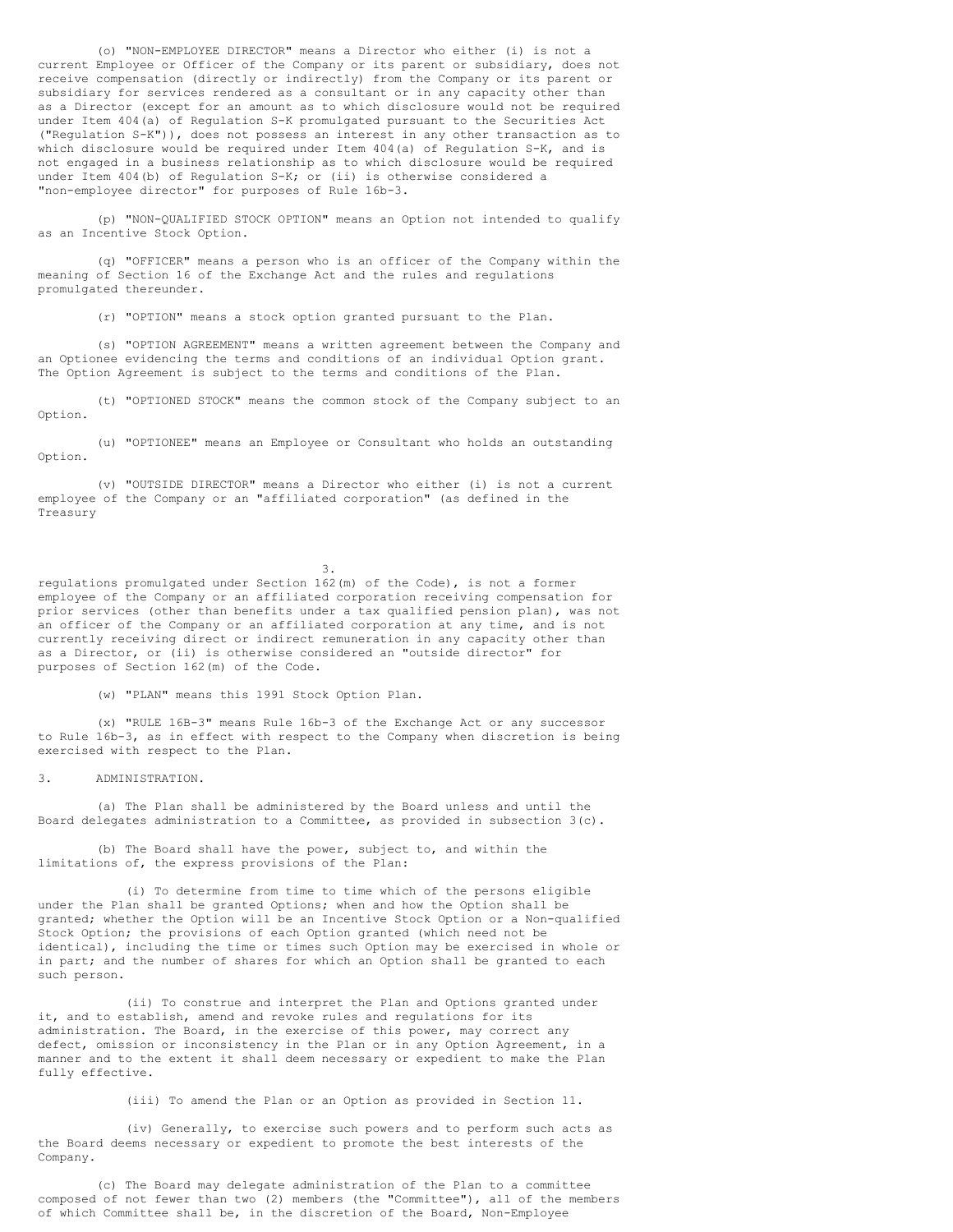(o) "NON-EMPLOYEE DIRECTOR" means a Director who either (i) is not a current Employee or Officer of the Company or its parent or subsidiary, does not receive compensation (directly or indirectly) from the Company or its parent or subsidiary for services rendered as a consultant or in any capacity other than as a Director (except for an amount as to which disclosure would not be required under Item 404(a) of Regulation S-K promulgated pursuant to the Securities Act ("Regulation S-K")), does not possess an interest in any other transaction as to which disclosure would be required under Item 404(a) of Requlation S-K, and is not engaged in a business relationship as to which disclosure would be required under Item 404(b) of Regulation S-K; or (ii) is otherwise considered a "non-employee director" for purposes of Rule 16b-3.

(p) "NON-QUALIFIED STOCK OPTION" means an Option not intended to qualify as an Incentive Stock Option.

(q) "OFFICER" means a person who is an officer of the Company within the meaning of Section 16 of the Exchange Act and the rules and regulations promulgated thereunder.

(r) "OPTION" means a stock option granted pursuant to the Plan.

(s) "OPTION AGREEMENT" means a written agreement between the Company and an Optionee evidencing the terms and conditions of an individual Option grant. The Option Agreement is subject to the terms and conditions of the Plan.

(t) "OPTIONED STOCK" means the common stock of the Company subject to an Option.

(u) "OPTIONEE" means an Employee or Consultant who holds an outstanding Option.

(v) "OUTSIDE DIRECTOR" means a Director who either (i) is not a current employee of the Company or an "affiliated corporation" (as defined in the Treasury

3.

regulations promulgated under Section 162(m) of the Code), is not a former employee of the Company or an affiliated corporation receiving compensation for prior services (other than benefits under a tax qualified pension plan), was not an officer of the Company or an affiliated corporation at any time, and is not currently receiving direct or indirect remuneration in any capacity other than as a Director, or (ii) is otherwise considered an "outside director" for purposes of Section 162(m) of the Code.

(w) "PLAN" means this 1991 Stock Option Plan.

(x) "RULE 16B-3" means Rule 16b-3 of the Exchange Act or any successor to Rule 16b-3, as in effect with respect to the Company when discretion is being exercised with respect to the Plan.

3. ADMINISTRATION.

(a) The Plan shall be administered by the Board unless and until the Board delegates administration to a Committee, as provided in subsection 3(c).

(b) The Board shall have the power, subject to, and within the limitations of, the express provisions of the Plan:

(i) To determine from time to time which of the persons eligible under the Plan shall be granted Options; when and how the Option shall be granted; whether the Option will be an Incentive Stock Option or a Non-qualified Stock Option; the provisions of each Option granted (which need not be identical), including the time or times such Option may be exercised in whole or in part; and the number of shares for which an Option shall be granted to each such person.

(ii) To construe and interpret the Plan and Options granted under it, and to establish, amend and revoke rules and regulations for its administration. The Board, in the exercise of this power, may correct any defect, omission or inconsistency in the Plan or in any Option Agreement, in a manner and to the extent it shall deem necessary or expedient to make the Plan fully effective.

(iii) To amend the Plan or an Option as provided in Section 11.

(iv) Generally, to exercise such powers and to perform such acts as the Board deems necessary or expedient to promote the best interests of the Company.

(c) The Board may delegate administration of the Plan to a committee composed of not fewer than two (2) members (the "Committee"), all of the members of which Committee shall be, in the discretion of the Board, Non-Employee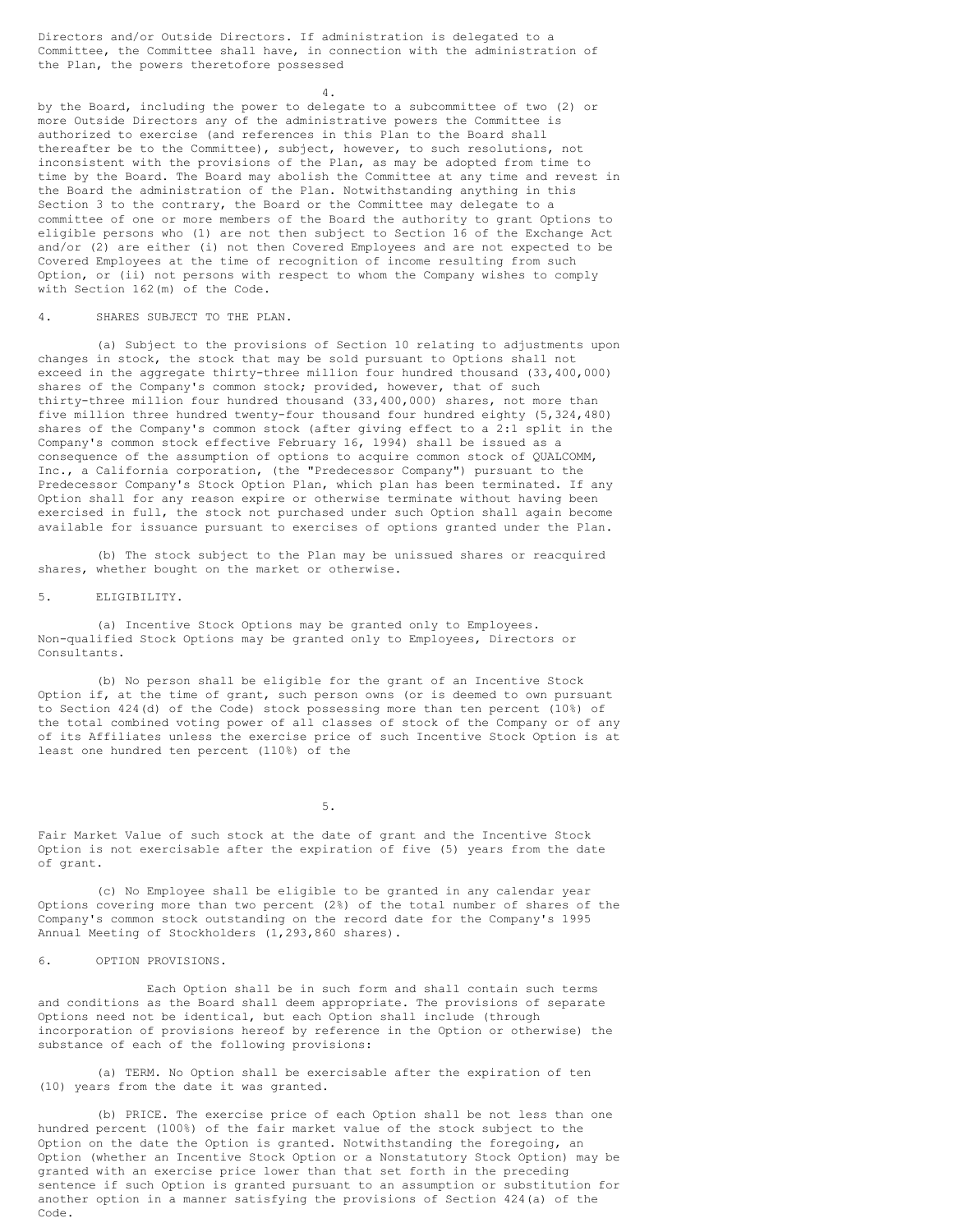Directors and/or Outside Directors. If administration is delegated to a Committee, the Committee shall have, in connection with the administration of the Plan, the powers theretofore possessed

4.

by the Board, including the power to delegate to a subcommittee of two (2) or more Outside Directors any of the administrative powers the Committee is authorized to exercise (and references in this Plan to the Board shall thereafter be to the Committee), subject, however, to such resolutions, not inconsistent with the provisions of the Plan, as may be adopted from time to time by the Board. The Board may abolish the Committee at any time and revest in the Board the administration of the Plan. Notwithstanding anything in this Section 3 to the contrary, the Board or the Committee may delegate to a committee of one or more members of the Board the authority to grant Options to eligible persons who (1) are not then subject to Section 16 of the Exchange Act and/or (2) are either (i) not then Covered Employees and are not expected to be Covered Employees at the time of recognition of income resulting from such Option, or (ii) not persons with respect to whom the Company wishes to comply with Section 162(m) of the Code.

### 4. SHARES SUBJECT TO THE PLAN.

(a) Subject to the provisions of Section 10 relating to adjustments upon changes in stock, the stock that may be sold pursuant to Options shall not exceed in the aggregate thirty-three million four hundred thousand (33,400,000) shares of the Company's common stock; provided, however, that of such thirty-three million four hundred thousand (33,400,000) shares, not more than five million three hundred twenty-four thousand four hundred eighty (5,324,480) shares of the Company's common stock (after giving effect to a 2:1 split in the Company's common stock effective February 16, 1994) shall be issued as a consequence of the assumption of options to acquire common stock of QUALCOMM, Inc., a California corporation, (the "Predecessor Company") pursuant to the Predecessor Company's Stock Option Plan, which plan has been terminated. If any Option shall for any reason expire or otherwise terminate without having been exercised in full, the stock not purchased under such Option shall again become available for issuance pursuant to exercises of options granted under the Plan.

(b) The stock subject to the Plan may be unissued shares or reacquired shares, whether bought on the market or otherwise.

## 5. ELIGIBILITY.

(a) Incentive Stock Options may be granted only to Employees. Non-qualified Stock Options may be granted only to Employees, Directors or Consultants.

(b) No person shall be eligible for the grant of an Incentive Stock Option if, at the time of grant, such person owns (or is deemed to own pursuant to Section 424(d) of the Code) stock possessing more than ten percent (10%) of the total combined voting power of all classes of stock of the Company or of any of its Affiliates unless the exercise price of such Incentive Stock Option is at least one hundred ten percent (110%) of the

5.

Fair Market Value of such stock at the date of grant and the Incentive Stock Option is not exercisable after the expiration of five (5) years from the date of grant.

(c) No Employee shall be eligible to be granted in any calendar year Options covering more than two percent (2%) of the total number of shares of the Company's common stock outstanding on the record date for the Company's 1995 Annual Meeting of Stockholders (1,293,860 shares).

## 6. OPTION PROVISIONS.

Each Option shall be in such form and shall contain such terms and conditions as the Board shall deem appropriate. The provisions of separate Options need not be identical, but each Option shall include (through incorporation of provisions hereof by reference in the Option or otherwise) the substance of each of the following provisions:

(a) TERM. No Option shall be exercisable after the expiration of ten (10) years from the date it was granted.

(b) PRICE. The exercise price of each Option shall be not less than one hundred percent (100%) of the fair market value of the stock subject to the Option on the date the Option is granted. Notwithstanding the foregoing, an Option (whether an Incentive Stock Option or a Nonstatutory Stock Option) may be granted with an exercise price lower than that set forth in the preceding sentence if such Option is granted pursuant to an assumption or substitution for another option in a manner satisfying the provisions of Section 424(a) of the Code.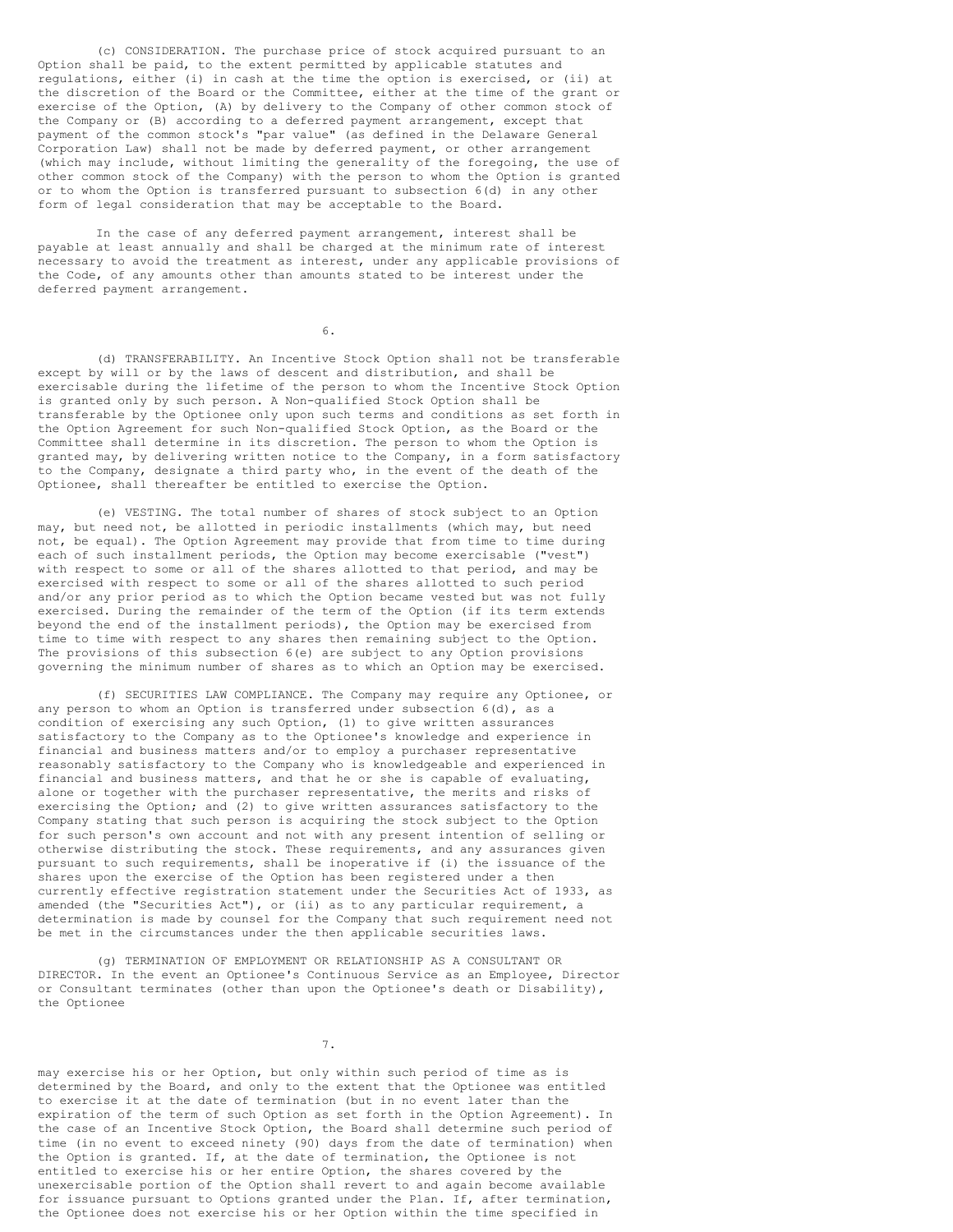(c) CONSIDERATION. The purchase price of stock acquired pursuant to an Option shall be paid, to the extent permitted by applicable statutes and regulations, either (i) in cash at the time the option is exercised, or (ii) at the discretion of the Board or the Committee, either at the time of the grant or exercise of the Option, (A) by delivery to the Company of other common stock of the Company or (B) according to a deferred payment arrangement, except that payment of the common stock's "par value" (as defined in the Delaware General Corporation Law) shall not be made by deferred payment, or other arrangement (which may include, without limiting the generality of the foregoing, the use of other common stock of the Company) with the person to whom the Option is granted or to whom the Option is transferred pursuant to subsection 6(d) in any other form of legal consideration that may be acceptable to the Board.

In the case of any deferred payment arrangement, interest shall be payable at least annually and shall be charged at the minimum rate of interest necessary to avoid the treatment as interest, under any applicable provisions of the Code, of any amounts other than amounts stated to be interest under the deferred payment arrangement.

6.

(d) TRANSFERABILITY. An Incentive Stock Option shall not be transferable except by will or by the laws of descent and distribution, and shall be exercisable during the lifetime of the person to whom the Incentive Stock Option is granted only by such person. A Non-qualified Stock Option shall be transferable by the Optionee only upon such terms and conditions as set forth in the Option Agreement for such Non-qualified Stock Option, as the Board or the Committee shall determine in its discretion. The person to whom the Option is granted may, by delivering written notice to the Company, in a form satisfactory to the Company, designate a third party who, in the event of the death of the Optionee, shall thereafter be entitled to exercise the Option.

(e) VESTING. The total number of shares of stock subject to an Option may, but need not, be allotted in periodic installments (which may, but need not, be equal). The Option Agreement may provide that from time to time during each of such installment periods, the Option may become exercisable ("vest") with respect to some or all of the shares allotted to that period, and may be exercised with respect to some or all of the shares allotted to such period and/or any prior period as to which the Option became vested but was not fully exercised. During the remainder of the term of the Option (if its term extends beyond the end of the installment periods), the Option may be exercised from time to time with respect to any shares then remaining subject to the Option. The provisions of this subsection 6(e) are subject to any Option provisions governing the minimum number of shares as to which an Option may be exercised.

(f) SECURITIES LAW COMPLIANCE. The Company may require any Optionee, or any person to whom an Option is transferred under subsection 6(d), as a condition of exercising any such Option, (1) to give written assurances satisfactory to the Company as to the Optionee's knowledge and experience in financial and business matters and/or to employ a purchaser representative reasonably satisfactory to the Company who is knowledgeable and experienced in financial and business matters, and that he or she is capable of evaluating, alone or together with the purchaser representative, the merits and risks of exercising the Option; and (2) to give written assurances satisfactory to the Company stating that such person is acquiring the stock subject to the Option for such person's own account and not with any present intention of selling or otherwise distributing the stock. These requirements, and any assurances given pursuant to such requirements, shall be inoperative if (i) the issuance of the shares upon the exercise of the Option has been registered under a then currently effective registration statement under the Securities Act of 1933, as amended (the "Securities Act"), or (ii) as to any particular requirement, a determination is made by counsel for the Company that such requirement need not be met in the circumstances under the then applicable securities laws.

(g) TERMINATION OF EMPLOYMENT OR RELATIONSHIP AS A CONSULTANT OR DIRECTOR. In the event an Optionee's Continuous Service as an Employee, Director or Consultant terminates (other than upon the Optionee's death or Disability), the Optionee

7.

may exercise his or her Option, but only within such period of time as is determined by the Board, and only to the extent that the Optionee was entitled to exercise it at the date of termination (but in no event later than the expiration of the term of such Option as set forth in the Option Agreement). In the case of an Incentive Stock Option, the Board shall determine such period of time (in no event to exceed ninety (90) days from the date of termination) when the Option is granted. If, at the date of termination, the Optionee is not entitled to exercise his or her entire Option, the shares covered by the unexercisable portion of the Option shall revert to and again become available for issuance pursuant to Options granted under the Plan. If, after termination, the Optionee does not exercise his or her Option within the time specified in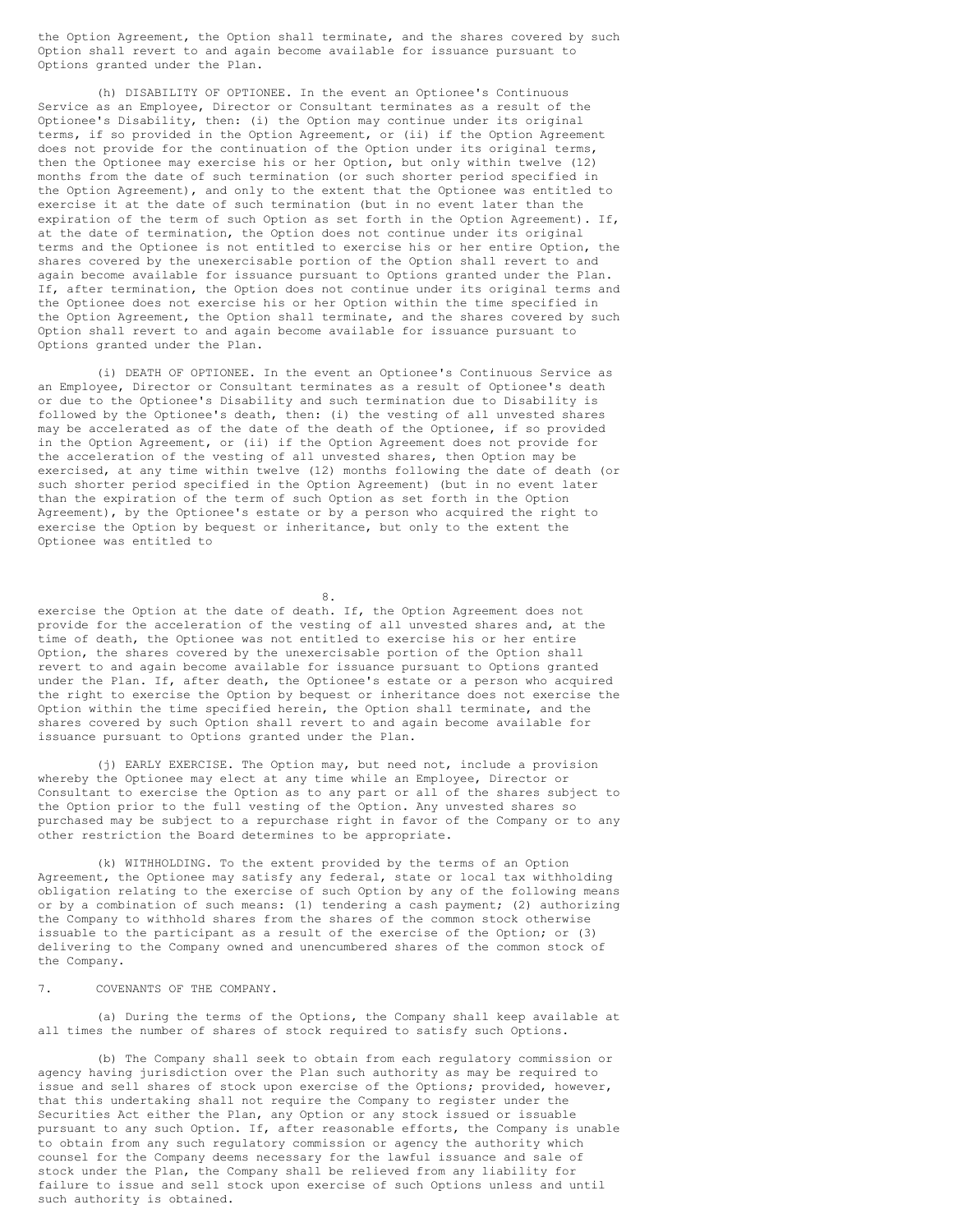the Option Agreement, the Option shall terminate, and the shares covered by such Option shall revert to and again become available for issuance pursuant to Options granted under the Plan.

(h) DISABILITY OF OPTIONEE. In the event an Optionee's Continuous Service as an Employee, Director or Consultant terminates as a result of the Optionee's Disability, then: (i) the Option may continue under its original terms, if so provided in the Option Agreement, or (ii) if the Option Agreement does not provide for the continuation of the Option under its original terms, then the Optionee may exercise his or her Option, but only within twelve (12) months from the date of such termination (or such shorter period specified in the Option Agreement), and only to the extent that the Optionee was entitled to exercise it at the date of such termination (but in no event later than the expiration of the term of such Option as set forth in the Option Agreement). If, at the date of termination, the Option does not continue under its original terms and the Optionee is not entitled to exercise his or her entire Option, the shares covered by the unexercisable portion of the Option shall revert to and again become available for issuance pursuant to Options granted under the Plan. If, after termination, the Option does not continue under its original terms and the Optionee does not exercise his or her Option within the time specified in the Option Agreement, the Option shall terminate, and the shares covered by such Option shall revert to and again become available for issuance pursuant to Options granted under the Plan.

(i) DEATH OF OPTIONEE. In the event an Optionee's Continuous Service as an Employee, Director or Consultant terminates as a result of Optionee's death or due to the Optionee's Disability and such termination due to Disability is followed by the Optionee's death, then: (i) the vesting of all unvested shares may be accelerated as of the date of the death of the Optionee, if so provided in the Option Agreement, or (ii) if the Option Agreement does not provide for the acceleration of the vesting of all unvested shares, then Option may be exercised, at any time within twelve (12) months following the date of death (or such shorter period specified in the Option Agreement) (but in no event later than the expiration of the term of such Option as set forth in the Option Agreement), by the Optionee's estate or by a person who acquired the right to exercise the Option by bequest or inheritance, but only to the extent the Optionee was entitled to

8.

exercise the Option at the date of death. If, the Option Agreement does not provide for the acceleration of the vesting of all unvested shares and, at the time of death, the Optionee was not entitled to exercise his or her entire Option, the shares covered by the unexercisable portion of the Option shall revert to and again become available for issuance pursuant to Options granted under the Plan. If, after death, the Optionee's estate or a person who acquired the right to exercise the Option by bequest or inheritance does not exercise the Option within the time specified herein, the Option shall terminate, and the shares covered by such Option shall revert to and again become available for issuance pursuant to Options granted under the Plan.

(j) EARLY EXERCISE. The Option may, but need not, include a provision whereby the Optionee may elect at any time while an Employee, Director or Consultant to exercise the Option as to any part or all of the shares subject to the Option prior to the full vesting of the Option. Any unvested shares so purchased may be subject to a repurchase right in favor of the Company or to any other restriction the Board determines to be appropriate.

(k) WITHHOLDING. To the extent provided by the terms of an Option Agreement, the Optionee may satisfy any federal, state or local tax withholding obligation relating to the exercise of such Option by any of the following means or by a combination of such means: (1) tendering a cash payment; (2) authorizing the Company to withhold shares from the shares of the common stock otherwise issuable to the participant as a result of the exercise of the Option; or (3) delivering to the Company owned and unencumbered shares of the common stock of the Company.

7. COVENANTS OF THE COMPANY.

(a) During the terms of the Options, the Company shall keep available at all times the number of shares of stock required to satisfy such Options.

(b) The Company shall seek to obtain from each regulatory commission or agency having jurisdiction over the Plan such authority as may be required to issue and sell shares of stock upon exercise of the Options; provided, however, that this undertaking shall not require the Company to register under the Securities Act either the Plan, any Option or any stock issued or issuable pursuant to any such Option. If, after reasonable efforts, the Company is unable to obtain from any such regulatory commission or agency the authority which counsel for the Company deems necessary for the lawful issuance and sale of stock under the Plan, the Company shall be relieved from any liability for failure to issue and sell stock upon exercise of such Options unless and until such authority is obtained.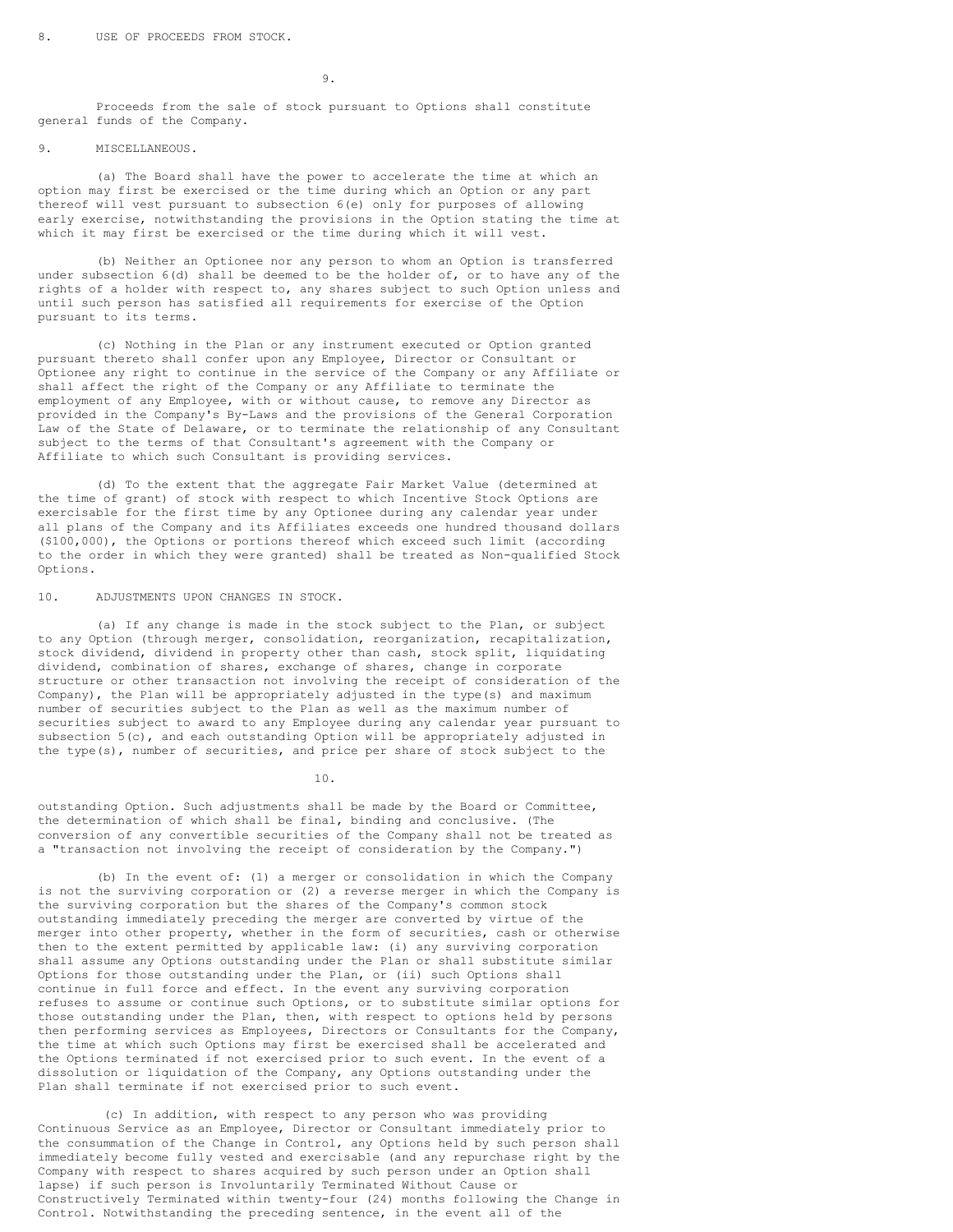9.

Proceeds from the sale of stock pursuant to Options shall constitute general funds of the Company.

## 9. MISCELLANEOUS.

(a) The Board shall have the power to accelerate the time at which an option may first be exercised or the time during which an Option or any part thereof will vest pursuant to subsection 6(e) only for purposes of allowing early exercise, notwithstanding the provisions in the Option stating the time at which it may first be exercised or the time during which it will vest.

(b) Neither an Optionee nor any person to whom an Option is transferred under subsection 6(d) shall be deemed to be the holder of, or to have any of the rights of a holder with respect to, any shares subject to such Option unless and until such person has satisfied all requirements for exercise of the Option pursuant to its terms.

(c) Nothing in the Plan or any instrument executed or Option granted pursuant thereto shall confer upon any Employee, Director or Consultant or Optionee any right to continue in the service of the Company or any Affiliate or shall affect the right of the Company or any Affiliate to terminate the employment of any Employee, with or without cause, to remove any Director as provided in the Company's By-Laws and the provisions of the General Corporation Law of the State of Delaware, or to terminate the relationship of any Consultant subject to the terms of that Consultant's agreement with the Company or Affiliate to which such Consultant is providing services.

(d) To the extent that the aggregate Fair Market Value (determined at the time of grant) of stock with respect to which Incentive Stock Options are exercisable for the first time by any Optionee during any calendar year under all plans of the Company and its Affiliates exceeds one hundred thousand dollars (\$100,000), the Options or portions thereof which exceed such limit (according to the order in which they were granted) shall be treated as Non-qualified Stock Options.

10. ADJUSTMENTS UPON CHANGES IN STOCK.

(a) If any change is made in the stock subject to the Plan, or subject to any Option (through merger, consolidation, reorganization, recapitalization, stock dividend, dividend in property other than cash, stock split, liquidating dividend, combination of shares, exchange of shares, change in corporate structure or other transaction not involving the receipt of consideration of the Company), the Plan will be appropriately adjusted in the type(s) and maximum number of securities subject to the Plan as well as the maximum number of securities subject to award to any Employee during any calendar year pursuant to subsection 5(c), and each outstanding Option will be appropriately adjusted in the type(s), number of securities, and price per share of stock subject to the

10.

outstanding Option. Such adjustments shall be made by the Board or Committee, the determination of which shall be final, binding and conclusive. (The conversion of any convertible securities of the Company shall not be treated as a "transaction not involving the receipt of consideration by the Company.")

(b) In the event of: (1) a merger or consolidation in which the Company is not the surviving corporation or (2) a reverse merger in which the Company is the surviving corporation but the shares of the Company's common stock outstanding immediately preceding the merger are converted by virtue of the merger into other property, whether in the form of securities, cash or otherwise then to the extent permitted by applicable law: (i) any surviving corporation shall assume any Options outstanding under the Plan or shall substitute similar Options for those outstanding under the Plan, or (ii) such Options shall continue in full force and effect. In the event any surviving corporation refuses to assume or continue such Options, or to substitute similar options for those outstanding under the Plan, then, with respect to options held by persons then performing services as Employees, Directors or Consultants for the Company, the time at which such Options may first be exercised shall be accelerated and the Options terminated if not exercised prior to such event. In the event of a dissolution or liquidation of the Company, any Options outstanding under the Plan shall terminate if not exercised prior to such event.

(c) In addition, with respect to any person who was providing Continuous Service as an Employee, Director or Consultant immediately prior to the consummation of the Change in Control, any Options held by such person shall immediately become fully vested and exercisable (and any repurchase right by the Company with respect to shares acquired by such person under an Option shall lapse) if such person is Involuntarily Terminated Without Cause or Constructively Terminated within twenty-four (24) months following the Change in Control. Notwithstanding the preceding sentence, in the event all of the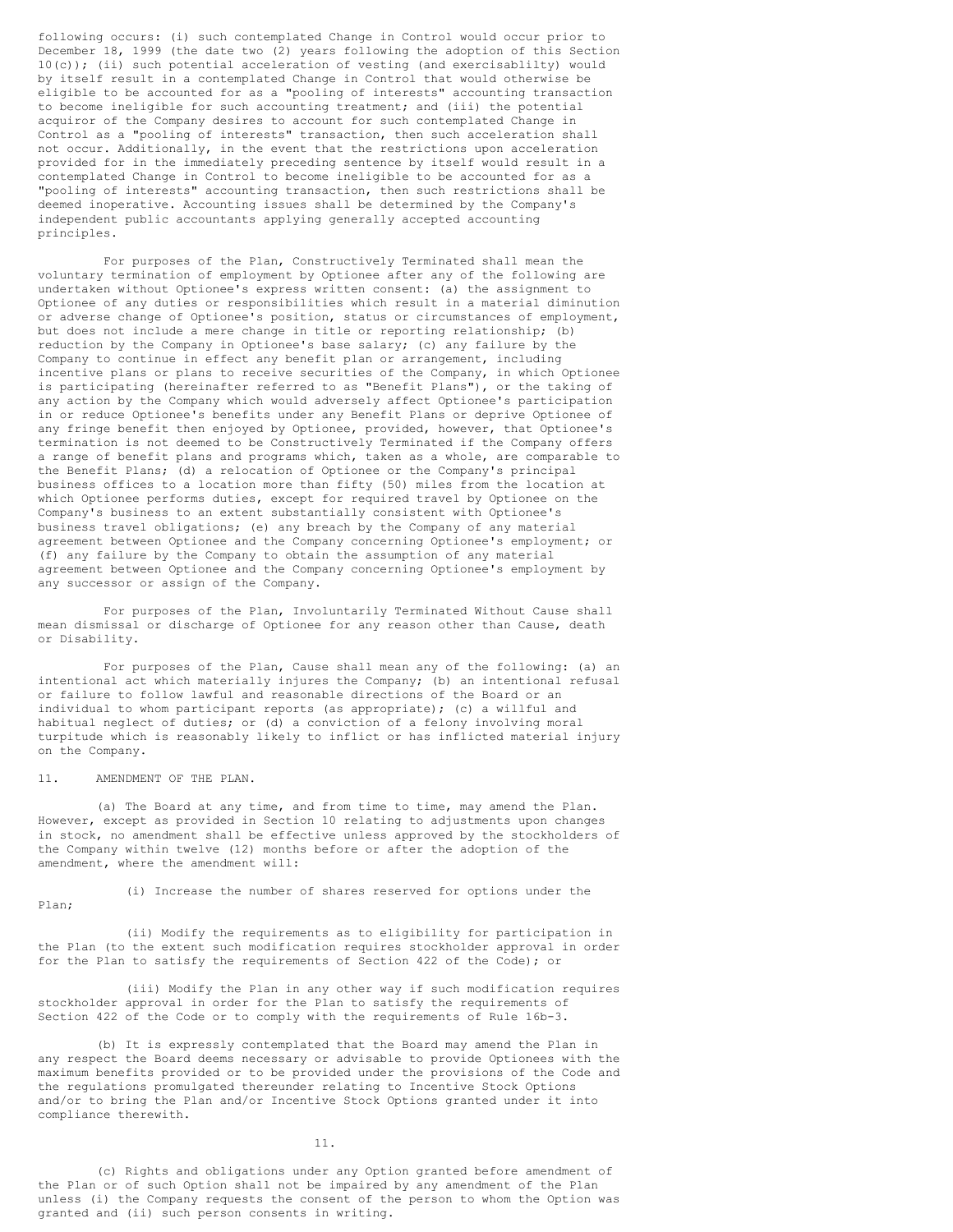following occurs: (i) such contemplated Change in Control would occur prior to December 18, 1999 (the date two (2) years following the adoption of this Section 10(c)); (ii) such potential acceleration of vesting (and exercisablilty) would by itself result in a contemplated Change in Control that would otherwise be eligible to be accounted for as a "pooling of interests" accounting transaction to become ineligible for such accounting treatment; and (iii) the potential acquiror of the Company desires to account for such contemplated Change in Control as a "pooling of interests" transaction, then such acceleration shall not occur. Additionally, in the event that the restrictions upon acceleration provided for in the immediately preceding sentence by itself would result in a contemplated Change in Control to become ineligible to be accounted for as a "pooling of interests" accounting transaction, then such restrictions shall be deemed inoperative. Accounting issues shall be determined by the Company's independent public accountants applying generally accepted accounting principles.

For purposes of the Plan, Constructively Terminated shall mean the voluntary termination of employment by Optionee after any of the following are undertaken without Optionee's express written consent: (a) the assignment to Optionee of any duties or responsibilities which result in a material diminution or adverse change of Optionee's position, status or circumstances of employment, but does not include a mere change in title or reporting relationship; (b) reduction by the Company in Optionee's base salary; (c) any failure by the Company to continue in effect any benefit plan or arrangement, including incentive plans or plans to receive securities of the Company, in which Optionee is participating (hereinafter referred to as "Benefit Plans"), or the taking of any action by the Company which would adversely affect Optionee's participation in or reduce Optionee's benefits under any Benefit Plans or deprive Optionee of any fringe benefit then enjoyed by Optionee, provided, however, that Optionee's termination is not deemed to be Constructively Terminated if the Company offers a range of benefit plans and programs which, taken as a whole, are comparable to the Benefit Plans; (d) a relocation of Optionee or the Company's principal business offices to a location more than fifty (50) miles from the location at which Optionee performs duties, except for required travel by Optionee on the Company's business to an extent substantially consistent with Optionee's business travel obligations; (e) any breach by the Company of any material agreement between Optionee and the Company concerning Optionee's employment; or (f) any failure by the Company to obtain the assumption of any material agreement between Optionee and the Company concerning Optionee's employment by any successor or assign of the Company.

For purposes of the Plan, Involuntarily Terminated Without Cause shall mean dismissal or discharge of Optionee for any reason other than Cause, death or Disability.

For purposes of the Plan, Cause shall mean any of the following: (a) an intentional act which materially injures the Company; (b) an intentional refusal or failure to follow lawful and reasonable directions of the Board or an individual to whom participant reports (as appropriate); (c) a willful and habitual neglect of duties; or (d) a conviction of a felony involving moral turpitude which is reasonably likely to inflict or has inflicted material injury on the Company.

### 11. AMENDMENT OF THE PLAN.

(a) The Board at any time, and from time to time, may amend the Plan. However, except as provided in Section 10 relating to adjustments upon changes in stock, no amendment shall be effective unless approved by the stockholders of the Company within twelve (12) months before or after the adoption of the amendment, where the amendment will:

(i) Increase the number of shares reserved for options under the Plan;

(ii) Modify the requirements as to eligibility for participation in the Plan (to the extent such modification requires stockholder approval in order for the Plan to satisfy the requirements of Section 422 of the Code); or

(iii) Modify the Plan in any other way if such modification requires stockholder approval in order for the Plan to satisfy the requirements of Section 422 of the Code or to comply with the requirements of Rule 16b-3.

(b) It is expressly contemplated that the Board may amend the Plan in any respect the Board deems necessary or advisable to provide Optionees with the maximum benefits provided or to be provided under the provisions of the Code and the regulations promulgated thereunder relating to Incentive Stock Options and/or to bring the Plan and/or Incentive Stock Options granted under it into compliance therewith.

11.

(c) Rights and obligations under any Option granted before amendment of the Plan or of such Option shall not be impaired by any amendment of the Plan unless (i) the Company requests the consent of the person to whom the Option was granted and (ii) such person consents in writing.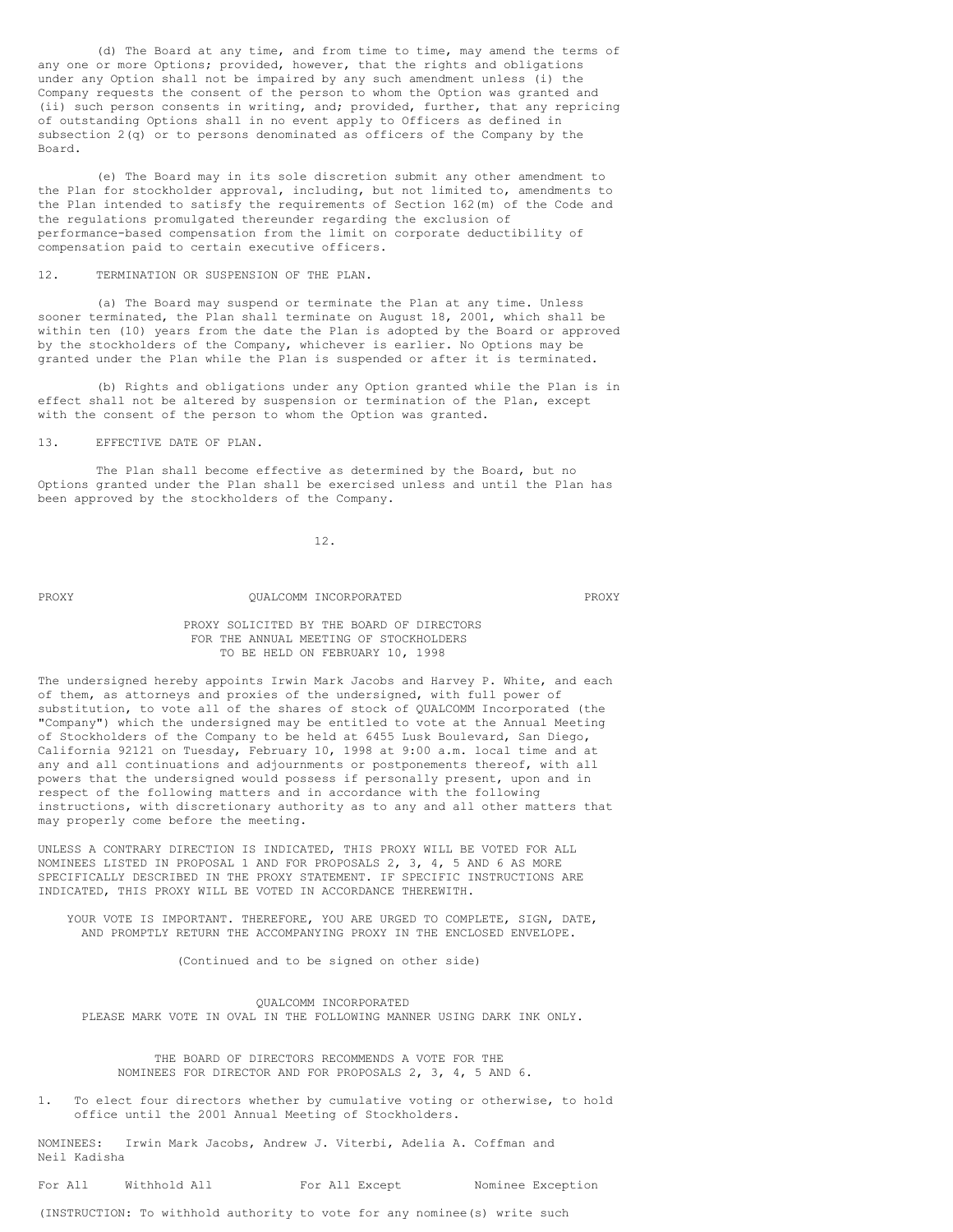(d) The Board at any time, and from time to time, may amend the terms of any one or more Options; provided, however, that the rights and obligations under any Option shall not be impaired by any such amendment unless (i) the Company requests the consent of the person to whom the Option was granted and (ii) such person consents in writing, and; provided, further, that any repricing of outstanding Options shall in no event apply to Officers as defined in subsection 2(q) or to persons denominated as officers of the Company by the Board.

(e) The Board may in its sole discretion submit any other amendment to the Plan for stockholder approval, including, but not limited to, amendments to the Plan intended to satisfy the requirements of Section 162(m) of the Code and the regulations promulgated thereunder regarding the exclusion of performance-based compensation from the limit on corporate deductibility of compensation paid to certain executive officers.

12. TERMINATION OR SUSPENSION OF THE PLAN.

(a) The Board may suspend or terminate the Plan at any time. Unless sooner terminated, the Plan shall terminate on August 18, 2001, which shall be within ten (10) years from the date the Plan is adopted by the Board or approved by the stockholders of the Company, whichever is earlier. No Options may be granted under the Plan while the Plan is suspended or after it is terminated.

(b) Rights and obligations under any Option granted while the Plan is in effect shall not be altered by suspension or termination of the Plan, except with the consent of the person to whom the Option was granted.

13. EFFECTIVE DATE OF PLAN.

The Plan shall become effective as determined by the Board, but no Options granted under the Plan shall be exercised unless and until the Plan has been approved by the stockholders of the Company.

12.

## PROXY QUALCOMM INCORPORATED PROXY

PROXY SOLICITED BY THE BOARD OF DIRECTORS FOR THE ANNUAL MEETING OF STOCKHOLDERS TO BE HELD ON FEBRUARY 10, 1998

The undersigned hereby appoints Irwin Mark Jacobs and Harvey P. White, and each of them, as attorneys and proxies of the undersigned, with full power of substitution, to vote all of the shares of stock of QUALCOMM Incorporated (the "Company") which the undersigned may be entitled to vote at the Annual Meeting of Stockholders of the Company to be held at 6455 Lusk Boulevard, San Diego, California 92121 on Tuesday, February 10, 1998 at 9:00 a.m. local time and at any and all continuations and adjournments or postponements thereof, with all powers that the undersigned would possess if personally present, upon and in respect of the following matters and in accordance with the following instructions, with discretionary authority as to any and all other matters that may properly come before the meeting.

UNLESS A CONTRARY DIRECTION IS INDICATED, THIS PROXY WILL BE VOTED FOR ALL NOMINEES LISTED IN PROPOSAL 1 AND FOR PROPOSALS 2, 3, 4, 5 AND 6 AS MORE SPECIFICALLY DESCRIBED IN THE PROXY STATEMENT. IF SPECIFIC INSTRUCTIONS ARE INDICATED, THIS PROXY WILL BE VOTED IN ACCORDANCE THEREWITH.

YOUR VOTE IS IMPORTANT. THEREFORE, YOU ARE URGED TO COMPLETE, SIGN, DATE, AND PROMPTLY RETURN THE ACCOMPANYING PROXY IN THE ENCLOSED ENVELOPE.

(Continued and to be signed on other side)

QUALCOMM INCORPORATED PLEASE MARK VOTE IN OVAL IN THE FOLLOWING MANNER USING DARK INK ONLY.

THE BOARD OF DIRECTORS RECOMMENDS A VOTE FOR THE NOMINEES FOR DIRECTOR AND FOR PROPOSALS 2, 3, 4, 5 AND 6.

1. To elect four directors whether by cumulative voting or otherwise, to hold office until the 2001 Annual Meeting of Stockholders.

NOMINEES: Irwin Mark Jacobs, Andrew J. Viterbi, Adelia A. Coffman and Neil Kadisha

For All Withhold All **For All Except** Nominee Exception

(INSTRUCTION: To withhold authority to vote for any nominee(s) write such